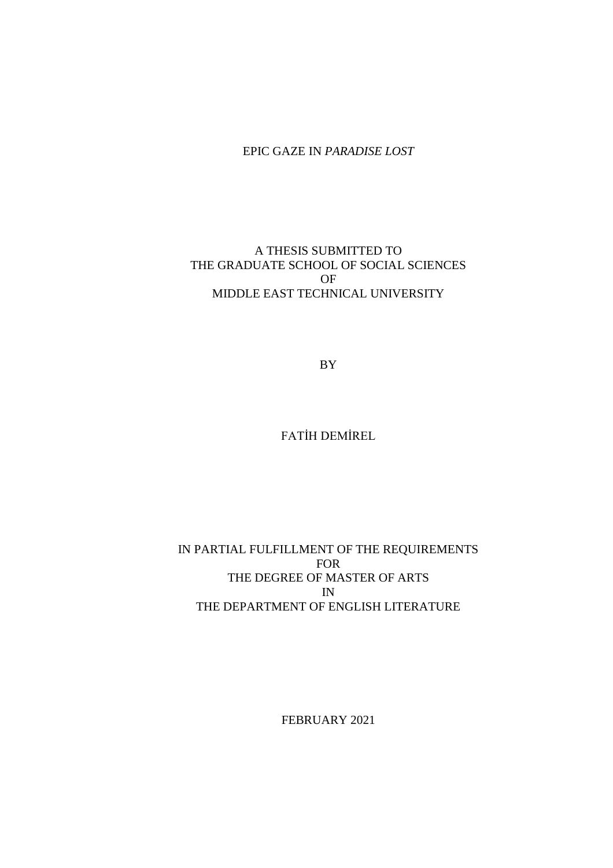## EPIC GAZE IN *PARADISE LOST*

# A THESIS SUBMITTED TO THE GRADUATE SCHOOL OF SOCIAL SCIENCES OF MIDDLE EAST TECHNICAL UNIVERSITY

BY

FATİH DEMİREL

# IN PARTIAL FULFILLMENT OF THE REQUIREMENTS FOR THE DEGREE OF MASTER OF ARTS IN THE DEPARTMENT OF ENGLISH LITERATURE

FEBRUARY 2021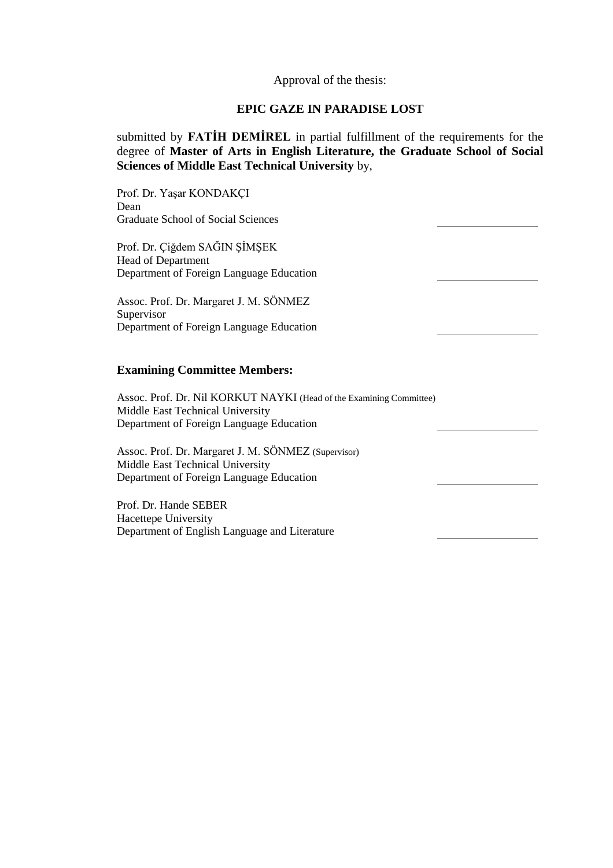#### Approval of the thesis:

### **EPIC GAZE IN PARADISE LOST**

submitted by **FATİH DEMİREL** in partial fulfillment of the requirements for the degree of **Master of Arts in English Literature, the Graduate School of Social Sciences of Middle East Technical University** by,

Prof. Dr. Yaşar KONDAKÇI Dean Graduate School of Social Sciences Prof. Dr. Çiğdem SAĞIN ŞİMŞEK Head of Department Department of Foreign Language Education Assoc. Prof. Dr. Margaret J. M. SÖNMEZ Supervisor Department of Foreign Language Education **Examining Committee Members:** Assoc. Prof. Dr. Nil KORKUT NAYKI (Head of the Examining Committee) Middle East Technical University Department of Foreign Language Education Assoc. Prof. Dr. Margaret J. M. SÖNMEZ (Supervisor) Middle East Technical University Department of Foreign Language Education Prof. Dr. Hande SEBER Hacettepe University Department of English Language and Literature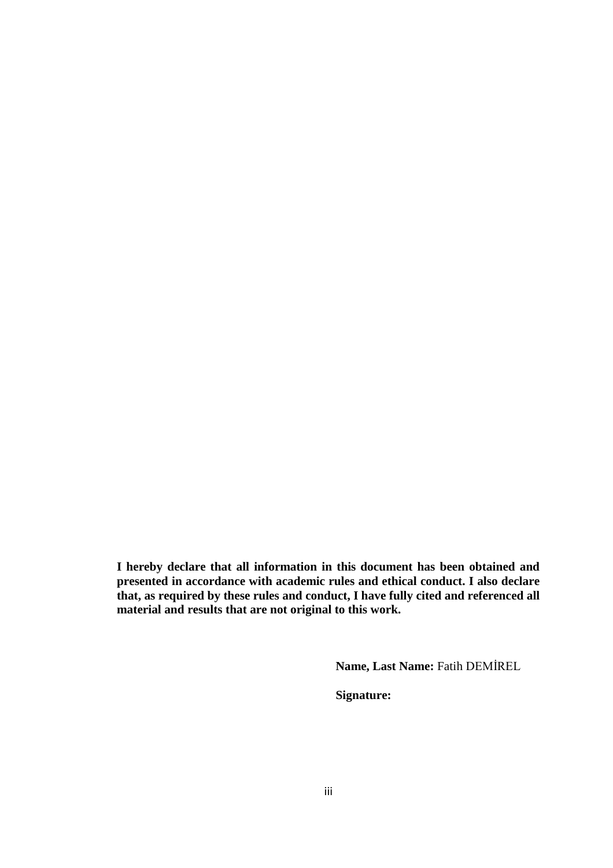<span id="page-4-0"></span>**I hereby declare that all information in this document has been obtained and presented in accordance with academic rules and ethical conduct. I also declare that, as required by these rules and conduct, I have fully cited and referenced all material and results that are not original to this work.**

**Name, Last Name:** Fatih DEMİREL

**Signature:**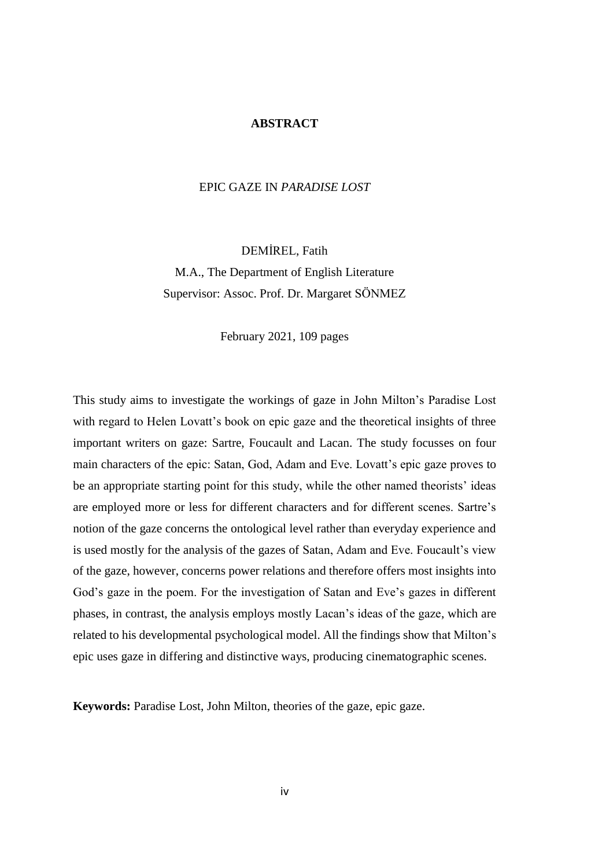#### **ABSTRACT**

## <span id="page-5-0"></span>EPIC GAZE IN *PARADISE LOST*

DEMİREL, Fatih M.A., The Department of English Literature Supervisor: Assoc. Prof. Dr. Margaret SÖNMEZ

February 2021, 109 pages

This study aims to investigate the workings of gaze in John Milton's Paradise Lost with regard to Helen Lovatt's book on epic gaze and the theoretical insights of three important writers on gaze: Sartre, Foucault and Lacan. The study focusses on four main characters of the epic: Satan, God, Adam and Eve. Lovatt's epic gaze proves to be an appropriate starting point for this study, while the other named theorists' ideas are employed more or less for different characters and for different scenes. Sartre's notion of the gaze concerns the ontological level rather than everyday experience and is used mostly for the analysis of the gazes of Satan, Adam and Eve. Foucault's view of the gaze, however, concerns power relations and therefore offers most insights into God's gaze in the poem. For the investigation of Satan and Eve's gazes in different phases, in contrast, the analysis employs mostly Lacan's ideas of the gaze, which are related to his developmental psychological model. All the findings show that Milton's epic uses gaze in differing and distinctive ways, producing cinematographic scenes.

**Keywords:** Paradise Lost, John Milton, theories of the gaze, epic gaze.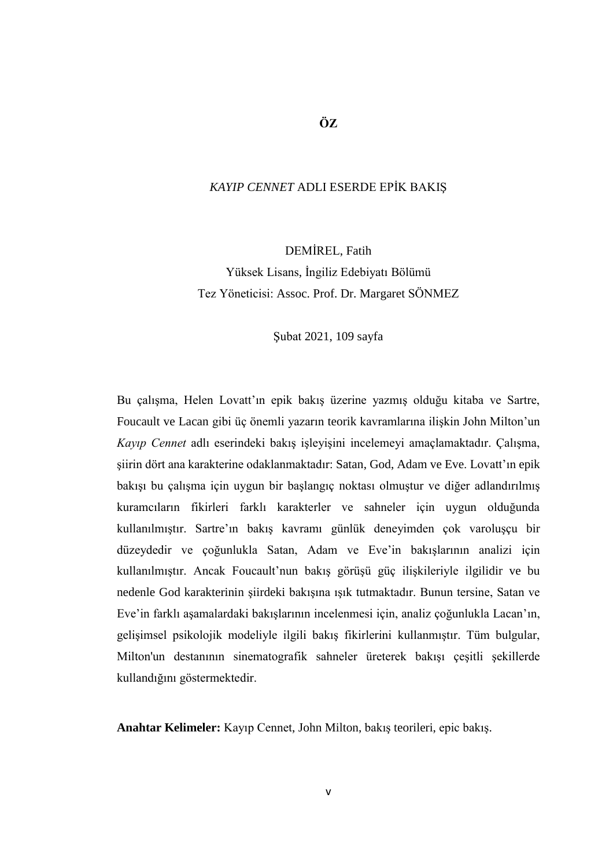## **ÖZ**

## <span id="page-6-0"></span>*KAYIP CENNET* ADLI ESERDE EPİK BAKIŞ

DEMİREL, Fatih Yüksek Lisans, İngiliz Edebiyatı Bölümü Tez Yöneticisi: Assoc. Prof. Dr. Margaret SÖNMEZ

Şubat 2021, 109 sayfa

Bu çalışma, Helen Lovatt'ın epik bakış üzerine yazmış olduğu kitaba ve Sartre, Foucault ve Lacan gibi üç önemli yazarın teorik kavramlarına ilişkin John Milton'un *Kayıp Cennet* adlı eserindeki bakış işleyişini incelemeyi amaçlamaktadır. Çalışma, şiirin dört ana karakterine odaklanmaktadır: Satan, God, Adam ve Eve. Lovatt'ın epik bakışı bu çalışma için uygun bir başlangıç noktası olmuştur ve diğer adlandırılmış kuramcıların fikirleri farklı karakterler ve sahneler için uygun olduğunda kullanılmıştır. Sartre'ın bakış kavramı günlük deneyimden çok varoluşçu bir düzeydedir ve çoğunlukla Satan, Adam ve Eve'in bakışlarının analizi için kullanılmıştır. Ancak Foucault'nun bakış görüşü güç ilişkileriyle ilgilidir ve bu nedenle God karakterinin şiirdeki bakışına ışık tutmaktadır. Bunun tersine, Satan ve Eve'in farklı aşamalardaki bakışlarının incelenmesi için, analiz çoğunlukla Lacan'ın, gelişimsel psikolojik modeliyle ilgili bakış fikirlerini kullanmıştır. Tüm bulgular, Milton'un destanının sinematografik sahneler üreterek bakışı çeşitli şekillerde kullandığını göstermektedir.

**Anahtar Kelimeler:** Kayıp Cennet, John Milton, bakış teorileri, epic bakış.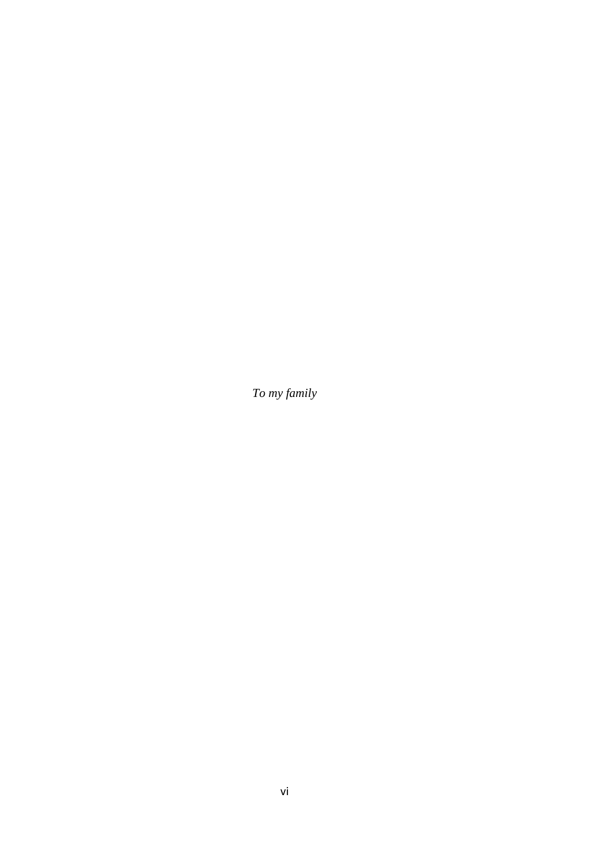<span id="page-7-0"></span>*To my family*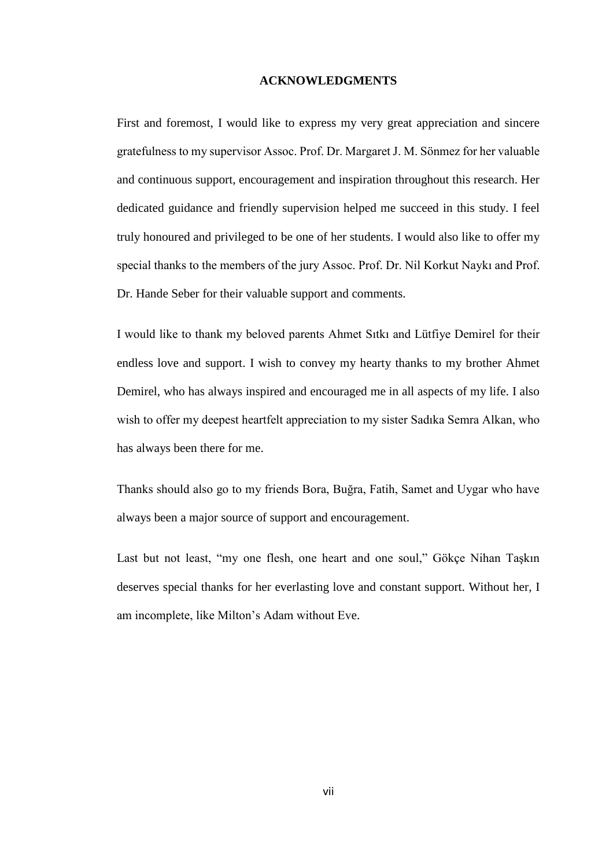#### **ACKNOWLEDGMENTS**

<span id="page-8-0"></span>First and foremost, I would like to express my very great appreciation and sincere gratefulness to my supervisor Assoc. Prof. Dr. Margaret J. M. Sönmez for her valuable and continuous support, encouragement and inspiration throughout this research. Her dedicated guidance and friendly supervision helped me succeed in this study. I feel truly honoured and privileged to be one of her students. I would also like to offer my special thanks to the members of the jury Assoc. Prof. Dr. Nil Korkut Naykı and Prof. Dr. Hande Seber for their valuable support and comments.

I would like to thank my beloved parents Ahmet Sıtkı and Lütfiye Demirel for their endless love and support. I wish to convey my hearty thanks to my brother Ahmet Demirel, who has always inspired and encouraged me in all aspects of my life. I also wish to offer my deepest heartfelt appreciation to my sister Sadıka Semra Alkan, who has always been there for me.

Thanks should also go to my friends Bora, Buğra, Fatih, Samet and Uygar who have always been a major source of support and encouragement.

Last but not least, "my one flesh, one heart and one soul," Gökçe Nihan Taşkın deserves special thanks for her everlasting love and constant support. Without her, I am incomplete, like Milton's Adam without Eve.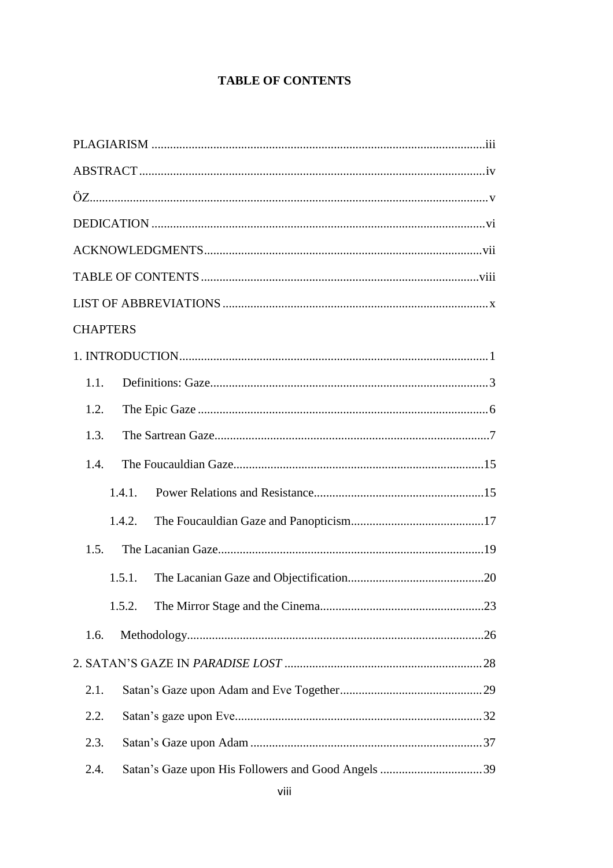# **TABLE OF CONTENTS**

<span id="page-9-0"></span>

| <b>CHAPTERS</b> |  |  |  |  |
|-----------------|--|--|--|--|
|                 |  |  |  |  |
| 1.1.            |  |  |  |  |
| 1.2.            |  |  |  |  |
| 1.3.            |  |  |  |  |
| 1.4.            |  |  |  |  |
| 1.4.1.          |  |  |  |  |
| 1.4.2.          |  |  |  |  |
| 1.5.            |  |  |  |  |
| 1.5.1.          |  |  |  |  |
| 1.5.2.          |  |  |  |  |
| 1.6.            |  |  |  |  |
|                 |  |  |  |  |
| 2.1.            |  |  |  |  |
| 2.2.            |  |  |  |  |
| 2.3.            |  |  |  |  |
| 2.4.            |  |  |  |  |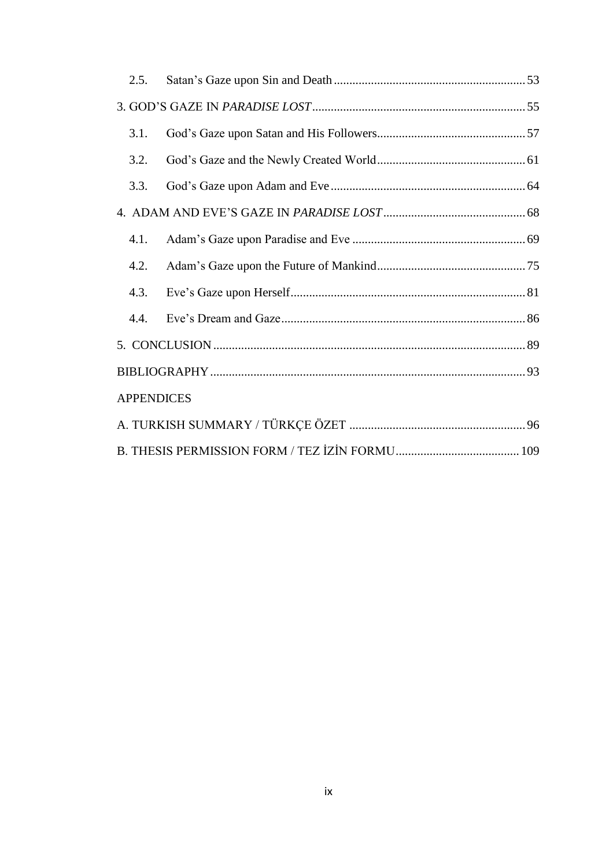|  | 2.5.              |  |  |  |
|--|-------------------|--|--|--|
|  |                   |  |  |  |
|  | 3.1.              |  |  |  |
|  | 3.2.              |  |  |  |
|  | 3.3.              |  |  |  |
|  |                   |  |  |  |
|  | 4.1.              |  |  |  |
|  | 4.2.              |  |  |  |
|  | 4.3.              |  |  |  |
|  | 4.4.              |  |  |  |
|  |                   |  |  |  |
|  |                   |  |  |  |
|  | <b>APPENDICES</b> |  |  |  |
|  |                   |  |  |  |
|  |                   |  |  |  |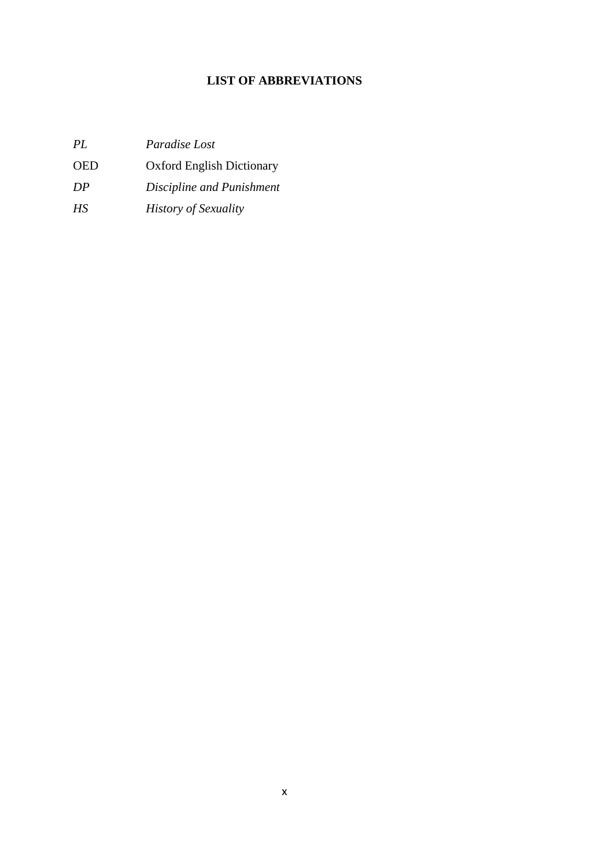# **LIST OF ABBREVIATIONS**

<span id="page-11-0"></span>

| PL         | <i>Paradise Lost</i>             |
|------------|----------------------------------|
| <b>OED</b> | <b>Oxford English Dictionary</b> |
| DP         | Discipline and Punishment        |
| HS.        | <b>History of Sexuality</b>      |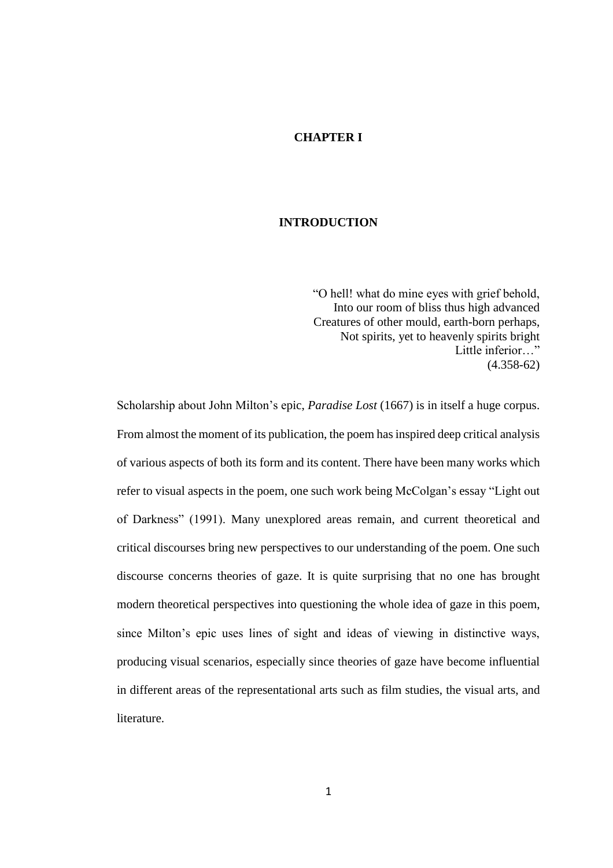#### **CHAPTER I**

## **INTRODUCTION**

"O hell! what do mine eyes with grief behold, Into our room of bliss thus high advanced Creatures of other mould, earth-born perhaps, Not spirits, yet to heavenly spirits bright Little inferior…" (4.358-62)

Scholarship about John Milton's epic, *Paradise Lost* (1667) is in itself a huge corpus. From almost the moment of its publication, the poem has inspired deep critical analysis of various aspects of both its form and its content. There have been many works which refer to visual aspects in the poem, one such work being McColgan's essay "Light out of Darkness" (1991). Many unexplored areas remain, and current theoretical and critical discourses bring new perspectives to our understanding of the poem. One such discourse concerns theories of gaze. It is quite surprising that no one has brought modern theoretical perspectives into questioning the whole idea of gaze in this poem, since Milton's epic uses lines of sight and ideas of viewing in distinctive ways, producing visual scenarios, especially since theories of gaze have become influential in different areas of the representational arts such as film studies, the visual arts, and literature.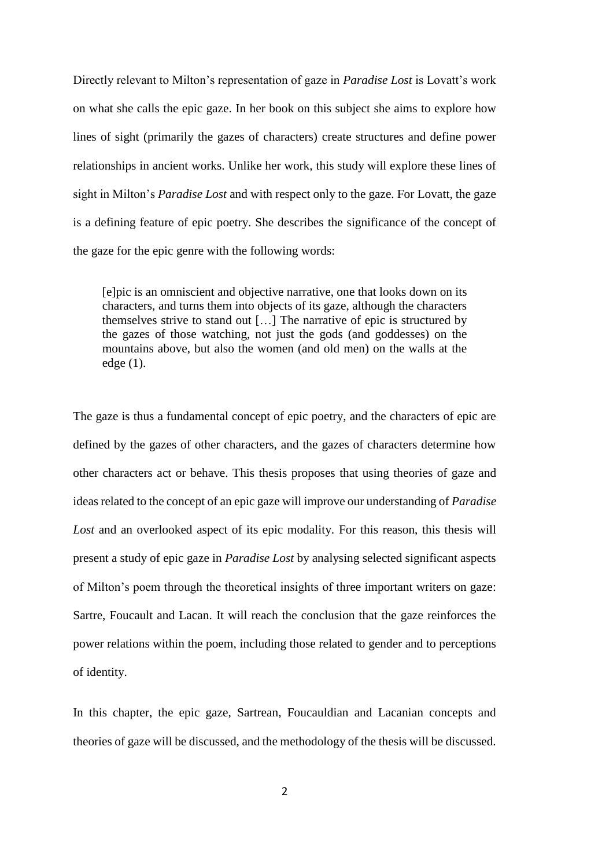Directly relevant to Milton's representation of gaze in *Paradise Lost* is Lovatt's work on what she calls the epic gaze. In her book on this subject she aims to explore how lines of sight (primarily the gazes of characters) create structures and define power relationships in ancient works. Unlike her work, this study will explore these lines of sight in Milton's *Paradise Lost* and with respect only to the gaze. For Lovatt, the gaze is a defining feature of epic poetry. She describes the significance of the concept of the gaze for the epic genre with the following words:

[e]pic is an omniscient and objective narrative, one that looks down on its characters, and turns them into objects of its gaze, although the characters themselves strive to stand out […] The narrative of epic is structured by the gazes of those watching, not just the gods (and goddesses) on the mountains above, but also the women (and old men) on the walls at the edge (1).

The gaze is thus a fundamental concept of epic poetry, and the characters of epic are defined by the gazes of other characters, and the gazes of characters determine how other characters act or behave. This thesis proposes that using theories of gaze and ideas related to the concept of an epic gaze will improve our understanding of *Paradise Lost* and an overlooked aspect of its epic modality. For this reason, this thesis will present a study of epic gaze in *Paradise Lost* by analysing selected significant aspects of Milton's poem through the theoretical insights of three important writers on gaze: Sartre, Foucault and Lacan. It will reach the conclusion that the gaze reinforces the power relations within the poem, including those related to gender and to perceptions of identity.

In this chapter, the epic gaze, Sartrean, Foucauldian and Lacanian concepts and theories of gaze will be discussed, and the methodology of the thesis will be discussed.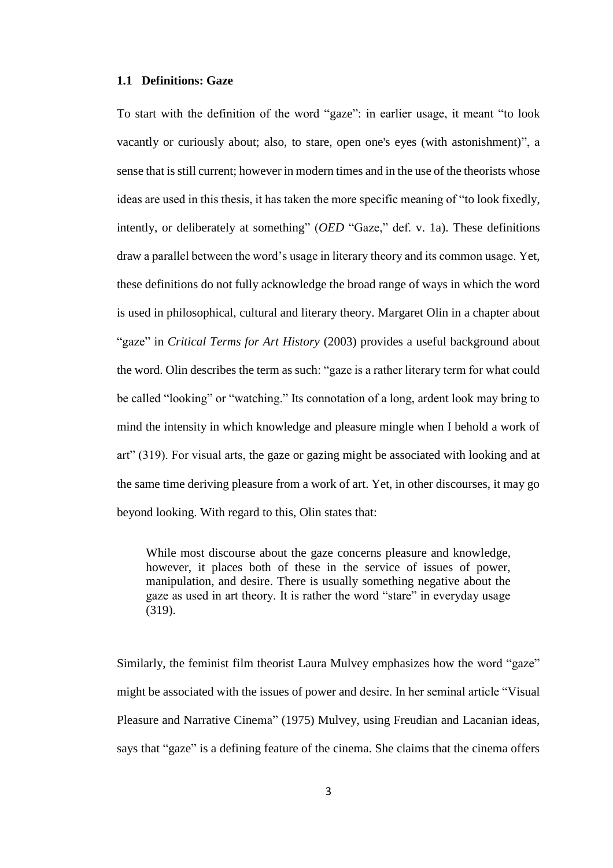#### **1.1 Definitions: Gaze**

To start with the definition of the word "gaze": in earlier usage, it meant "to look vacantly or curiously about; also, to stare, open one's eyes (with astonishment)", a sense that is still current; however in modern times and in the use of the theorists whose ideas are used in this thesis, it has taken the more specific meaning of "to look fixedly, intently, or deliberately at something" (*OED* "Gaze," def. v. 1a). These definitions draw a parallel between the word's usage in literary theory and its common usage. Yet, these definitions do not fully acknowledge the broad range of ways in which the word is used in philosophical, cultural and literary theory. Margaret Olin in a chapter about "gaze" in *Critical Terms for Art History* (2003) provides a useful background about the word. Olin describes the term as such: "gaze is a rather literary term for what could be called "looking" or "watching." Its connotation of a long, ardent look may bring to mind the intensity in which knowledge and pleasure mingle when I behold a work of art" (319). For visual arts, the gaze or gazing might be associated with looking and at the same time deriving pleasure from a work of art. Yet, in other discourses, it may go beyond looking. With regard to this, Olin states that:

While most discourse about the gaze concerns pleasure and knowledge, however, it places both of these in the service of issues of power, manipulation, and desire. There is usually something negative about the gaze as used in art theory. It is rather the word "stare" in everyday usage (319).

Similarly, the feminist film theorist Laura Mulvey emphasizes how the word "gaze" might be associated with the issues of power and desire. In her seminal article "Visual Pleasure and Narrative Cinema" (1975) Mulvey, using Freudian and Lacanian ideas, says that "gaze" is a defining feature of the cinema. She claims that the cinema offers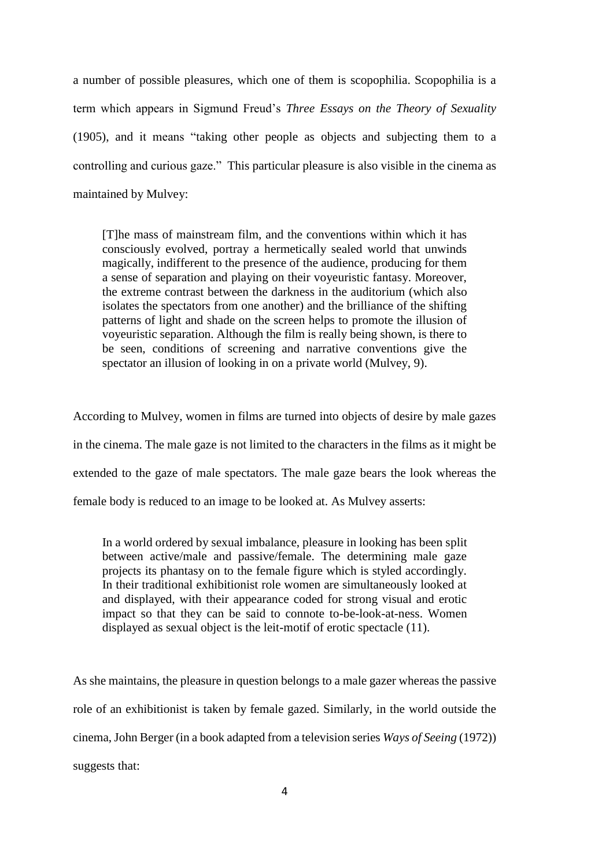a number of possible pleasures, which one of them is scopophilia. Scopophilia is a term which appears in Sigmund Freud's *Three Essays on the Theory of Sexuality*  (1905), and it means "taking other people as objects and subjecting them to a controlling and curious gaze." This particular pleasure is also visible in the cinema as maintained by Mulvey:

[T]he mass of mainstream film, and the conventions within which it has consciously evolved, portray a hermetically sealed world that unwinds magically, indifferent to the presence of the audience, producing for them a sense of separation and playing on their voyeuristic fantasy. Moreover, the extreme contrast between the darkness in the auditorium (which also isolates the spectators from one another) and the brilliance of the shifting patterns of light and shade on the screen helps to promote the illusion of voyeuristic separation. Although the film is really being shown, is there to be seen, conditions of screening and narrative conventions give the spectator an illusion of looking in on a private world (Mulvey, 9).

According to Mulvey, women in films are turned into objects of desire by male gazes in the cinema. The male gaze is not limited to the characters in the films as it might be extended to the gaze of male spectators. The male gaze bears the look whereas the female body is reduced to an image to be looked at. As Mulvey asserts:

In a world ordered by sexual imbalance, pleasure in looking has been split between active/male and passive/female. The determining male gaze projects its phantasy on to the female figure which is styled accordingly. In their traditional exhibitionist role women are simultaneously looked at and displayed, with their appearance coded for strong visual and erotic impact so that they can be said to connote to-be-look-at-ness. Women displayed as sexual object is the leit-motif of erotic spectacle (11).

As she maintains, the pleasure in question belongs to a male gazer whereas the passive role of an exhibitionist is taken by female gazed. Similarly, in the world outside the cinema, John Berger (in a book adapted from a television series *Ways of Seeing* (1972)) suggests that: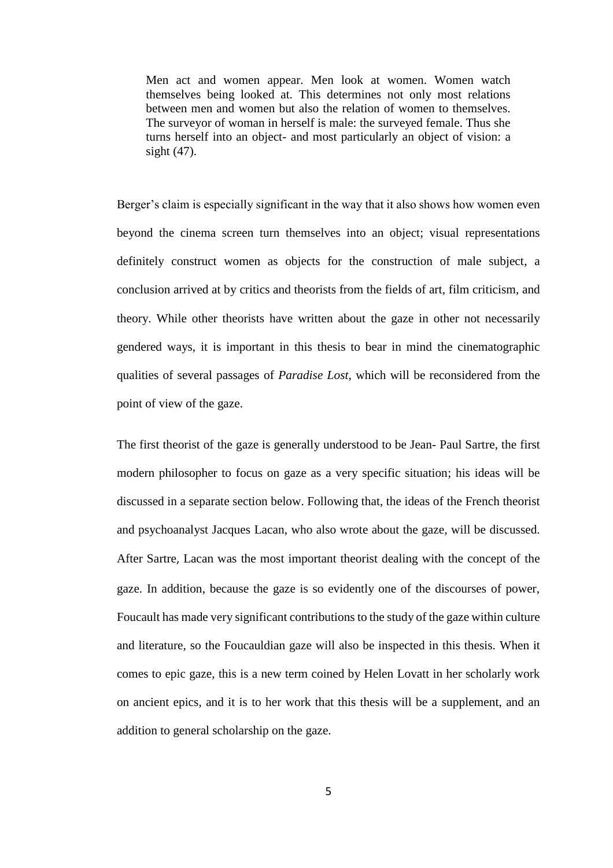Men act and women appear. Men look at women. Women watch themselves being looked at. This determines not only most relations between men and women but also the relation of women to themselves. The surveyor of woman in herself is male: the surveyed female. Thus she turns herself into an object- and most particularly an object of vision: a sight (47).

Berger's claim is especially significant in the way that it also shows how women even beyond the cinema screen turn themselves into an object; visual representations definitely construct women as objects for the construction of male subject, a conclusion arrived at by critics and theorists from the fields of art, film criticism, and theory. While other theorists have written about the gaze in other not necessarily gendered ways, it is important in this thesis to bear in mind the cinematographic qualities of several passages of *Paradise Lost*, which will be reconsidered from the point of view of the gaze.

The first theorist of the gaze is generally understood to be Jean- Paul Sartre, the first modern philosopher to focus on gaze as a very specific situation; his ideas will be discussed in a separate section below. Following that, the ideas of the French theorist and psychoanalyst Jacques Lacan, who also wrote about the gaze, will be discussed. After Sartre, Lacan was the most important theorist dealing with the concept of the gaze. In addition, because the gaze is so evidently one of the discourses of power, Foucault has made very significant contributions to the study of the gaze within culture and literature, so the Foucauldian gaze will also be inspected in this thesis. When it comes to epic gaze, this is a new term coined by Helen Lovatt in her scholarly work on ancient epics, and it is to her work that this thesis will be a supplement, and an addition to general scholarship on the gaze.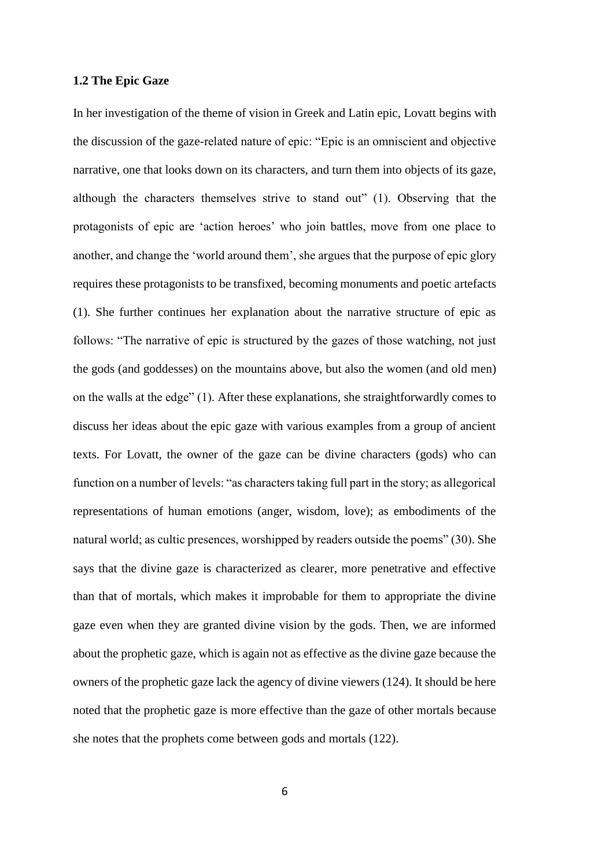#### **1.2 The Epic Gaze**

In her investigation of the theme of vision in Greek and Latin epic, Lovatt begins with the discussion of the gaze-related nature of epic: "Epic is an omniscient and objective narrative, one that looks down on its characters, and turn them into objects of its gaze, although the characters themselves strive to stand out" (1). Observing that the protagonists of epic are 'action heroes' who join battles, move from one place to another, and change the 'world around them', she argues that the purpose of epic glory requires these protagonists to be transfixed, becoming monuments and poetic artefacts (1). She further continues her explanation about the narrative structure of epic as follows: "The narrative of epic is structured by the gazes of those watching, not just the gods (and goddesses) on the mountains above, but also the women (and old men) on the walls at the edge" (1). After these explanations, she straightforwardly comes to discuss her ideas about the epic gaze with various examples from a group of ancient texts. For Lovatt, the owner of the gaze can be divine characters (gods) who can function on a number of levels: "as characters taking full part in the story; as allegorical representations of human emotions (anger, wisdom, love); as embodiments of the natural world; as cultic presences, worshipped by readers outside the poems" (30). She says that the divine gaze is characterized as clearer, more penetrative and effective than that of mortals, which makes it improbable for them to appropriate the divine gaze even when they are granted divine vision by the gods. Then, we are informed about the prophetic gaze, which is again not as effective as the divine gaze because the owners of the prophetic gaze lack the agency of divine viewers (124). It should be here noted that the prophetic gaze is more effective than the gaze of other mortals because she notes that the prophets come between gods and mortals (122).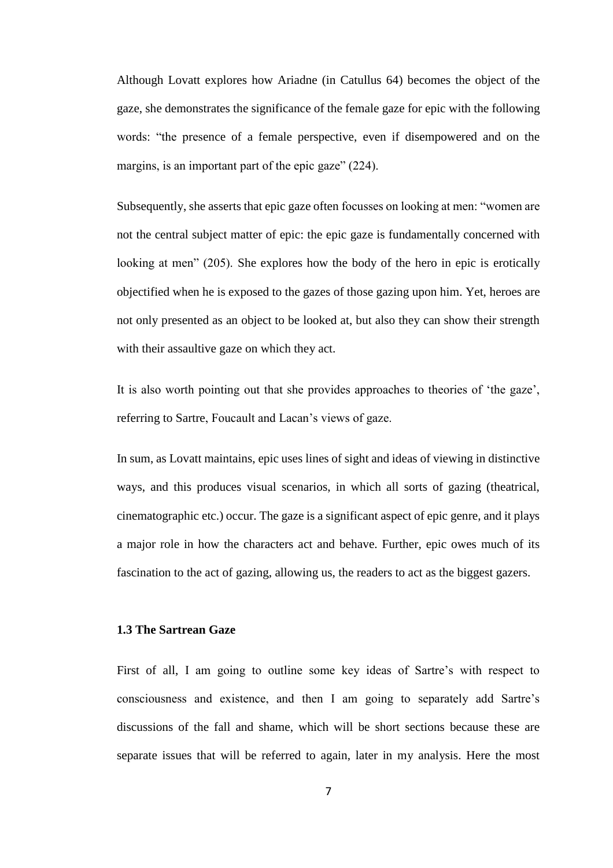Although Lovatt explores how Ariadne (in Catullus 64) becomes the object of the gaze, she demonstrates the significance of the female gaze for epic with the following words: "the presence of a female perspective, even if disempowered and on the margins, is an important part of the epic gaze" (224).

Subsequently, she asserts that epic gaze often focusses on looking at men: "women are not the central subject matter of epic: the epic gaze is fundamentally concerned with looking at men" (205). She explores how the body of the hero in epic is erotically objectified when he is exposed to the gazes of those gazing upon him. Yet, heroes are not only presented as an object to be looked at, but also they can show their strength with their assaultive gaze on which they act.

It is also worth pointing out that she provides approaches to theories of 'the gaze', referring to Sartre, Foucault and Lacan's views of gaze.

In sum, as Lovatt maintains, epic uses lines of sight and ideas of viewing in distinctive ways, and this produces visual scenarios, in which all sorts of gazing (theatrical, cinematographic etc.) occur. The gaze is a significant aspect of epic genre, and it plays a major role in how the characters act and behave. Further, epic owes much of its fascination to the act of gazing, allowing us, the readers to act as the biggest gazers.

## **1.3 The Sartrean Gaze**

First of all, I am going to outline some key ideas of Sartre's with respect to consciousness and existence, and then I am going to separately add Sartre's discussions of the fall and shame, which will be short sections because these are separate issues that will be referred to again, later in my analysis. Here the most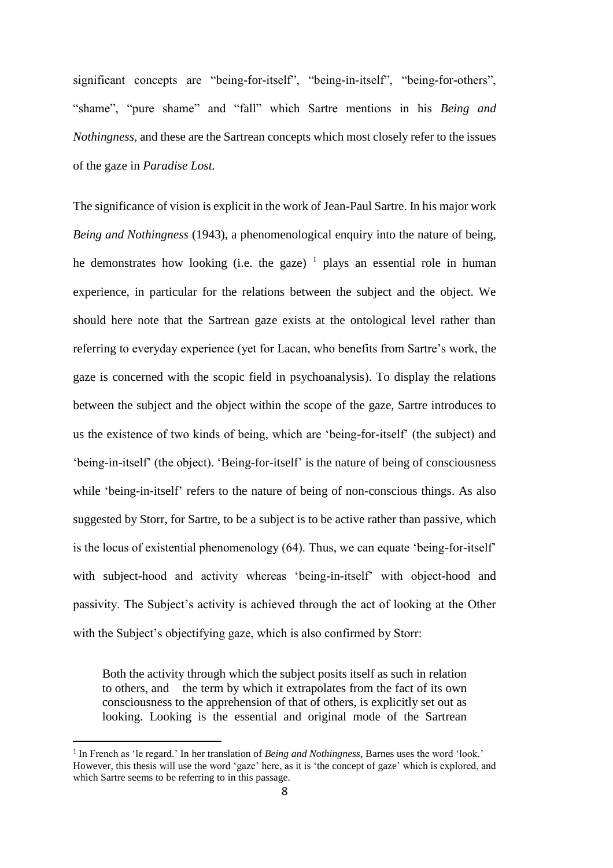significant concepts are "being-for-itself", "being-in-itself", "being-for-others", "shame", "pure shame" and "fall" which Sartre mentions in his *Being and Nothingness,* and these are the Sartrean concepts which most closely refer to the issues of the gaze in *Paradise Lost.*

The significance of vision is explicit in the work of Jean-Paul Sartre. In his major work *Being and Nothingness* (1943), a phenomenological enquiry into the nature of being, he demonstrates how looking (i.e. the gaze)  $\frac{1}{1}$  plays an essential role in human experience, in particular for the relations between the subject and the object. We should here note that the Sartrean gaze exists at the ontological level rather than referring to everyday experience (yet for Lacan, who benefits from Sartre's work, the gaze is concerned with the scopic field in psychoanalysis). To display the relations between the subject and the object within the scope of the gaze, Sartre introduces to us the existence of two kinds of being, which are 'being-for-itself' (the subject) and 'being-in-itself' (the object). 'Being-for-itself' is the nature of being of consciousness while 'being-in-itself' refers to the nature of being of non-conscious things. As also suggested by Storr, for Sartre, to be a subject is to be active rather than passive, which is the locus of existential phenomenology (64). Thus, we can equate 'being-for-itself' with subject-hood and activity whereas 'being-in-itself' with object-hood and passivity. The Subject's activity is achieved through the act of looking at the Other with the Subject's objectifying gaze, which is also confirmed by Storr:

Both the activity through which the subject posits itself as such in relation to others, and the term by which it extrapolates from the fact of its own consciousness to the apprehension of that of others, is explicitly set out as looking. Looking is the essential and original mode of the Sartrean

 $\overline{a}$ 

<sup>1</sup> In French as 'le regard.' In her translation of *Being and Nothingness*, Barnes uses the word 'look.' However, this thesis will use the word 'gaze' here, as it is 'the concept of gaze' which is explored, and which Sartre seems to be referring to in this passage.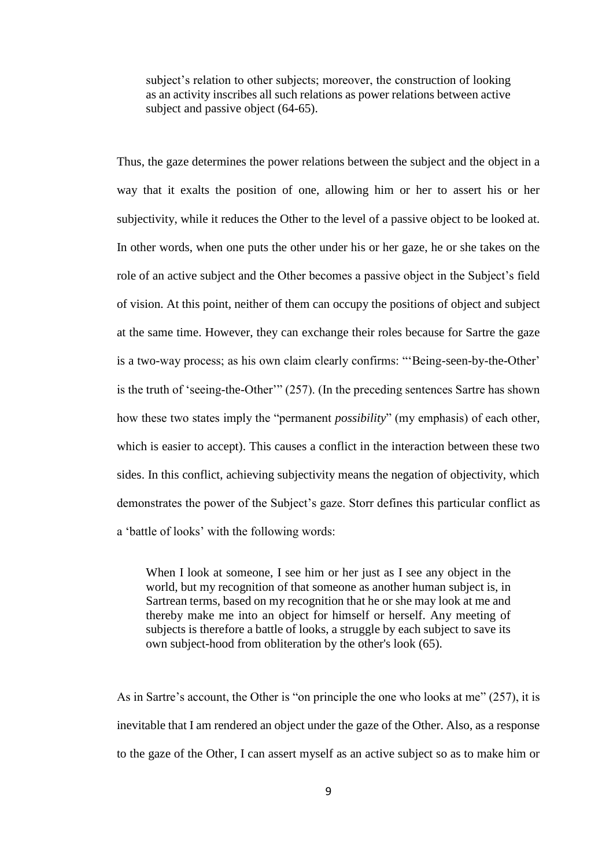subject's relation to other subjects; moreover, the construction of looking as an activity inscribes all such relations as power relations between active subject and passive object (64-65).

Thus, the gaze determines the power relations between the subject and the object in a way that it exalts the position of one, allowing him or her to assert his or her subjectivity, while it reduces the Other to the level of a passive object to be looked at. In other words, when one puts the other under his or her gaze, he or she takes on the role of an active subject and the Other becomes a passive object in the Subject's field of vision. At this point, neither of them can occupy the positions of object and subject at the same time. However, they can exchange their roles because for Sartre the gaze is a two-way process; as his own claim clearly confirms: "'Being-seen-by-the-Other' is the truth of 'seeing-the-Other'" (257). (In the preceding sentences Sartre has shown how these two states imply the "permanent *possibility*" (my emphasis) of each other, which is easier to accept). This causes a conflict in the interaction between these two sides. In this conflict, achieving subjectivity means the negation of objectivity, which demonstrates the power of the Subject's gaze. Storr defines this particular conflict as a 'battle of looks' with the following words:

When I look at someone, I see him or her just as I see any object in the world, but my recognition of that someone as another human subject is, in Sartrean terms, based on my recognition that he or she may look at me and thereby make me into an object for himself or herself. Any meeting of subjects is therefore a battle of looks, a struggle by each subject to save its own subject-hood from obliteration by the other's look (65).

As in Sartre's account, the Other is "on principle the one who looks at me" (257), it is inevitable that I am rendered an object under the gaze of the Other. Also, as a response to the gaze of the Other, I can assert myself as an active subject so as to make him or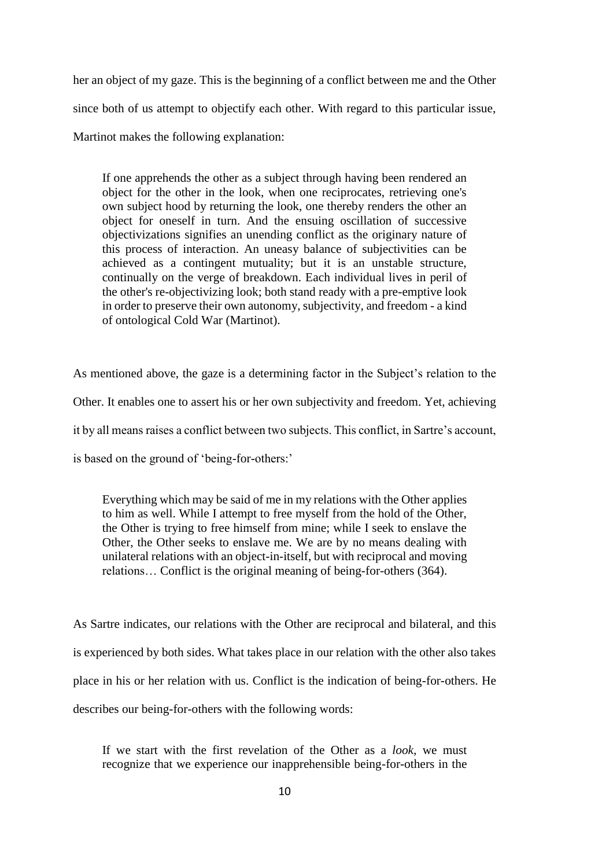her an object of my gaze. This is the beginning of a conflict between me and the Other since both of us attempt to objectify each other. With regard to this particular issue, Martinot makes the following explanation:

If one apprehends the other as a subject through having been rendered an object for the other in the look, when one reciprocates, retrieving one's own subject hood by returning the look, one thereby renders the other an object for oneself in turn. And the ensuing oscillation of successive objectivizations signifies an unending conflict as the originary nature of this process of interaction. An uneasy balance of subjectivities can be achieved as a contingent mutuality; but it is an unstable structure, continually on the verge of breakdown. Each individual lives in peril of the other's re-objectivizing look; both stand ready with a pre-emptive look in order to preserve their own autonomy, subjectivity, and freedom - a kind of ontological Cold War (Martinot).

As mentioned above, the gaze is a determining factor in the Subject's relation to the Other. It enables one to assert his or her own subjectivity and freedom. Yet, achieving it by all means raises a conflict between two subjects. This conflict, in Sartre's account, is based on the ground of 'being-for-others:'

Everything which may be said of me in my relations with the Other applies to him as well. While I attempt to free myself from the hold of the Other, the Other is trying to free himself from mine; while I seek to enslave the Other, the Other seeks to enslave me. We are by no means dealing with unilateral relations with an object-in-itself, but with reciprocal and moving relations… Conflict is the original meaning of being-for-others (364).

As Sartre indicates, our relations with the Other are reciprocal and bilateral, and this is experienced by both sides. What takes place in our relation with the other also takes place in his or her relation with us. Conflict is the indication of being-for-others. He describes our being-for-others with the following words:

If we start with the first revelation of the Other as a *look*, we must recognize that we experience our inapprehensible being-for-others in the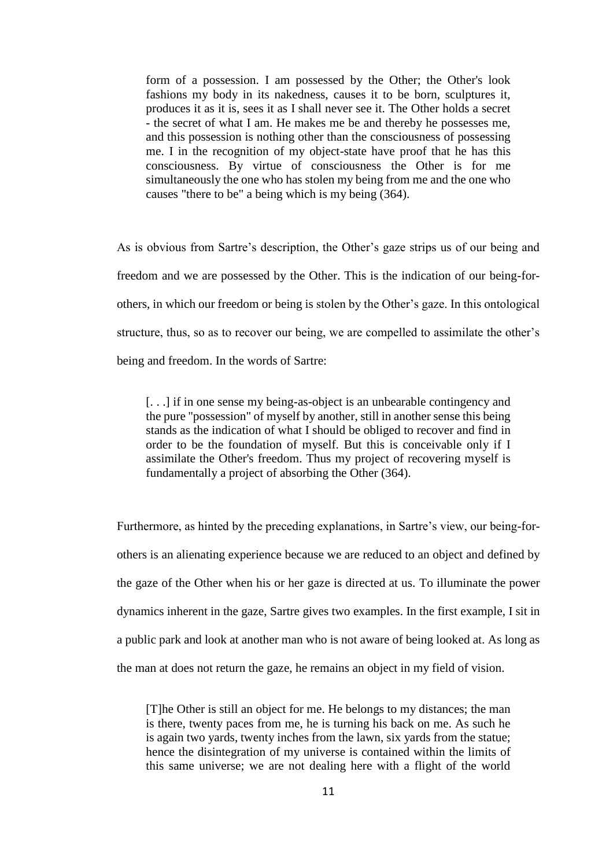form of a possession. I am possessed by the Other; the Other's look fashions my body in its nakedness, causes it to be born, sculptures it, produces it as it is, sees it as I shall never see it. The Other holds a secret - the secret of what I am. He makes me be and thereby he possesses me, and this possession is nothing other than the consciousness of possessing me. I in the recognition of my object-state have proof that he has this consciousness. By virtue of consciousness the Other is for me simultaneously the one who has stolen my being from me and the one who causes "there to be" a being which is my being (364).

As is obvious from Sartre's description, the Other's gaze strips us of our being and freedom and we are possessed by the Other. This is the indication of our being-forothers, in which our freedom or being is stolen by the Other's gaze. In this ontological structure, thus, so as to recover our being, we are compelled to assimilate the other's being and freedom. In the words of Sartre:

[. . .] if in one sense my being-as-object is an unbearable contingency and the pure "possession" of myself by another, still in another sense this being stands as the indication of what I should be obliged to recover and find in order to be the foundation of myself. But this is conceivable only if I assimilate the Other's freedom. Thus my project of recovering myself is fundamentally a project of absorbing the Other (364).

Furthermore, as hinted by the preceding explanations, in Sartre's view, our being-forothers is an alienating experience because we are reduced to an object and defined by the gaze of the Other when his or her gaze is directed at us. To illuminate the power dynamics inherent in the gaze, Sartre gives two examples. In the first example, I sit in a public park and look at another man who is not aware of being looked at. As long as the man at does not return the gaze, he remains an object in my field of vision.

[T]he Other is still an object for me. He belongs to my distances; the man is there, twenty paces from me, he is turning his back on me. As such he is again two yards, twenty inches from the lawn, six yards from the statue; hence the disintegration of my universe is contained within the limits of this same universe; we are not dealing here with a flight of the world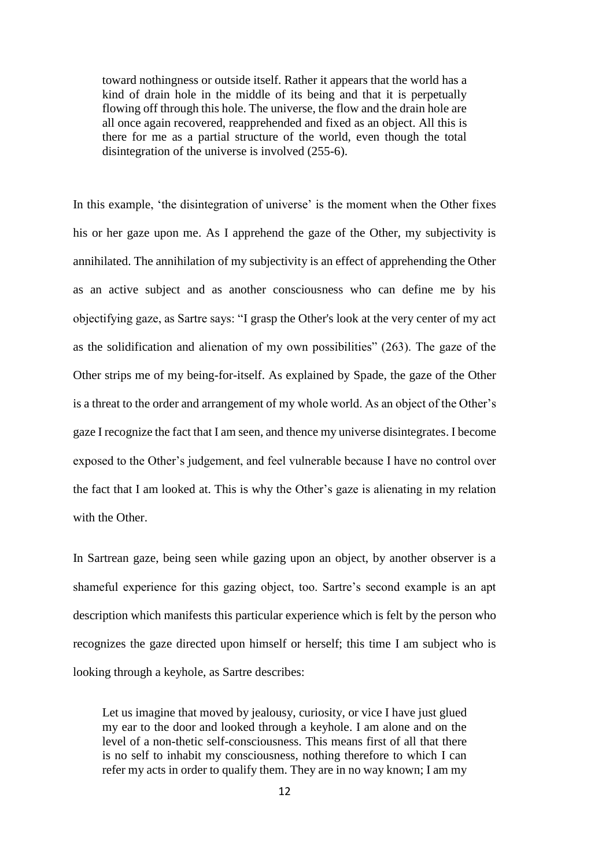toward nothingness or outside itself. Rather it appears that the world has a kind of drain hole in the middle of its being and that it is perpetually flowing off through this hole. The universe, the flow and the drain hole are all once again recovered, reapprehended and fixed as an object. All this is there for me as a partial structure of the world, even though the total disintegration of the universe is involved (255-6).

In this example, 'the disintegration of universe' is the moment when the Other fixes his or her gaze upon me. As I apprehend the gaze of the Other, my subjectivity is annihilated. The annihilation of my subjectivity is an effect of apprehending the Other as an active subject and as another consciousness who can define me by his objectifying gaze, as Sartre says: "I grasp the Other's look at the very center of my act as the solidification and alienation of my own possibilities" (263). The gaze of the Other strips me of my being-for-itself. As explained by Spade, the gaze of the Other is a threat to the order and arrangement of my whole world. As an object of the Other's gaze I recognize the fact that I am seen, and thence my universe disintegrates. I become exposed to the Other's judgement, and feel vulnerable because I have no control over the fact that I am looked at. This is why the Other's gaze is alienating in my relation with the Other.

In Sartrean gaze, being seen while gazing upon an object, by another observer is a shameful experience for this gazing object, too. Sartre's second example is an apt description which manifests this particular experience which is felt by the person who recognizes the gaze directed upon himself or herself; this time I am subject who is looking through a keyhole, as Sartre describes:

Let us imagine that moved by jealousy, curiosity, or vice I have just glued my ear to the door and looked through a keyhole. I am alone and on the level of a non-thetic self-consciousness. This means first of all that there is no self to inhabit my consciousness, nothing therefore to which I can refer my acts in order to qualify them. They are in no way known; I am my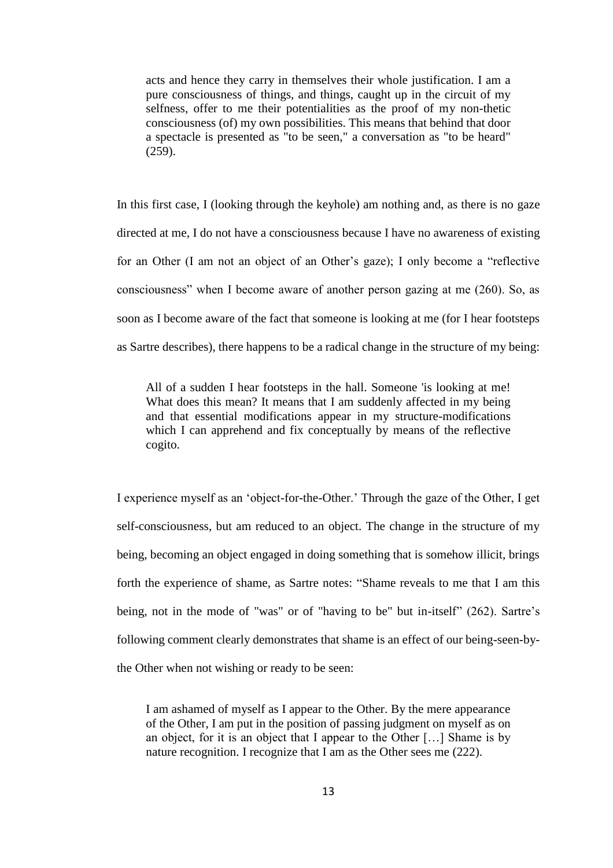acts and hence they carry in themselves their whole justification. I am a pure consciousness of things, and things, caught up in the circuit of my selfness, offer to me their potentialities as the proof of my non-thetic consciousness (of) my own possibilities. This means that behind that door a spectacle is presented as "to be seen," a conversation as "to be heard" (259).

In this first case, I (looking through the keyhole) am nothing and, as there is no gaze directed at me, I do not have a consciousness because I have no awareness of existing for an Other (I am not an object of an Other's gaze); I only become a "reflective consciousness" when I become aware of another person gazing at me (260). So, as soon as I become aware of the fact that someone is looking at me (for I hear footsteps as Sartre describes), there happens to be a radical change in the structure of my being:

All of a sudden I hear footsteps in the hall. Someone 'is looking at me! What does this mean? It means that I am suddenly affected in my being and that essential modifications appear in my structure-modifications which I can apprehend and fix conceptually by means of the reflective cogito.

I experience myself as an 'object-for-the-Other.' Through the gaze of the Other, I get self-consciousness, but am reduced to an object. The change in the structure of my being, becoming an object engaged in doing something that is somehow illicit, brings forth the experience of shame, as Sartre notes: "Shame reveals to me that I am this being, not in the mode of "was" or of "having to be" but in-itself" (262). Sartre's following comment clearly demonstrates that shame is an effect of our being-seen-bythe Other when not wishing or ready to be seen:

I am ashamed of myself as I appear to the Other. By the mere appearance of the Other, I am put in the position of passing judgment on myself as on an object, for it is an object that I appear to the Other […] Shame is by nature recognition. I recognize that I am as the Other sees me (222).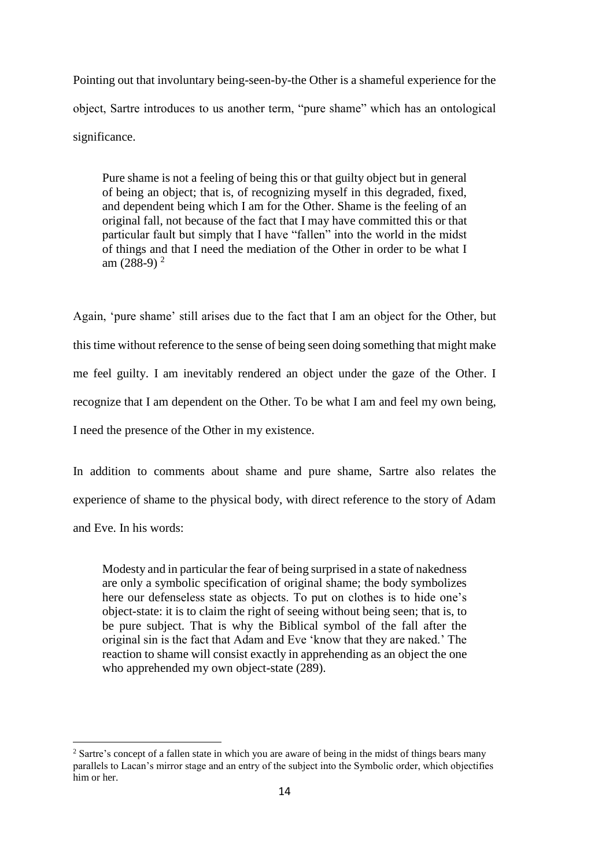Pointing out that involuntary being-seen-by-the Other is a shameful experience for the object, Sartre introduces to us another term, "pure shame" which has an ontological significance.

Pure shame is not a feeling of being this or that guilty object but in general of being an object; that is, of recognizing myself in this degraded, fixed, and dependent being which I am for the Other. Shame is the feeling of an original fall, not because of the fact that I may have committed this or that particular fault but simply that I have "fallen" into the world in the midst of things and that I need the mediation of the Other in order to be what I am  $(288-9)^2$ 

Again, 'pure shame' still arises due to the fact that I am an object for the Other, but this time without reference to the sense of being seen doing something that might make me feel guilty. I am inevitably rendered an object under the gaze of the Other. I recognize that I am dependent on the Other. To be what I am and feel my own being, I need the presence of the Other in my existence.

In addition to comments about shame and pure shame, Sartre also relates the experience of shame to the physical body, with direct reference to the story of Adam and Eve. In his words:

Modesty and in particular the fear of being surprised in a state of nakedness are only a symbolic specification of original shame; the body symbolizes here our defenseless state as objects. To put on clothes is to hide one's object-state: it is to claim the right of seeing without being seen; that is, to be pure subject. That is why the Biblical symbol of the fall after the original sin is the fact that Adam and Eve 'know that they are naked.' The reaction to shame will consist exactly in apprehending as an object the one who apprehended my own object-state (289).

 $\overline{a}$ 

<sup>&</sup>lt;sup>2</sup> Sartre's concept of a fallen state in which you are aware of being in the midst of things bears many parallels to Lacan's mirror stage and an entry of the subject into the Symbolic order, which objectifies him or her.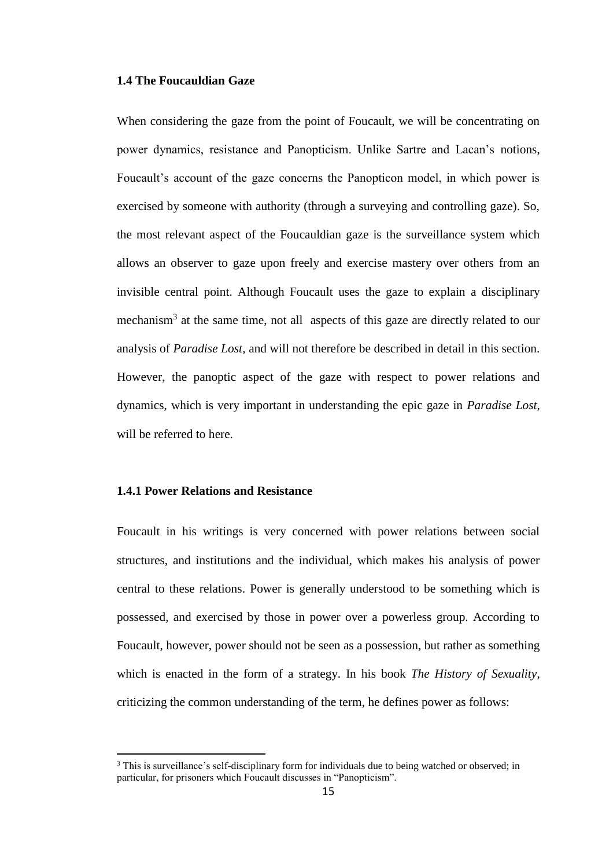## **1.4 The Foucauldian Gaze**

When considering the gaze from the point of Foucault, we will be concentrating on power dynamics, resistance and Panopticism. Unlike Sartre and Lacan's notions, Foucault's account of the gaze concerns the Panopticon model, in which power is exercised by someone with authority (through a surveying and controlling gaze). So, the most relevant aspect of the Foucauldian gaze is the surveillance system which allows an observer to gaze upon freely and exercise mastery over others from an invisible central point. Although Foucault uses the gaze to explain a disciplinary mechanism<sup>3</sup> at the same time, not all aspects of this gaze are directly related to our analysis of *Paradise Lost,* and will not therefore be described in detail in this section. However, the panoptic aspect of the gaze with respect to power relations and dynamics, which is very important in understanding the epic gaze in *Paradise Lost*, will be referred to here.

## **1.4.1 Power Relations and Resistance**

l

Foucault in his writings is very concerned with power relations between social structures, and institutions and the individual, which makes his analysis of power central to these relations. Power is generally understood to be something which is possessed, and exercised by those in power over a powerless group. According to Foucault, however, power should not be seen as a possession, but rather as something which is enacted in the form of a strategy. In his book *The History of Sexuality*, criticizing the common understanding of the term, he defines power as follows:

<sup>&</sup>lt;sup>3</sup> This is surveillance's self-disciplinary form for individuals due to being watched or observed; in particular, for prisoners which Foucault discusses in "Panopticism".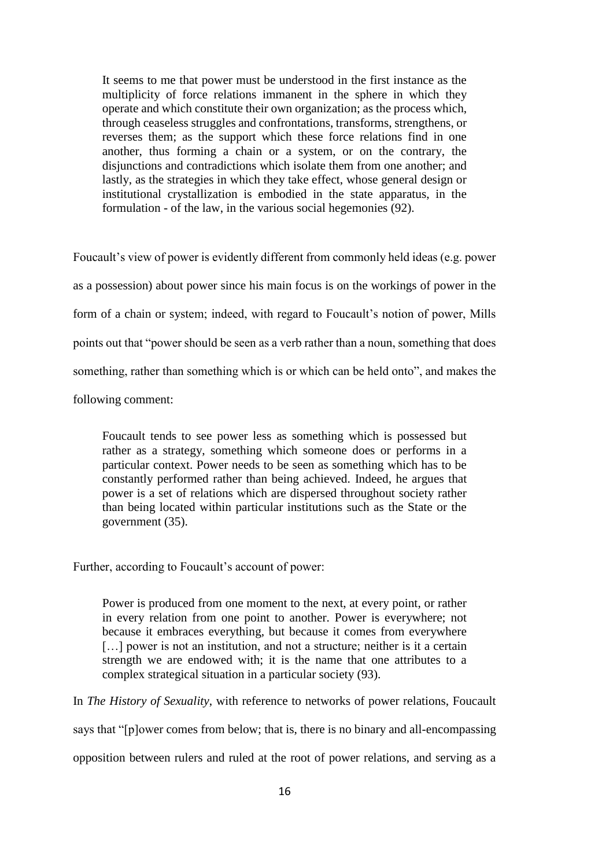It seems to me that power must be understood in the first instance as the multiplicity of force relations immanent in the sphere in which they operate and which constitute their own organization; as the process which, through ceaseless struggles and confrontations, transforms, strengthens, or reverses them; as the support which these force relations find in one another, thus forming a chain or a system, or on the contrary, the disjunctions and contradictions which isolate them from one another; and lastly, as the strategies in which they take effect, whose general design or institutional crystallization is embodied in the state apparatus, in the formulation - of the law, in the various social hegemonies (92).

Foucault's view of power is evidently different from commonly held ideas (e.g. power as a possession) about power since his main focus is on the workings of power in the form of a chain or system; indeed, with regard to Foucault's notion of power, Mills points out that "power should be seen as a verb rather than a noun, something that does something, rather than something which is or which can be held onto", and makes the

following comment:

Foucault tends to see power less as something which is possessed but rather as a strategy, something which someone does or performs in a particular context. Power needs to be seen as something which has to be constantly performed rather than being achieved. Indeed, he argues that power is a set of relations which are dispersed throughout society rather than being located within particular institutions such as the State or the government (35).

Further, according to Foucault's account of power:

Power is produced from one moment to the next, at every point, or rather in every relation from one point to another. Power is everywhere; not because it embraces everything, but because it comes from everywhere [...] power is not an institution, and not a structure; neither is it a certain strength we are endowed with; it is the name that one attributes to a complex strategical situation in a particular society (93).

In *The History of Sexuality*, with reference to networks of power relations, Foucault

says that "[p]ower comes from below; that is, there is no binary and all-encompassing

opposition between rulers and ruled at the root of power relations, and serving as a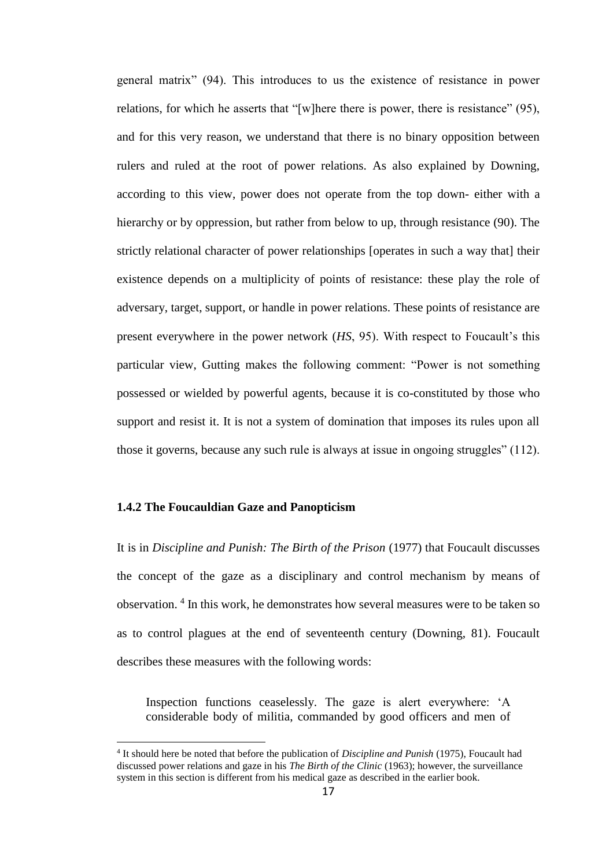general matrix" (94). This introduces to us the existence of resistance in power relations, for which he asserts that "[w]here there is power, there is resistance" (95), and for this very reason, we understand that there is no binary opposition between rulers and ruled at the root of power relations. As also explained by Downing, according to this view, power does not operate from the top down- either with a hierarchy or by oppression, but rather from below to up, through resistance (90). The strictly relational character of power relationships [operates in such a way that] their existence depends on a multiplicity of points of resistance: these play the role of adversary, target, support, or handle in power relations. These points of resistance are present everywhere in the power network (*HS*, 95). With respect to Foucault's this particular view, Gutting makes the following comment: "Power is not something possessed or wielded by powerful agents, because it is co-constituted by those who support and resist it. It is not a system of domination that imposes its rules upon all those it governs, because any such rule is always at issue in ongoing struggles" (112).

#### **1.4.2 The Foucauldian Gaze and Panopticism**

 $\overline{a}$ 

It is in *Discipline and Punish: The Birth of the Prison* (1977) that Foucault discusses the concept of the gaze as a disciplinary and control mechanism by means of observation. <sup>4</sup> In this work, he demonstrates how several measures were to be taken so as to control plagues at the end of seventeenth century (Downing, 81). Foucault describes these measures with the following words:

Inspection functions ceaselessly. The gaze is alert everywhere: 'A considerable body of militia, commanded by good officers and men of

<sup>4</sup> It should here be noted that before the publication of *Discipline and Punish* (1975), Foucault had discussed power relations and gaze in his *The Birth of the Clinic* (1963); however, the surveillance system in this section is different from his medical gaze as described in the earlier book.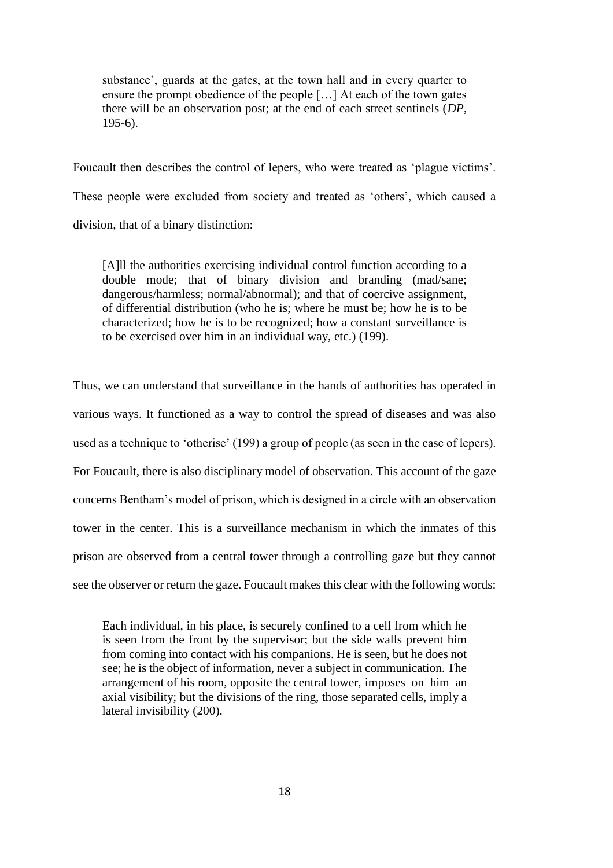substance', guards at the gates, at the town hall and in every quarter to ensure the prompt obedience of the people […] At each of the town gates there will be an observation post; at the end of each street sentinels (*DP*, 195-6).

Foucault then describes the control of lepers, who were treated as 'plague victims'. These people were excluded from society and treated as 'others', which caused a division, that of a binary distinction:

[A]ll the authorities exercising individual control function according to a double mode; that of binary division and branding (mad/sane; dangerous/harmless; normal/abnormal); and that of coercive assignment, of differential distribution (who he is; where he must be; how he is to be characterized; how he is to be recognized; how a constant surveillance is to be exercised over him in an individual way, etc.) (199).

Thus, we can understand that surveillance in the hands of authorities has operated in various ways. It functioned as a way to control the spread of diseases and was also used as a technique to 'otherise' (199) a group of people (as seen in the case of lepers). For Foucault, there is also disciplinary model of observation. This account of the gaze concerns Bentham's model of prison, which is designed in a circle with an observation tower in the center. This is a surveillance mechanism in which the inmates of this prison are observed from a central tower through a controlling gaze but they cannot see the observer or return the gaze. Foucault makes this clear with the following words:

Each individual, in his place, is securely confined to a cell from which he is seen from the front by the supervisor; but the side walls prevent him from coming into contact with his companions. He is seen, but he does not see; he is the object of information, never a subject in communication. The arrangement of his room, opposite the central tower, imposes on him an axial visibility; but the divisions of the ring, those separated cells, imply a lateral invisibility (200).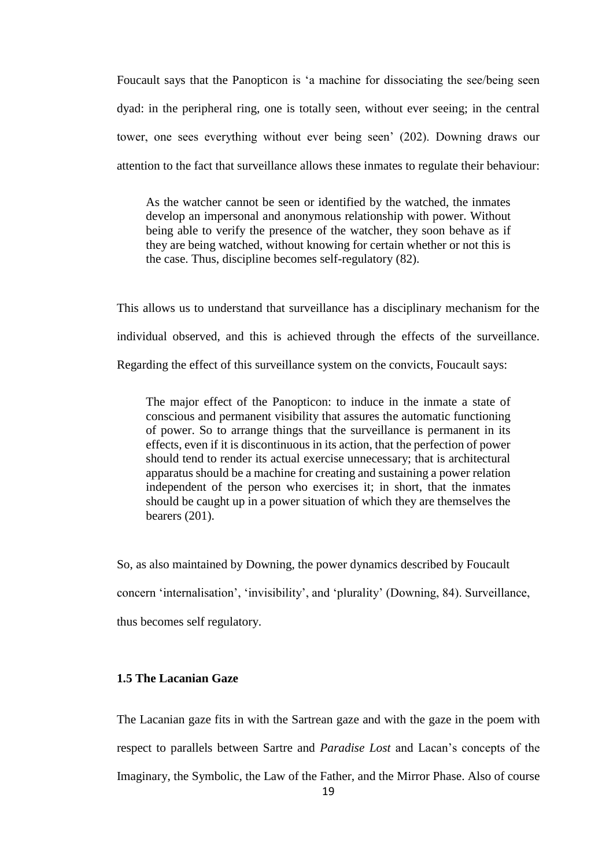Foucault says that the Panopticon is 'a machine for dissociating the see/being seen dyad: in the peripheral ring, one is totally seen, without ever seeing; in the central tower, one sees everything without ever being seen' (202). Downing draws our attention to the fact that surveillance allows these inmates to regulate their behaviour:

As the watcher cannot be seen or identified by the watched, the inmates develop an impersonal and anonymous relationship with power. Without being able to verify the presence of the watcher, they soon behave as if they are being watched, without knowing for certain whether or not this is the case. Thus, discipline becomes self-regulatory (82).

This allows us to understand that surveillance has a disciplinary mechanism for the individual observed, and this is achieved through the effects of the surveillance. Regarding the effect of this surveillance system on the convicts, Foucault says:

The major effect of the Panopticon: to induce in the inmate a state of conscious and permanent visibility that assures the automatic functioning of power. So to arrange things that the surveillance is permanent in its effects, even if it is discontinuous in its action, that the perfection of power should tend to render its actual exercise unnecessary; that is architectural apparatus should be a machine for creating and sustaining a power relation independent of the person who exercises it; in short, that the inmates should be caught up in a power situation of which they are themselves the bearers (201).

So, as also maintained by Downing, the power dynamics described by Foucault concern 'internalisation', 'invisibility', and 'plurality' (Downing, 84). Surveillance, thus becomes self regulatory.

# **1.5 The Lacanian Gaze**

The Lacanian gaze fits in with the Sartrean gaze and with the gaze in the poem with respect to parallels between Sartre and *Paradise Lost* and Lacan's concepts of the Imaginary, the Symbolic, the Law of the Father, and the Mirror Phase. Also of course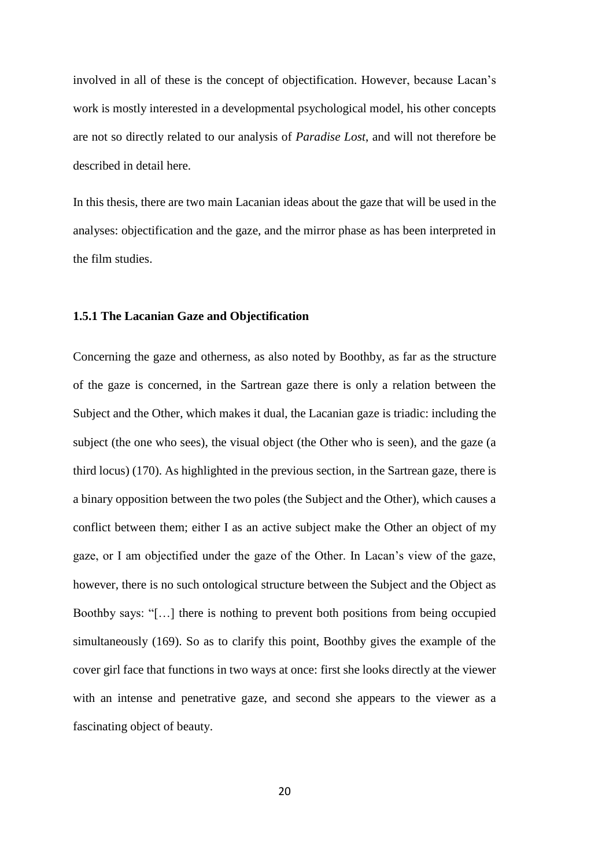involved in all of these is the concept of objectification. However, because Lacan's work is mostly interested in a developmental psychological model, his other concepts are not so directly related to our analysis of *Paradise Lost*, and will not therefore be described in detail here.

In this thesis, there are two main Lacanian ideas about the gaze that will be used in the analyses: objectification and the gaze, and the mirror phase as has been interpreted in the film studies.

#### **1.5.1 The Lacanian Gaze and Objectification**

Concerning the gaze and otherness, as also noted by Boothby, as far as the structure of the gaze is concerned, in the Sartrean gaze there is only a relation between the Subject and the Other, which makes it dual, the Lacanian gaze is triadic: including the subject (the one who sees), the visual object (the Other who is seen), and the gaze (a third locus) (170). As highlighted in the previous section, in the Sartrean gaze, there is a binary opposition between the two poles (the Subject and the Other), which causes a conflict between them; either I as an active subject make the Other an object of my gaze, or I am objectified under the gaze of the Other. In Lacan's view of the gaze, however, there is no such ontological structure between the Subject and the Object as Boothby says: "[…] there is nothing to prevent both positions from being occupied simultaneously (169). So as to clarify this point, Boothby gives the example of the cover girl face that functions in two ways at once: first she looks directly at the viewer with an intense and penetrative gaze, and second she appears to the viewer as a fascinating object of beauty.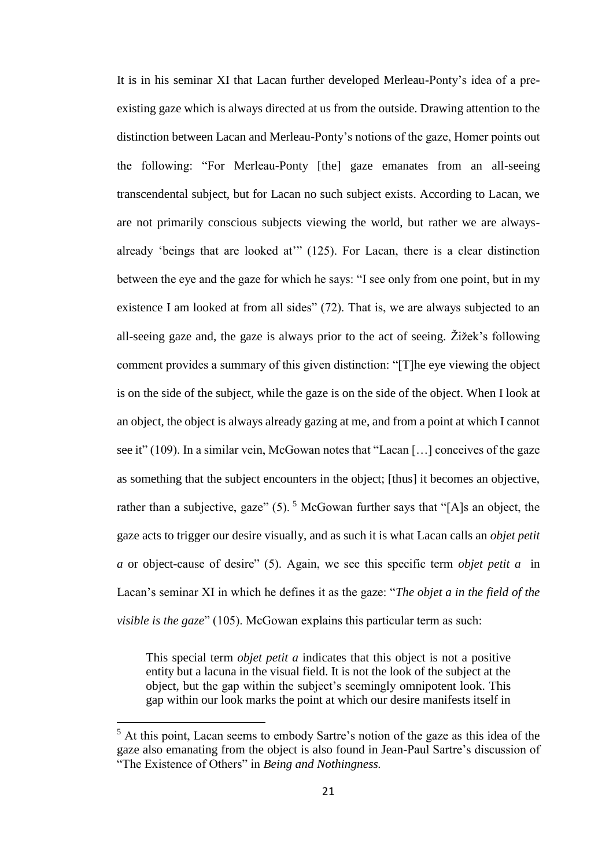It is in his seminar XI that Lacan further developed Merleau-Ponty's idea of a preexisting gaze which is always directed at us from the outside. Drawing attention to the distinction between Lacan and Merleau-Ponty's notions of the gaze, Homer points out the following: "For Merleau-Ponty [the] gaze emanates from an all-seeing transcendental subject, but for Lacan no such subject exists. According to Lacan, we are not primarily conscious subjects viewing the world, but rather we are alwaysalready 'beings that are looked at'" (125). For Lacan, there is a clear distinction between the eye and the gaze for which he says: "I see only from one point, but in my existence I am looked at from all sides" (72). That is, we are always subjected to an all-seeing gaze and, the gaze is always prior to the act of seeing. Žižek's following comment provides a summary of this given distinction: "[T]he eye viewing the object is on the side of the subject, while the gaze is on the side of the object. When I look at an object, the object is always already gazing at me, and from a point at which I cannot see it" (109). In a similar vein, McGowan notes that "Lacan […] conceives of the gaze as something that the subject encounters in the object; [thus] it becomes an objective, rather than a subjective, gaze"  $(5)$ . <sup>5</sup> McGowan further says that "[A]s an object, the gaze acts to trigger our desire visually, and as such it is what Lacan calls an *objet petit a* or object-cause of desire" (5). Again, we see this specific term *objet petit a* in Lacan's seminar XI in which he defines it as the gaze: "*The objet a in the field of the visible is the gaze*" (105). McGowan explains this particular term as such:

This special term *objet petit a* indicates that this object is not a positive entity but a lacuna in the visual field. It is not the look of the subject at the object, but the gap within the subject's seemingly omnipotent look. This gap within our look marks the point at which our desire manifests itself in

 $\overline{a}$ 

<sup>&</sup>lt;sup>5</sup> At this point, Lacan seems to embody Sartre's notion of the gaze as this idea of the gaze also emanating from the object is also found in Jean-Paul Sartre's discussion of "The Existence of Others" in *Being and Nothingness.*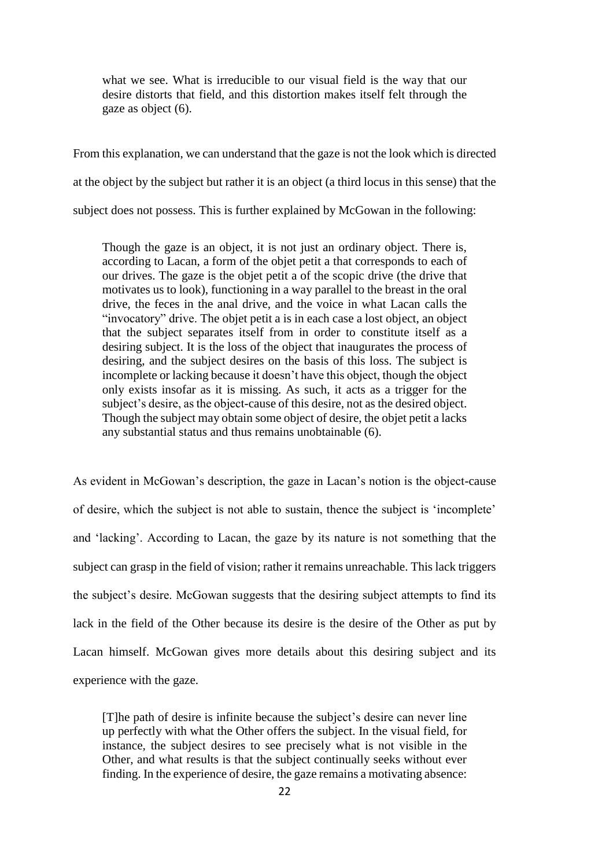what we see. What is irreducible to our visual field is the way that our desire distorts that field, and this distortion makes itself felt through the gaze as object (6).

From this explanation, we can understand that the gaze is not the look which is directed at the object by the subject but rather it is an object (a third locus in this sense) that the subject does not possess. This is further explained by McGowan in the following:

Though the gaze is an object, it is not just an ordinary object. There is, according to Lacan, a form of the objet petit a that corresponds to each of our drives. The gaze is the objet petit a of the scopic drive (the drive that motivates us to look), functioning in a way parallel to the breast in the oral drive, the feces in the anal drive, and the voice in what Lacan calls the "invocatory" drive. The objet petit a is in each case a lost object, an object that the subject separates itself from in order to constitute itself as a desiring subject. It is the loss of the object that inaugurates the process of desiring, and the subject desires on the basis of this loss. The subject is incomplete or lacking because it doesn't have this object, though the object only exists insofar as it is missing. As such, it acts as a trigger for the subject's desire, as the object-cause of this desire, not as the desired object. Though the subject may obtain some object of desire, the objet petit a lacks any substantial status and thus remains unobtainable (6).

As evident in McGowan's description, the gaze in Lacan's notion is the object-cause of desire, which the subject is not able to sustain, thence the subject is 'incomplete' and 'lacking'. According to Lacan, the gaze by its nature is not something that the subject can grasp in the field of vision; rather it remains unreachable. This lack triggers the subject's desire. McGowan suggests that the desiring subject attempts to find its lack in the field of the Other because its desire is the desire of the Other as put by Lacan himself. McGowan gives more details about this desiring subject and its experience with the gaze.

[T]he path of desire is infinite because the subject's desire can never line up perfectly with what the Other offers the subject. In the visual field, for instance, the subject desires to see precisely what is not visible in the Other, and what results is that the subject continually seeks without ever finding. In the experience of desire, the gaze remains a motivating absence: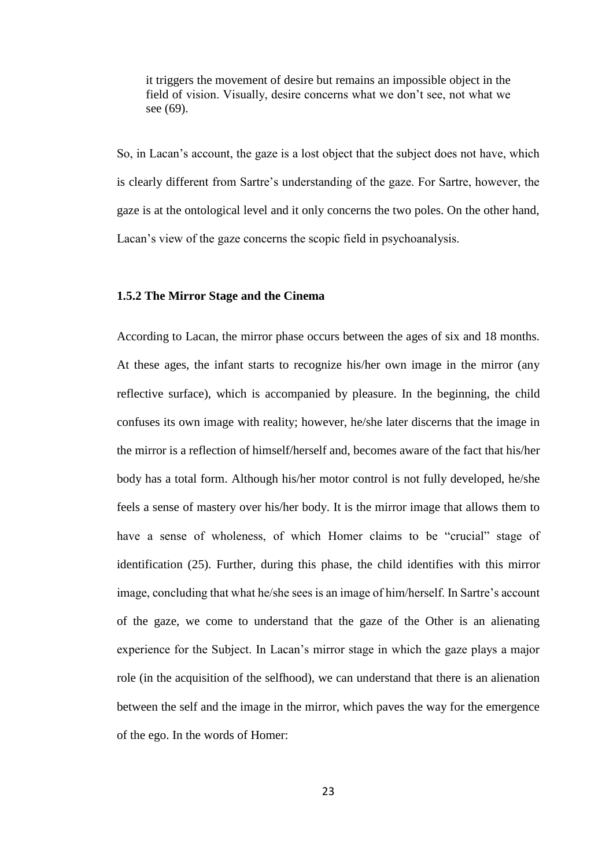it triggers the movement of desire but remains an impossible object in the field of vision. Visually, desire concerns what we don't see, not what we see (69).

So, in Lacan's account, the gaze is a lost object that the subject does not have, which is clearly different from Sartre's understanding of the gaze. For Sartre, however, the gaze is at the ontological level and it only concerns the two poles. On the other hand, Lacan's view of the gaze concerns the scopic field in psychoanalysis.

### **1.5.2 The Mirror Stage and the Cinema**

According to Lacan, the mirror phase occurs between the ages of six and 18 months. At these ages, the infant starts to recognize his/her own image in the mirror (any reflective surface), which is accompanied by pleasure. In the beginning, the child confuses its own image with reality; however, he/she later discerns that the image in the mirror is a reflection of himself/herself and, becomes aware of the fact that his/her body has a total form. Although his/her motor control is not fully developed, he/she feels a sense of mastery over his/her body. It is the mirror image that allows them to have a sense of wholeness, of which Homer claims to be "crucial" stage of identification (25). Further, during this phase, the child identifies with this mirror image, concluding that what he/she sees is an image of him/herself. In Sartre's account of the gaze, we come to understand that the gaze of the Other is an alienating experience for the Subject. In Lacan's mirror stage in which the gaze plays a major role (in the acquisition of the selfhood), we can understand that there is an alienation between the self and the image in the mirror, which paves the way for the emergence of the ego. In the words of Homer: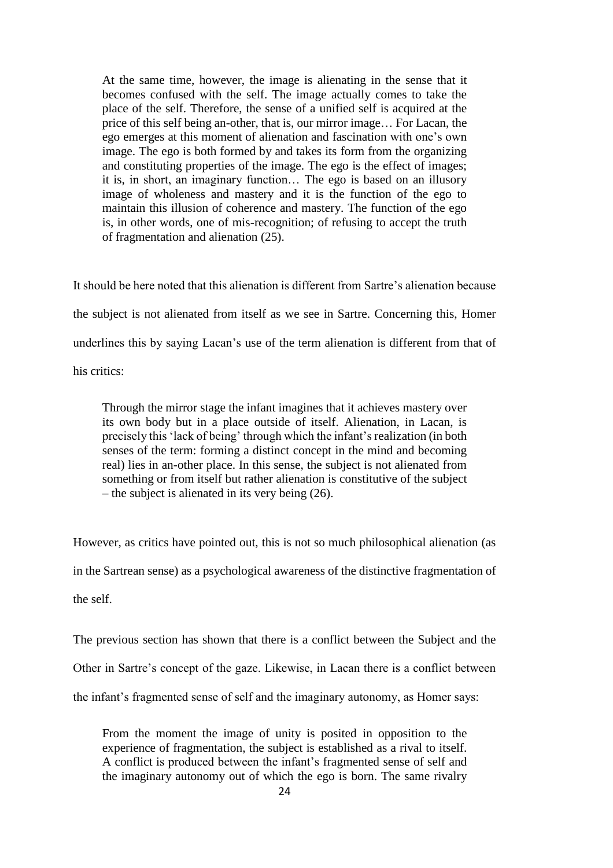At the same time, however, the image is alienating in the sense that it becomes confused with the self. The image actually comes to take the place of the self. Therefore, the sense of a unified self is acquired at the price of this self being an-other, that is, our mirror image… For Lacan, the ego emerges at this moment of alienation and fascination with one's own image. The ego is both formed by and takes its form from the organizing and constituting properties of the image. The ego is the effect of images; it is, in short, an imaginary function… The ego is based on an illusory image of wholeness and mastery and it is the function of the ego to maintain this illusion of coherence and mastery. The function of the ego is, in other words, one of mis-recognition; of refusing to accept the truth of fragmentation and alienation (25).

It should be here noted that this alienation is different from Sartre's alienation because the subject is not alienated from itself as we see in Sartre. Concerning this, Homer underlines this by saying Lacan's use of the term alienation is different from that of his critics:

Through the mirror stage the infant imagines that it achieves mastery over its own body but in a place outside of itself. Alienation, in Lacan, is precisely this 'lack of being' through which the infant's realization (in both senses of the term: forming a distinct concept in the mind and becoming real) lies in an-other place. In this sense, the subject is not alienated from something or from itself but rather alienation is constitutive of the subject – the subject is alienated in its very being (26).

However, as critics have pointed out, this is not so much philosophical alienation (as

in the Sartrean sense) as a psychological awareness of the distinctive fragmentation of

the self.

The previous section has shown that there is a conflict between the Subject and the

Other in Sartre's concept of the gaze. Likewise, in Lacan there is a conflict between

the infant's fragmented sense of self and the imaginary autonomy, as Homer says:

From the moment the image of unity is posited in opposition to the experience of fragmentation, the subject is established as a rival to itself. A conflict is produced between the infant's fragmented sense of self and the imaginary autonomy out of which the ego is born. The same rivalry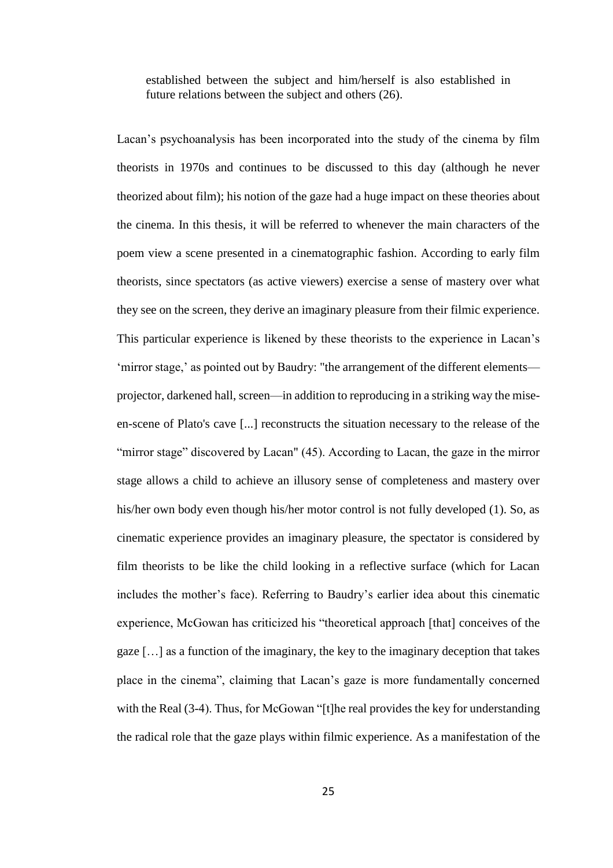established between the subject and him/herself is also established in future relations between the subject and others (26).

Lacan's psychoanalysis has been incorporated into the study of the cinema by film theorists in 1970s and continues to be discussed to this day (although he never theorized about film); his notion of the gaze had a huge impact on these theories about the cinema. In this thesis, it will be referred to whenever the main characters of the poem view a scene presented in a cinematographic fashion. According to early film theorists, since spectators (as active viewers) exercise a sense of mastery over what they see on the screen, they derive an imaginary pleasure from their filmic experience. This particular experience is likened by these theorists to the experience in Lacan's 'mirror stage,' as pointed out by Baudry: "the arrangement of the different elements projector, darkened hall, screen—in addition to reproducing in a striking way the miseen-scene of Plato's cave [...] reconstructs the situation necessary to the release of the "mirror stage" discovered by Lacan" (45). According to Lacan, the gaze in the mirror stage allows a child to achieve an illusory sense of completeness and mastery over his/her own body even though his/her motor control is not fully developed (1). So, as cinematic experience provides an imaginary pleasure, the spectator is considered by film theorists to be like the child looking in a reflective surface (which for Lacan includes the mother's face). Referring to Baudry's earlier idea about this cinematic experience, McGowan has criticized his "theoretical approach [that] conceives of the gaze […] as a function of the imaginary, the key to the imaginary deception that takes place in the cinema", claiming that Lacan's gaze is more fundamentally concerned with the Real (3-4). Thus, for McGowan "[t]he real provides the key for understanding the radical role that the gaze plays within filmic experience. As a manifestation of the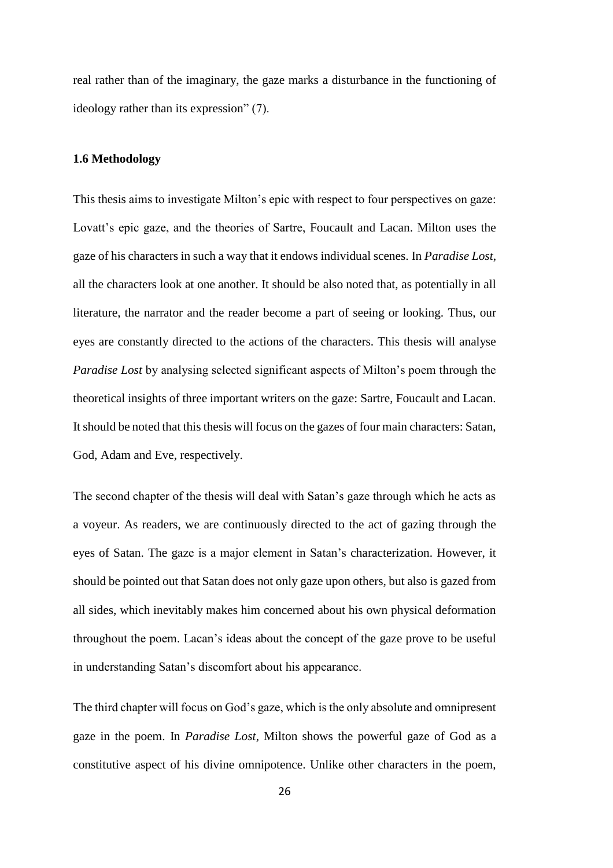real rather than of the imaginary, the gaze marks a disturbance in the functioning of ideology rather than its expression" (7).

#### **1.6 Methodology**

This thesis aims to investigate Milton's epic with respect to four perspectives on gaze: Lovatt's epic gaze, and the theories of Sartre, Foucault and Lacan. Milton uses the gaze of his characters in such a way that it endows individual scenes. In *Paradise Lost*, all the characters look at one another. It should be also noted that, as potentially in all literature, the narrator and the reader become a part of seeing or looking. Thus, our eyes are constantly directed to the actions of the characters. This thesis will analyse *Paradise Lost* by analysing selected significant aspects of Milton's poem through the theoretical insights of three important writers on the gaze: Sartre, Foucault and Lacan. It should be noted that this thesis will focus on the gazes of four main characters: Satan, God, Adam and Eve, respectively.

The second chapter of the thesis will deal with Satan's gaze through which he acts as a voyeur. As readers, we are continuously directed to the act of gazing through the eyes of Satan. The gaze is a major element in Satan's characterization. However, it should be pointed out that Satan does not only gaze upon others, but also is gazed from all sides, which inevitably makes him concerned about his own physical deformation throughout the poem. Lacan's ideas about the concept of the gaze prove to be useful in understanding Satan's discomfort about his appearance.

The third chapter will focus on God's gaze, which is the only absolute and omnipresent gaze in the poem. In *Paradise Lost*, Milton shows the powerful gaze of God as a constitutive aspect of his divine omnipotence. Unlike other characters in the poem,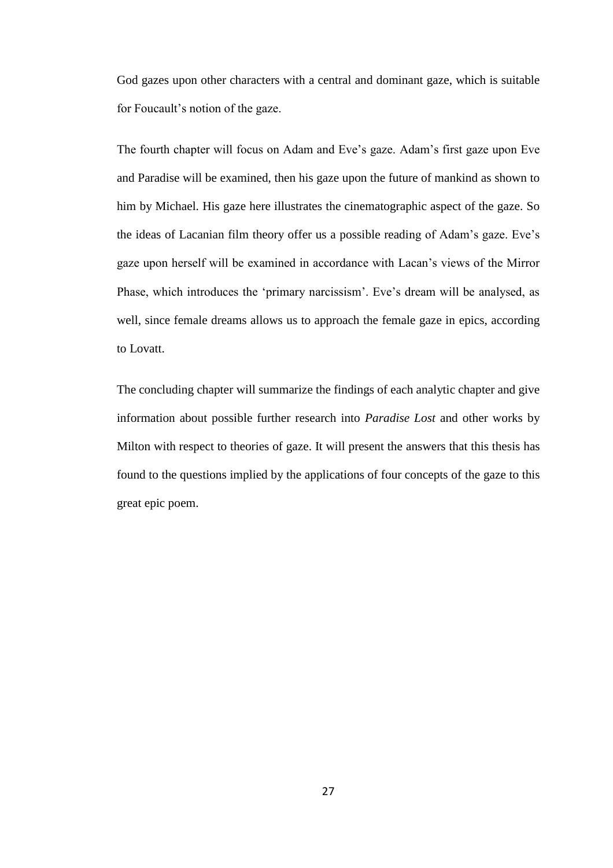God gazes upon other characters with a central and dominant gaze, which is suitable for Foucault's notion of the gaze.

The fourth chapter will focus on Adam and Eve's gaze. Adam's first gaze upon Eve and Paradise will be examined, then his gaze upon the future of mankind as shown to him by Michael. His gaze here illustrates the cinematographic aspect of the gaze. So the ideas of Lacanian film theory offer us a possible reading of Adam's gaze. Eve's gaze upon herself will be examined in accordance with Lacan's views of the Mirror Phase, which introduces the 'primary narcissism'. Eve's dream will be analysed, as well, since female dreams allows us to approach the female gaze in epics, according to Lovatt.

The concluding chapter will summarize the findings of each analytic chapter and give information about possible further research into *Paradise Lost* and other works by Milton with respect to theories of gaze. It will present the answers that this thesis has found to the questions implied by the applications of four concepts of the gaze to this great epic poem.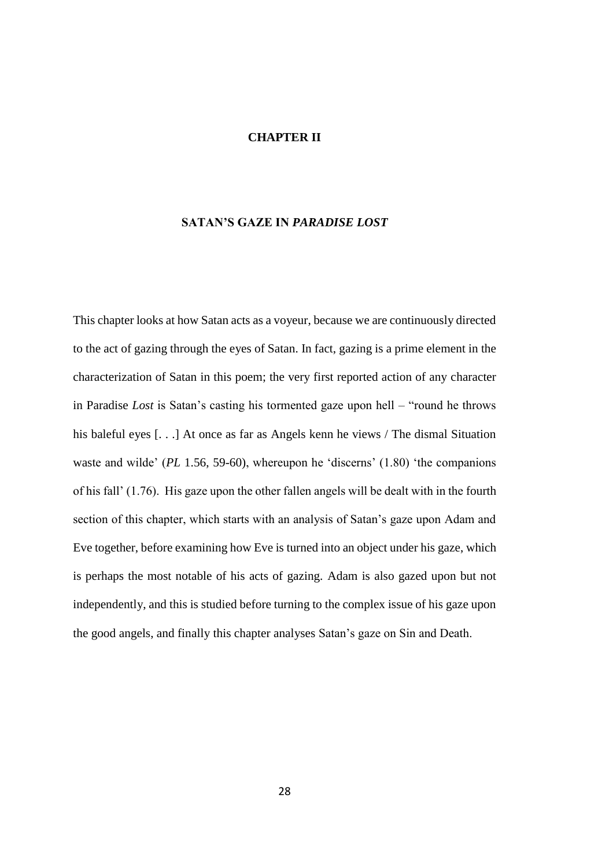#### **CHAPTER II**

# **SATAN'S GAZE IN** *PARADISE LOST*

This chapter looks at how Satan acts as a voyeur, because we are continuously directed to the act of gazing through the eyes of Satan. In fact, gazing is a prime element in the characterization of Satan in this poem; the very first reported action of any character in Paradise *Lost* is Satan's casting his tormented gaze upon hell – "round he throws his baleful eyes [...] At once as far as Angels kenn he views / The dismal Situation waste and wilde' (*PL* 1.56, 59-60), whereupon he 'discerns' (1.80) 'the companions of his fall' (1.76). His gaze upon the other fallen angels will be dealt with in the fourth section of this chapter, which starts with an analysis of Satan's gaze upon Adam and Eve together, before examining how Eve is turned into an object under his gaze, which is perhaps the most notable of his acts of gazing. Adam is also gazed upon but not independently, and this is studied before turning to the complex issue of his gaze upon the good angels, and finally this chapter analyses Satan's gaze on Sin and Death.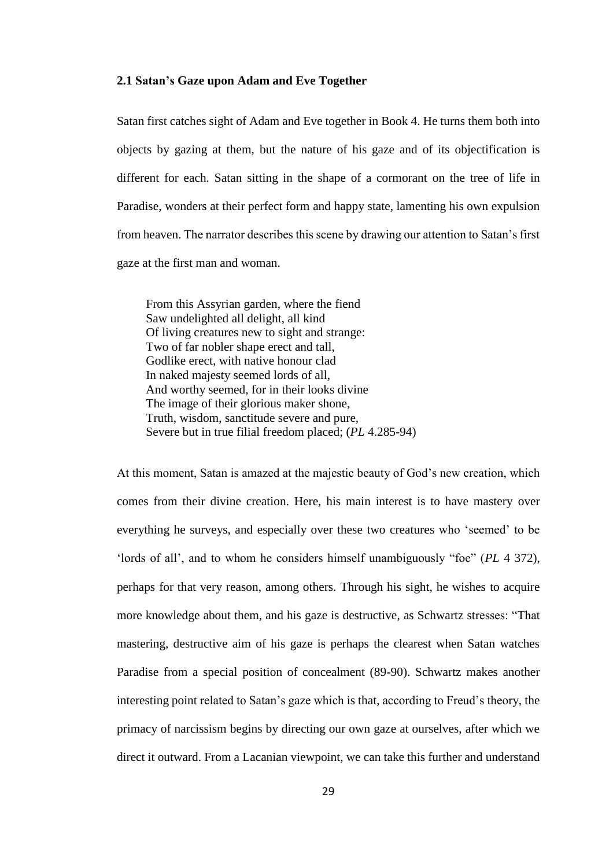# **2.1 Satan's Gaze upon Adam and Eve Together**

Satan first catches sight of Adam and Eve together in Book 4. He turns them both into objects by gazing at them, but the nature of his gaze and of its objectification is different for each. Satan sitting in the shape of a cormorant on the tree of life in Paradise, wonders at their perfect form and happy state, lamenting his own expulsion from heaven. The narrator describes this scene by drawing our attention to Satan's first gaze at the first man and woman.

From this Assyrian garden, where the fiend Saw undelighted all delight, all kind Of living creatures new to sight and strange: Two of far nobler shape erect and tall, Godlike erect, with native honour clad In naked majesty seemed lords of all, And worthy seemed, for in their looks divine The image of their glorious maker shone, Truth, wisdom, sanctitude severe and pure, Severe but in true filial freedom placed; (*PL* 4.285-94)

At this moment, Satan is amazed at the majestic beauty of God's new creation, which comes from their divine creation. Here, his main interest is to have mastery over everything he surveys, and especially over these two creatures who 'seemed' to be 'lords of all', and to whom he considers himself unambiguously "foe" (*PL* 4 372), perhaps for that very reason, among others. Through his sight, he wishes to acquire more knowledge about them, and his gaze is destructive, as Schwartz stresses: "That mastering, destructive aim of his gaze is perhaps the clearest when Satan watches Paradise from a special position of concealment (89-90). Schwartz makes another interesting point related to Satan's gaze which is that, according to Freud's theory, the primacy of narcissism begins by directing our own gaze at ourselves, after which we direct it outward. From a Lacanian viewpoint, we can take this further and understand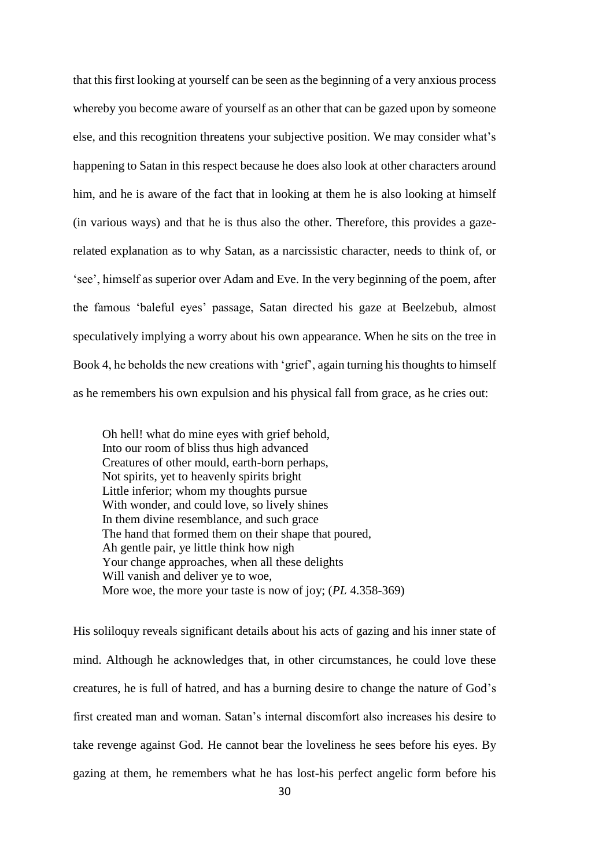that this first looking at yourself can be seen as the beginning of a very anxious process whereby you become aware of yourself as an other that can be gazed upon by someone else, and this recognition threatens your subjective position. We may consider what's happening to Satan in this respect because he does also look at other characters around him, and he is aware of the fact that in looking at them he is also looking at himself (in various ways) and that he is thus also the other. Therefore, this provides a gazerelated explanation as to why Satan, as a narcissistic character, needs to think of, or 'see', himself as superior over Adam and Eve. In the very beginning of the poem, after the famous 'baleful eyes' passage, Satan directed his gaze at Beelzebub, almost speculatively implying a worry about his own appearance. When he sits on the tree in Book 4, he beholds the new creations with 'grief', again turning his thoughts to himself as he remembers his own expulsion and his physical fall from grace, as he cries out:

Oh hell! what do mine eyes with grief behold, Into our room of bliss thus high advanced Creatures of other mould, earth-born perhaps, Not spirits, yet to heavenly spirits bright Little inferior; whom my thoughts pursue With wonder, and could love, so lively shines In them divine resemblance, and such grace The hand that formed them on their shape that poured, Ah gentle pair, ye little think how nigh Your change approaches, when all these delights Will vanish and deliver ye to woe, More woe, the more your taste is now of joy; (*PL* 4.358-369)

His soliloquy reveals significant details about his acts of gazing and his inner state of mind. Although he acknowledges that, in other circumstances, he could love these creatures, he is full of hatred, and has a burning desire to change the nature of God's first created man and woman. Satan's internal discomfort also increases his desire to take revenge against God. He cannot bear the loveliness he sees before his eyes. By gazing at them, he remembers what he has lost-his perfect angelic form before his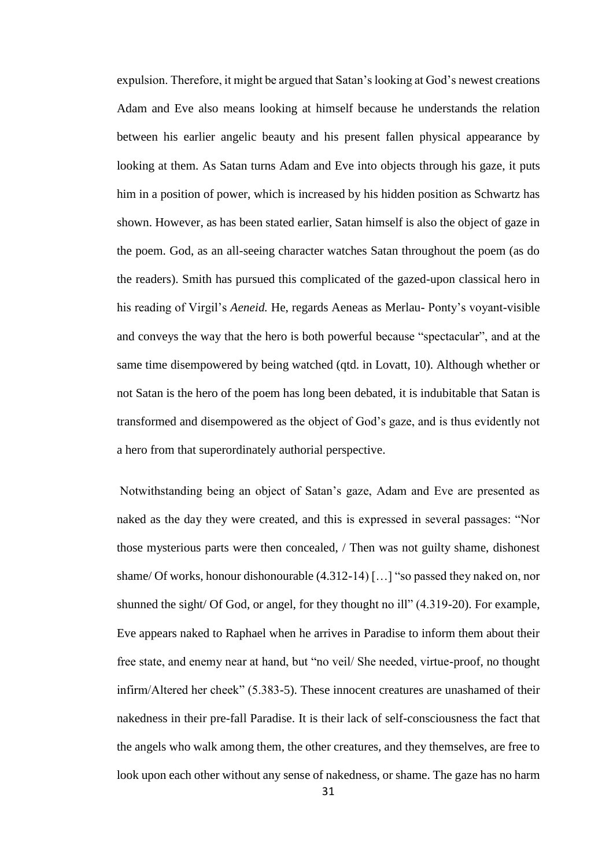expulsion. Therefore, it might be argued that Satan's looking at God's newest creations Adam and Eve also means looking at himself because he understands the relation between his earlier angelic beauty and his present fallen physical appearance by looking at them. As Satan turns Adam and Eve into objects through his gaze, it puts him in a position of power, which is increased by his hidden position as Schwartz has shown. However, as has been stated earlier, Satan himself is also the object of gaze in the poem. God, as an all-seeing character watches Satan throughout the poem (as do the readers). Smith has pursued this complicated of the gazed-upon classical hero in his reading of Virgil's *Aeneid.* He, regards Aeneas as Merlau- Ponty's voyant-visible and conveys the way that the hero is both powerful because "spectacular", and at the same time disempowered by being watched (qtd. in Lovatt, 10). Although whether or not Satan is the hero of the poem has long been debated, it is indubitable that Satan is transformed and disempowered as the object of God's gaze, and is thus evidently not a hero from that superordinately authorial perspective.

Notwithstanding being an object of Satan's gaze, Adam and Eve are presented as naked as the day they were created, and this is expressed in several passages: "Nor those mysterious parts were then concealed, / Then was not guilty shame, dishonest shame/ Of works, honour dishonourable (4.312-14) […] "so passed they naked on, nor shunned the sight/ Of God, or angel, for they thought no ill" (4.319-20). For example, Eve appears naked to Raphael when he arrives in Paradise to inform them about their free state, and enemy near at hand, but "no veil/ She needed, virtue-proof, no thought infirm/Altered her cheek" (5.383-5). These innocent creatures are unashamed of their nakedness in their pre-fall Paradise. It is their lack of self-consciousness the fact that the angels who walk among them, the other creatures, and they themselves, are free to look upon each other without any sense of nakedness, or shame. The gaze has no harm

31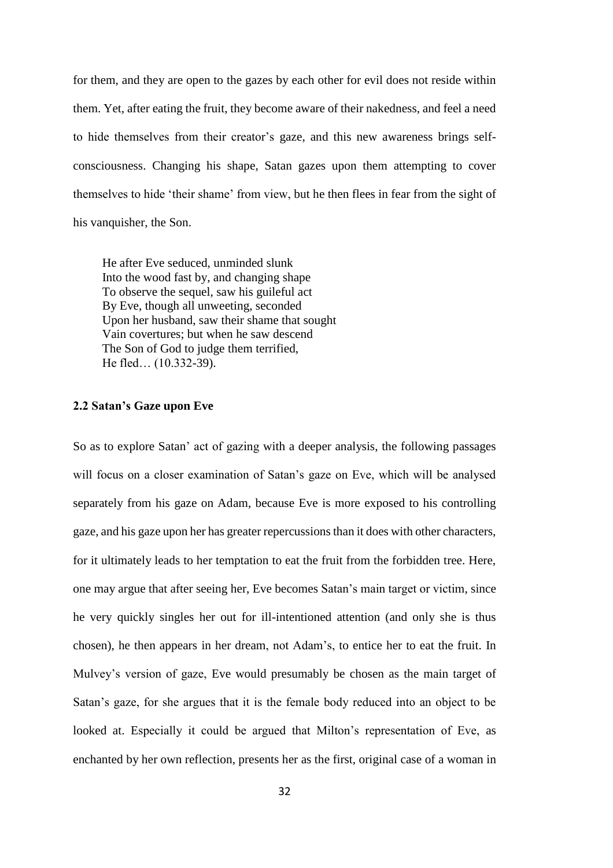for them, and they are open to the gazes by each other for evil does not reside within them. Yet, after eating the fruit, they become aware of their nakedness, and feel a need to hide themselves from their creator's gaze, and this new awareness brings selfconsciousness. Changing his shape, Satan gazes upon them attempting to cover themselves to hide 'their shame' from view, but he then flees in fear from the sight of his vanquisher, the Son.

He after Eve seduced, unminded slunk Into the wood fast by, and changing shape To observe the sequel, saw his guileful act By Eve, though all unweeting, seconded Upon her husband, saw their shame that sought Vain covertures; but when he saw descend The Son of God to judge them terrified, He fled… (10.332-39).

## **2.2 Satan's Gaze upon Eve**

So as to explore Satan' act of gazing with a deeper analysis, the following passages will focus on a closer examination of Satan's gaze on Eve, which will be analysed separately from his gaze on Adam, because Eve is more exposed to his controlling gaze, and his gaze upon her has greater repercussions than it does with other characters, for it ultimately leads to her temptation to eat the fruit from the forbidden tree. Here, one may argue that after seeing her, Eve becomes Satan's main target or victim, since he very quickly singles her out for ill-intentioned attention (and only she is thus chosen), he then appears in her dream, not Adam's, to entice her to eat the fruit. In Mulvey's version of gaze, Eve would presumably be chosen as the main target of Satan's gaze, for she argues that it is the female body reduced into an object to be looked at. Especially it could be argued that Milton's representation of Eve, as enchanted by her own reflection, presents her as the first, original case of a woman in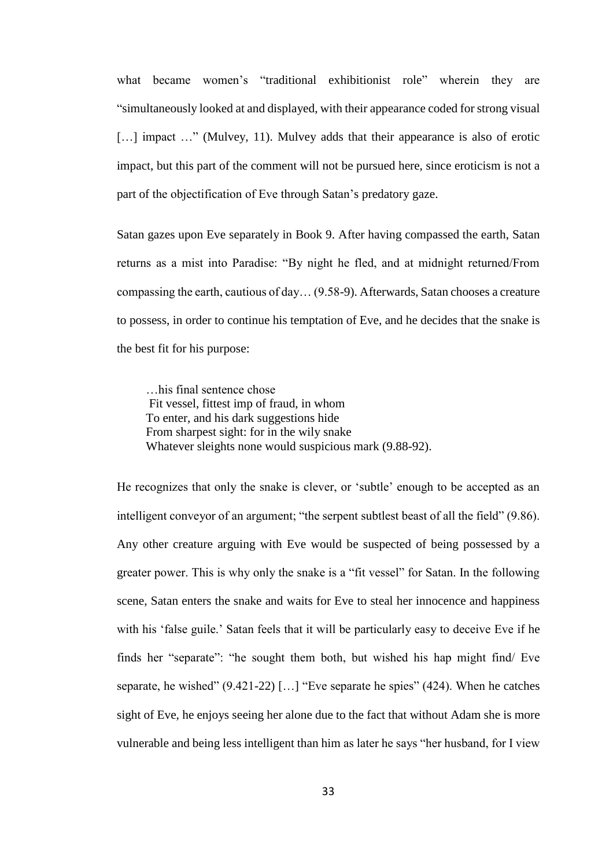what became women's "traditional exhibitionist role" wherein they are "simultaneously looked at and displayed, with their appearance coded for strong visual [...] impact ..." (Mulvey, 11). Mulvey adds that their appearance is also of erotic impact, but this part of the comment will not be pursued here, since eroticism is not a part of the objectification of Eve through Satan's predatory gaze.

Satan gazes upon Eve separately in Book 9. After having compassed the earth, Satan returns as a mist into Paradise: "By night he fled, and at midnight returned/From compassing the earth, cautious of day… (9.58-9). Afterwards, Satan chooses a creature to possess, in order to continue his temptation of Eve, and he decides that the snake is the best fit for his purpose:

…his final sentence chose Fit vessel, fittest imp of fraud, in whom To enter, and his dark suggestions hide From sharpest sight: for in the wily snake Whatever sleights none would suspicious mark (9.88-92).

He recognizes that only the snake is clever, or 'subtle' enough to be accepted as an intelligent conveyor of an argument; "the serpent subtlest beast of all the field" (9.86). Any other creature arguing with Eve would be suspected of being possessed by a greater power. This is why only the snake is a "fit vessel" for Satan. In the following scene, Satan enters the snake and waits for Eve to steal her innocence and happiness with his 'false guile.' Satan feels that it will be particularly easy to deceive Eve if he finds her "separate": "he sought them both, but wished his hap might find/ Eve separate, he wished" (9.421-22) […] "Eve separate he spies" (424). When he catches sight of Eve, he enjoys seeing her alone due to the fact that without Adam she is more vulnerable and being less intelligent than him as later he says "her husband, for I view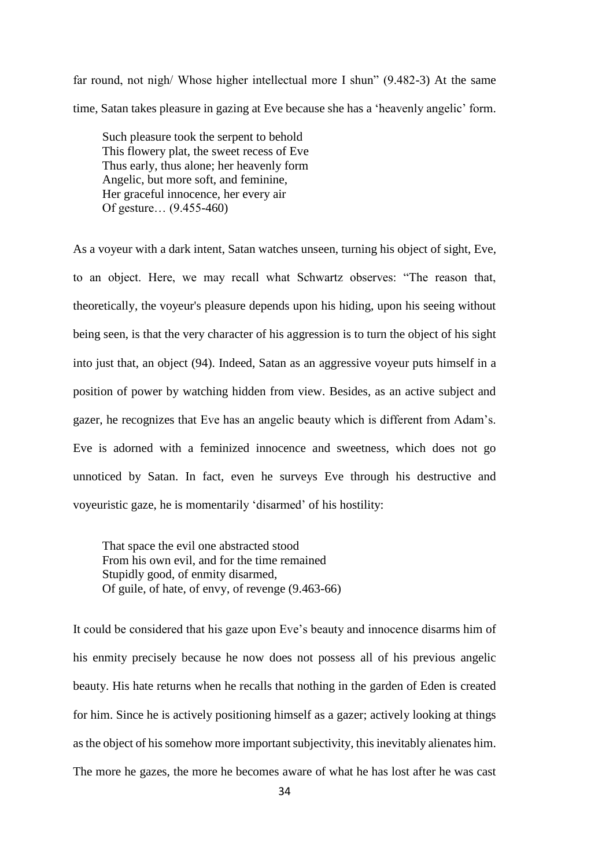far round, not nigh/ Whose higher intellectual more I shun" (9.482-3) At the same time, Satan takes pleasure in gazing at Eve because she has a 'heavenly angelic' form.

Such pleasure took the serpent to behold This flowery plat, the sweet recess of Eve Thus early, thus alone; her heavenly form Angelic, but more soft, and feminine, Her graceful innocence, her every air Of gesture… (9.455-460)

As a voyeur with a dark intent, Satan watches unseen, turning his object of sight, Eve, to an object. Here, we may recall what Schwartz observes: "The reason that, theoretically, the voyeur's pleasure depends upon his hiding, upon his seeing without being seen, is that the very character of his aggression is to turn the object of his sight into just that, an object (94). Indeed, Satan as an aggressive voyeur puts himself in a position of power by watching hidden from view. Besides, as an active subject and gazer, he recognizes that Eve has an angelic beauty which is different from Adam's. Eve is adorned with a feminized innocence and sweetness, which does not go unnoticed by Satan. In fact, even he surveys Eve through his destructive and voyeuristic gaze, he is momentarily 'disarmed' of his hostility:

That space the evil one abstracted stood From his own evil, and for the time remained Stupidly good, of enmity disarmed, Of guile, of hate, of envy, of revenge (9.463-66)

It could be considered that his gaze upon Eve's beauty and innocence disarms him of his enmity precisely because he now does not possess all of his previous angelic beauty. His hate returns when he recalls that nothing in the garden of Eden is created for him. Since he is actively positioning himself as a gazer; actively looking at things as the object of his somehow more important subjectivity, this inevitably alienates him. The more he gazes, the more he becomes aware of what he has lost after he was cast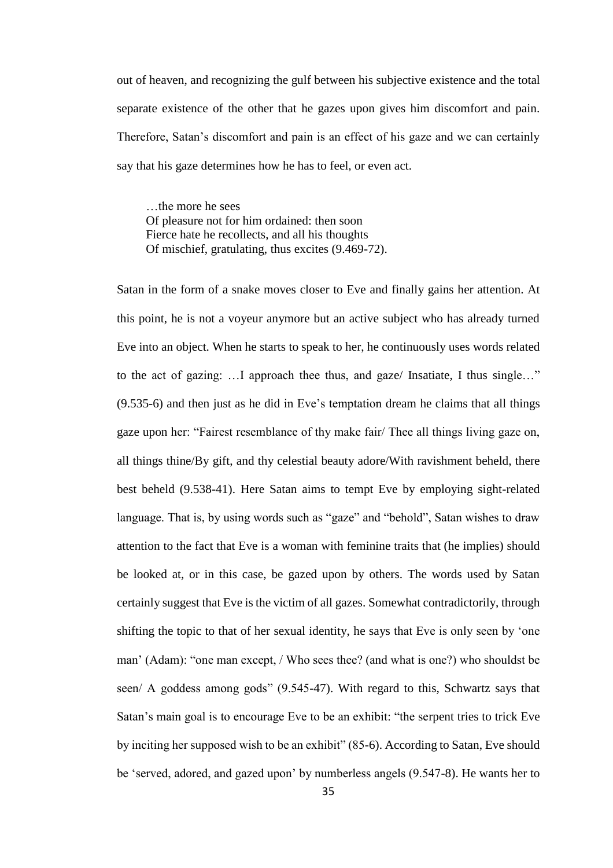out of heaven, and recognizing the gulf between his subjective existence and the total separate existence of the other that he gazes upon gives him discomfort and pain. Therefore, Satan's discomfort and pain is an effect of his gaze and we can certainly say that his gaze determines how he has to feel, or even act.

…the more he sees Of pleasure not for him ordained: then soon Fierce hate he recollects, and all his thoughts Of mischief, gratulating, thus excites (9.469-72).

Satan in the form of a snake moves closer to Eve and finally gains her attention. At this point, he is not a voyeur anymore but an active subject who has already turned Eve into an object. When he starts to speak to her, he continuously uses words related to the act of gazing: …I approach thee thus, and gaze/ Insatiate, I thus single…" (9.535-6) and then just as he did in Eve's temptation dream he claims that all things gaze upon her: "Fairest resemblance of thy make fair/ Thee all things living gaze on, all things thine/By gift, and thy celestial beauty adore/With ravishment beheld, there best beheld (9.538-41). Here Satan aims to tempt Eve by employing sight-related language. That is, by using words such as "gaze" and "behold", Satan wishes to draw attention to the fact that Eve is a woman with feminine traits that (he implies) should be looked at, or in this case, be gazed upon by others. The words used by Satan certainly suggest that Eve is the victim of all gazes. Somewhat contradictorily, through shifting the topic to that of her sexual identity, he says that Eve is only seen by 'one man' (Adam): "one man except, / Who sees thee? (and what is one?) who shouldst be seen/ A goddess among gods" (9.545-47). With regard to this, Schwartz says that Satan's main goal is to encourage Eve to be an exhibit: "the serpent tries to trick Eve by inciting her supposed wish to be an exhibit" (85-6). According to Satan, Eve should be 'served, adored, and gazed upon' by numberless angels (9.547-8). He wants her to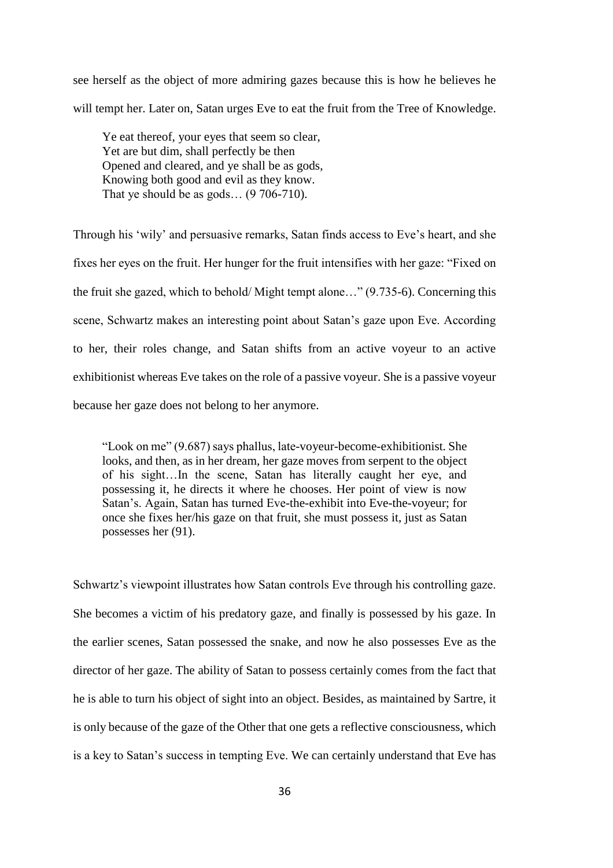see herself as the object of more admiring gazes because this is how he believes he will tempt her. Later on, Satan urges Eve to eat the fruit from the Tree of Knowledge.

Ye eat thereof, your eyes that seem so clear, Yet are but dim, shall perfectly be then Opened and cleared, and ye shall be as gods, Knowing both good and evil as they know. That ye should be as gods...  $(9706-710)$ .

Through his 'wily' and persuasive remarks, Satan finds access to Eve's heart, and she fixes her eyes on the fruit. Her hunger for the fruit intensifies with her gaze: "Fixed on the fruit she gazed, which to behold/ Might tempt alone…" (9.735-6). Concerning this scene, Schwartz makes an interesting point about Satan's gaze upon Eve. According to her, their roles change, and Satan shifts from an active voyeur to an active exhibitionist whereas Eve takes on the role of a passive voyeur. She is a passive voyeur because her gaze does not belong to her anymore.

"Look on me" (9.687) says phallus, late-voyeur-become-exhibitionist. She looks, and then, as in her dream, her gaze moves from serpent to the object of his sight…In the scene, Satan has literally caught her eye, and possessing it, he directs it where he chooses. Her point of view is now Satan's. Again, Satan has turned Eve-the-exhibit into Eve-the-voyeur; for once she fixes her/his gaze on that fruit, she must possess it, just as Satan possesses her (91).

Schwartz's viewpoint illustrates how Satan controls Eve through his controlling gaze. She becomes a victim of his predatory gaze, and finally is possessed by his gaze. In the earlier scenes, Satan possessed the snake, and now he also possesses Eve as the director of her gaze. The ability of Satan to possess certainly comes from the fact that he is able to turn his object of sight into an object. Besides, as maintained by Sartre, it is only because of the gaze of the Other that one gets a reflective consciousness, which is a key to Satan's success in tempting Eve. We can certainly understand that Eve has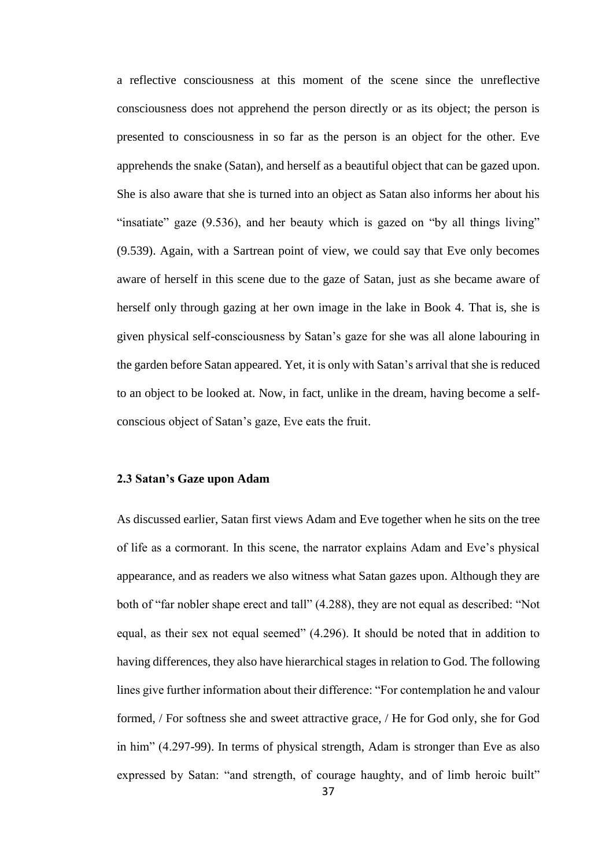a reflective consciousness at this moment of the scene since the unreflective consciousness does not apprehend the person directly or as its object; the person is presented to consciousness in so far as the person is an object for the other. Eve apprehends the snake (Satan), and herself as a beautiful object that can be gazed upon. She is also aware that she is turned into an object as Satan also informs her about his "insatiate" gaze (9.536), and her beauty which is gazed on "by all things living" (9.539). Again, with a Sartrean point of view, we could say that Eve only becomes aware of herself in this scene due to the gaze of Satan, just as she became aware of herself only through gazing at her own image in the lake in Book 4. That is, she is given physical self-consciousness by Satan's gaze for she was all alone labouring in the garden before Satan appeared. Yet, it is only with Satan's arrival that she is reduced to an object to be looked at. Now, in fact, unlike in the dream, having become a selfconscious object of Satan's gaze, Eve eats the fruit.

## **2.3 Satan's Gaze upon Adam**

As discussed earlier, Satan first views Adam and Eve together when he sits on the tree of life as a cormorant. In this scene, the narrator explains Adam and Eve's physical appearance, and as readers we also witness what Satan gazes upon. Although they are both of "far nobler shape erect and tall" (4.288), they are not equal as described: "Not equal, as their sex not equal seemed" (4.296). It should be noted that in addition to having differences, they also have hierarchical stages in relation to God. The following lines give further information about their difference: "For contemplation he and valour formed, / For softness she and sweet attractive grace, / He for God only, she for God in him" (4.297-99). In terms of physical strength, Adam is stronger than Eve as also expressed by Satan: "and strength, of courage haughty, and of limb heroic built"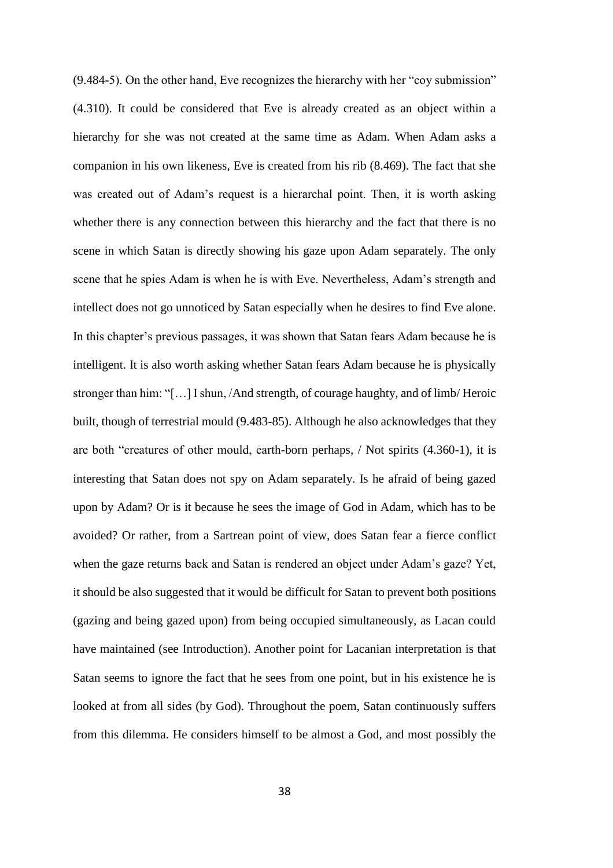(9.484-5). On the other hand, Eve recognizes the hierarchy with her "coy submission" (4.310). It could be considered that Eve is already created as an object within a hierarchy for she was not created at the same time as Adam. When Adam asks a companion in his own likeness, Eve is created from his rib (8.469). The fact that she was created out of Adam's request is a hierarchal point. Then, it is worth asking whether there is any connection between this hierarchy and the fact that there is no scene in which Satan is directly showing his gaze upon Adam separately. The only scene that he spies Adam is when he is with Eve. Nevertheless, Adam's strength and intellect does not go unnoticed by Satan especially when he desires to find Eve alone. In this chapter's previous passages, it was shown that Satan fears Adam because he is intelligent. It is also worth asking whether Satan fears Adam because he is physically stronger than him: "[…] I shun, /And strength, of courage haughty, and of limb/ Heroic built, though of terrestrial mould (9.483-85). Although he also acknowledges that they are both "creatures of other mould, earth-born perhaps, / Not spirits (4.360-1), it is interesting that Satan does not spy on Adam separately. Is he afraid of being gazed upon by Adam? Or is it because he sees the image of God in Adam, which has to be avoided? Or rather, from a Sartrean point of view, does Satan fear a fierce conflict when the gaze returns back and Satan is rendered an object under Adam's gaze? Yet, it should be also suggested that it would be difficult for Satan to prevent both positions (gazing and being gazed upon) from being occupied simultaneously, as Lacan could have maintained (see Introduction). Another point for Lacanian interpretation is that Satan seems to ignore the fact that he sees from one point, but in his existence he is looked at from all sides (by God). Throughout the poem, Satan continuously suffers from this dilemma. He considers himself to be almost a God, and most possibly the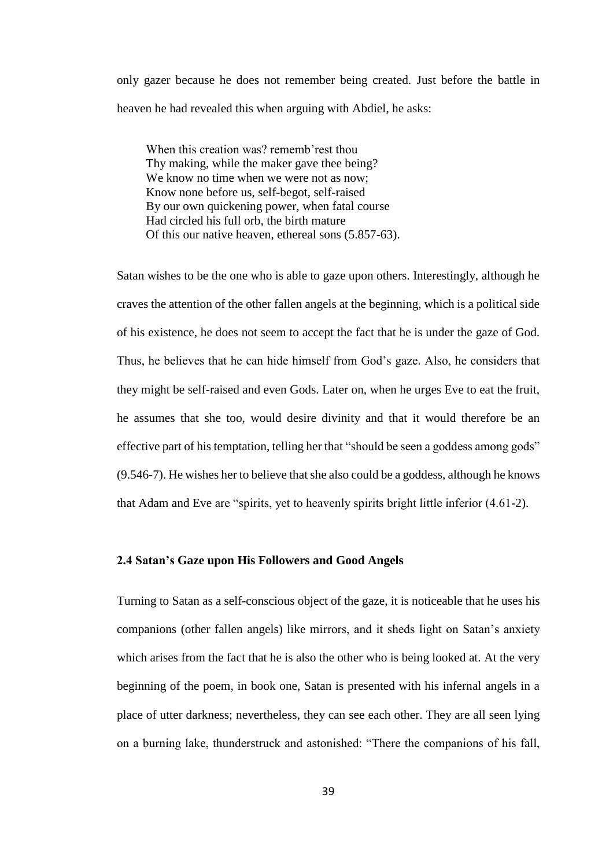only gazer because he does not remember being created. Just before the battle in heaven he had revealed this when arguing with Abdiel, he asks:

When this creation was? rememb'rest thou Thy making, while the maker gave thee being? We know no time when we were not as now; Know none before us, self-begot, self-raised By our own quickening power, when fatal course Had circled his full orb, the birth mature Of this our native heaven, ethereal sons (5.857-63).

Satan wishes to be the one who is able to gaze upon others. Interestingly, although he craves the attention of the other fallen angels at the beginning, which is a political side of his existence, he does not seem to accept the fact that he is under the gaze of God. Thus, he believes that he can hide himself from God's gaze. Also, he considers that they might be self-raised and even Gods. Later on, when he urges Eve to eat the fruit, he assumes that she too, would desire divinity and that it would therefore be an effective part of his temptation, telling her that "should be seen a goddess among gods" (9.546-7). He wishes her to believe that she also could be a goddess, although he knows that Adam and Eve are "spirits, yet to heavenly spirits bright little inferior (4.61-2).

### **2.4 Satan's Gaze upon His Followers and Good Angels**

Turning to Satan as a self-conscious object of the gaze, it is noticeable that he uses his companions (other fallen angels) like mirrors, and it sheds light on Satan's anxiety which arises from the fact that he is also the other who is being looked at. At the very beginning of the poem, in book one, Satan is presented with his infernal angels in a place of utter darkness; nevertheless, they can see each other. They are all seen lying on a burning lake, thunderstruck and astonished: "There the companions of his fall,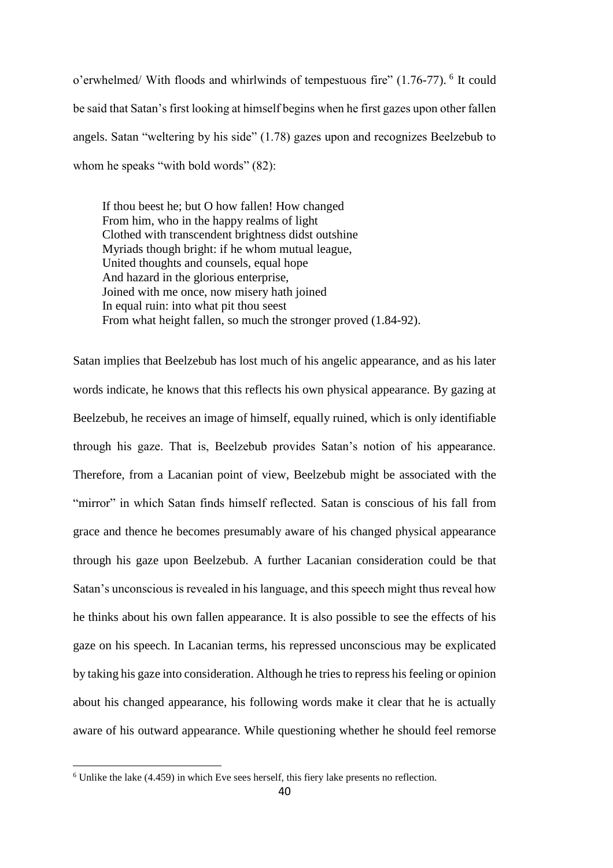o'erwhelmed/ With floods and whirlwinds of tempestuous fire" (1.76-77). <sup>6</sup> It could be said that Satan's first looking at himself begins when he first gazes upon other fallen angels. Satan "weltering by his side" (1.78) gazes upon and recognizes Beelzebub to whom he speaks "with bold words" (82):

If thou beest he; but O how fallen! How changed From him, who in the happy realms of light Clothed with transcendent brightness didst outshine Myriads though bright: if he whom mutual league, United thoughts and counsels, equal hope And hazard in the glorious enterprise, Joined with me once, now misery hath joined In equal ruin: into what pit thou seest From what height fallen, so much the stronger proved (1.84-92).

Satan implies that Beelzebub has lost much of his angelic appearance, and as his later words indicate, he knows that this reflects his own physical appearance. By gazing at Beelzebub, he receives an image of himself, equally ruined, which is only identifiable through his gaze. That is, Beelzebub provides Satan's notion of his appearance. Therefore, from a Lacanian point of view, Beelzebub might be associated with the "mirror" in which Satan finds himself reflected. Satan is conscious of his fall from grace and thence he becomes presumably aware of his changed physical appearance through his gaze upon Beelzebub. A further Lacanian consideration could be that Satan's unconscious is revealed in his language, and this speech might thus reveal how he thinks about his own fallen appearance. It is also possible to see the effects of his gaze on his speech. In Lacanian terms, his repressed unconscious may be explicated by taking his gaze into consideration. Although he tries to repress his feeling or opinion about his changed appearance, his following words make it clear that he is actually aware of his outward appearance. While questioning whether he should feel remorse

 $\overline{a}$ 

<sup>6</sup> Unlike the lake (4.459) in which Eve sees herself, this fiery lake presents no reflection.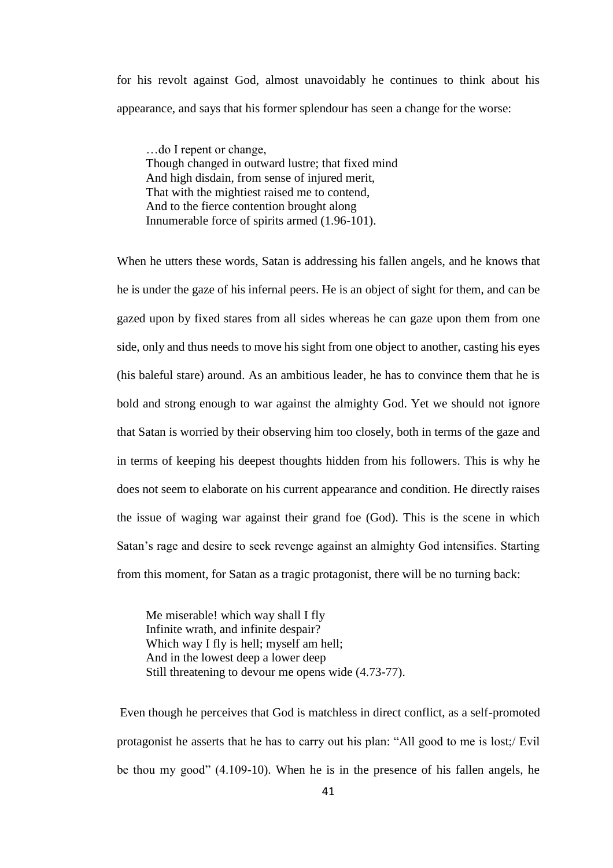for his revolt against God, almost unavoidably he continues to think about his appearance, and says that his former splendour has seen a change for the worse:

…do I repent or change, Though changed in outward lustre; that fixed mind And high disdain, from sense of injured merit, That with the mightiest raised me to contend, And to the fierce contention brought along Innumerable force of spirits armed (1.96-101).

When he utters these words, Satan is addressing his fallen angels, and he knows that he is under the gaze of his infernal peers. He is an object of sight for them, and can be gazed upon by fixed stares from all sides whereas he can gaze upon them from one side, only and thus needs to move his sight from one object to another, casting his eyes (his baleful stare) around. As an ambitious leader, he has to convince them that he is bold and strong enough to war against the almighty God. Yet we should not ignore that Satan is worried by their observing him too closely, both in terms of the gaze and in terms of keeping his deepest thoughts hidden from his followers. This is why he does not seem to elaborate on his current appearance and condition. He directly raises the issue of waging war against their grand foe (God). This is the scene in which Satan's rage and desire to seek revenge against an almighty God intensifies. Starting from this moment, for Satan as a tragic protagonist, there will be no turning back:

Me miserable! which way shall I fly Infinite wrath, and infinite despair? Which way I fly is hell; myself am hell; And in the lowest deep a lower deep Still threatening to devour me opens wide (4.73-77).

Even though he perceives that God is matchless in direct conflict, as a self-promoted protagonist he asserts that he has to carry out his plan: "All good to me is lost;/ Evil be thou my good" (4.109-10). When he is in the presence of his fallen angels, he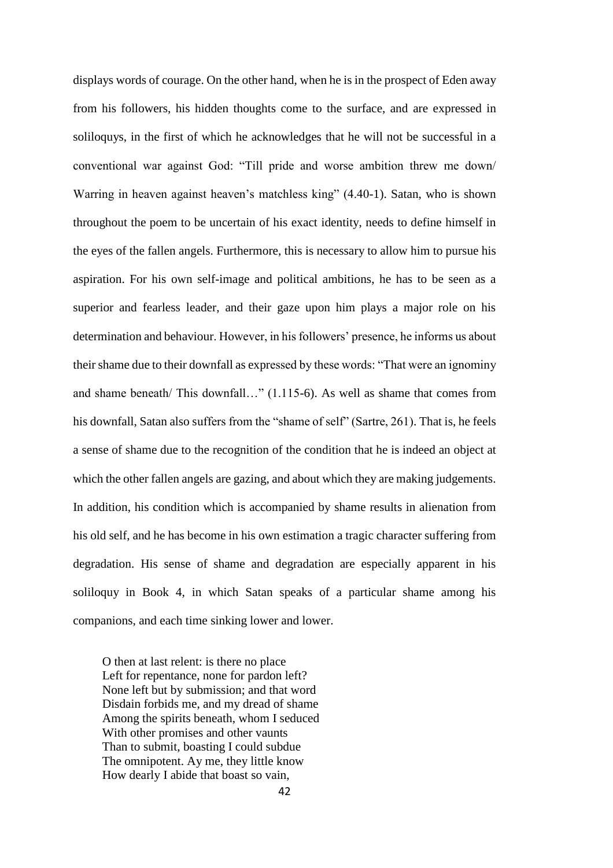displays words of courage. On the other hand, when he is in the prospect of Eden away from his followers, his hidden thoughts come to the surface, and are expressed in soliloquys, in the first of which he acknowledges that he will not be successful in a conventional war against God: "Till pride and worse ambition threw me down/ Warring in heaven against heaven's matchless king" (4.40-1). Satan, who is shown throughout the poem to be uncertain of his exact identity, needs to define himself in the eyes of the fallen angels. Furthermore, this is necessary to allow him to pursue his aspiration. For his own self-image and political ambitions, he has to be seen as a superior and fearless leader, and their gaze upon him plays a major role on his determination and behaviour. However, in his followers' presence, he informs us about their shame due to their downfall as expressed by these words: "That were an ignominy and shame beneath/ This downfall…" (1.115-6). As well as shame that comes from his downfall, Satan also suffers from the "shame of self" (Sartre, 261). That is, he feels a sense of shame due to the recognition of the condition that he is indeed an object at which the other fallen angels are gazing, and about which they are making judgements. In addition, his condition which is accompanied by shame results in alienation from his old self, and he has become in his own estimation a tragic character suffering from degradation. His sense of shame and degradation are especially apparent in his soliloquy in Book 4, in which Satan speaks of a particular shame among his companions, and each time sinking lower and lower.

O then at last relent: is there no place Left for repentance, none for pardon left? None left but by submission; and that word Disdain forbids me, and my dread of shame Among the spirits beneath, whom I seduced With other promises and other vaunts Than to submit, boasting I could subdue The omnipotent. Ay me, they little know How dearly I abide that boast so vain,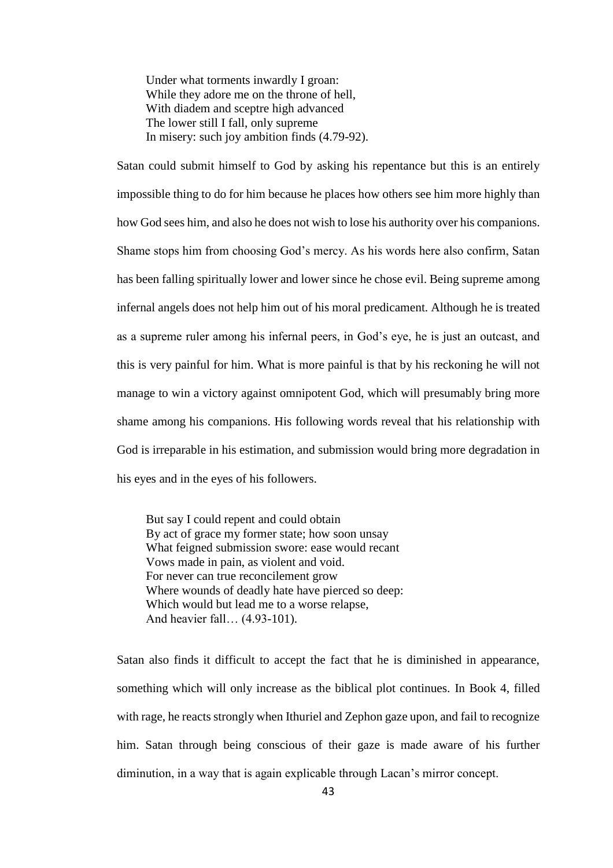Under what torments inwardly I groan: While they adore me on the throne of hell, With diadem and sceptre high advanced The lower still I fall, only supreme In misery: such joy ambition finds (4.79-92).

Satan could submit himself to God by asking his repentance but this is an entirely impossible thing to do for him because he places how others see him more highly than how God sees him, and also he does not wish to lose his authority over his companions. Shame stops him from choosing God's mercy. As his words here also confirm, Satan has been falling spiritually lower and lower since he chose evil. Being supreme among infernal angels does not help him out of his moral predicament. Although he is treated as a supreme ruler among his infernal peers, in God's eye, he is just an outcast, and this is very painful for him. What is more painful is that by his reckoning he will not manage to win a victory against omnipotent God, which will presumably bring more shame among his companions. His following words reveal that his relationship with God is irreparable in his estimation, and submission would bring more degradation in his eyes and in the eyes of his followers.

But say I could repent and could obtain By act of grace my former state; how soon unsay What feigned submission swore: ease would recant Vows made in pain, as violent and void. For never can true reconcilement grow Where wounds of deadly hate have pierced so deep: Which would but lead me to a worse relapse, And heavier fall… (4.93-101).

Satan also finds it difficult to accept the fact that he is diminished in appearance, something which will only increase as the biblical plot continues. In Book 4, filled with rage, he reacts strongly when Ithuriel and Zephon gaze upon, and fail to recognize him. Satan through being conscious of their gaze is made aware of his further diminution, in a way that is again explicable through Lacan's mirror concept.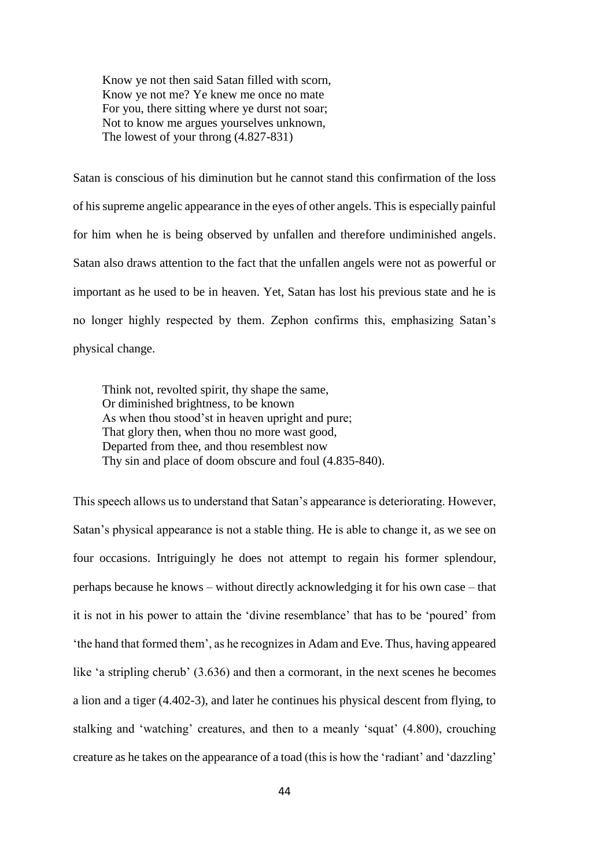Know ye not then said Satan filled with scorn, Know ye not me? Ye knew me once no mate For you, there sitting where ye durst not soar; Not to know me argues yourselves unknown, The lowest of your throng (4.827-831)

Satan is conscious of his diminution but he cannot stand this confirmation of the loss of his supreme angelic appearance in the eyes of other angels. This is especially painful for him when he is being observed by unfallen and therefore undiminished angels. Satan also draws attention to the fact that the unfallen angels were not as powerful or important as he used to be in heaven. Yet, Satan has lost his previous state and he is no longer highly respected by them. Zephon confirms this, emphasizing Satan's physical change.

Think not, revolted spirit, thy shape the same, Or diminished brightness, to be known As when thou stood'st in heaven upright and pure; That glory then, when thou no more wast good, Departed from thee, and thou resemblest now Thy sin and place of doom obscure and foul (4.835-840).

This speech allows us to understand that Satan's appearance is deteriorating. However, Satan's physical appearance is not a stable thing. He is able to change it, as we see on four occasions. Intriguingly he does not attempt to regain his former splendour, perhaps because he knows – without directly acknowledging it for his own case – that it is not in his power to attain the 'divine resemblance' that has to be 'poured' from 'the hand that formed them', as he recognizes in Adam and Eve. Thus, having appeared like 'a stripling cherub' (3.636) and then a cormorant, in the next scenes he becomes a lion and a tiger (4.402-3), and later he continues his physical descent from flying, to stalking and 'watching' creatures, and then to a meanly 'squat' (4.800), crouching creature as he takes on the appearance of a toad (this is how the 'radiant' and 'dazzling'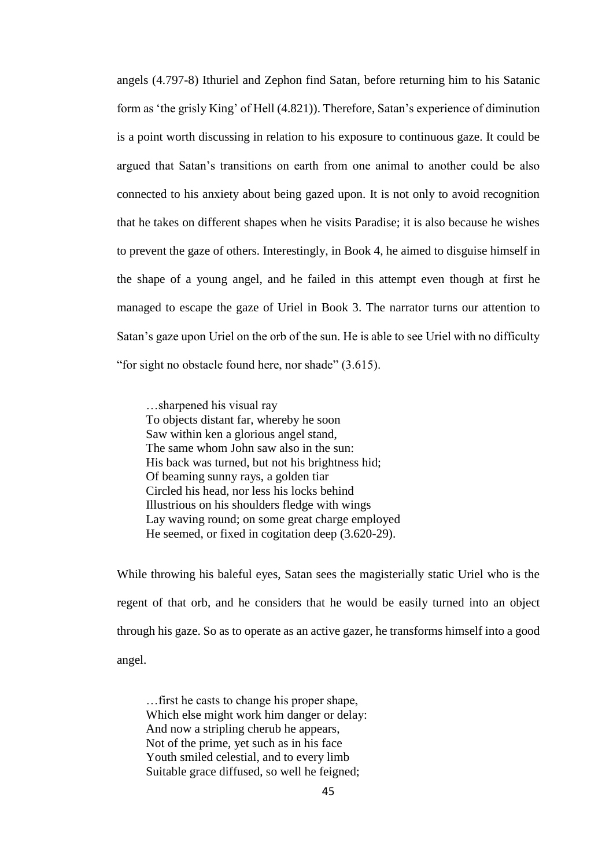angels (4.797-8) Ithuriel and Zephon find Satan, before returning him to his Satanic form as 'the grisly King' of Hell (4.821)). Therefore, Satan's experience of diminution is a point worth discussing in relation to his exposure to continuous gaze. It could be argued that Satan's transitions on earth from one animal to another could be also connected to his anxiety about being gazed upon. It is not only to avoid recognition that he takes on different shapes when he visits Paradise; it is also because he wishes to prevent the gaze of others. Interestingly, in Book 4, he aimed to disguise himself in the shape of a young angel, and he failed in this attempt even though at first he managed to escape the gaze of Uriel in Book 3. The narrator turns our attention to Satan's gaze upon Uriel on the orb of the sun. He is able to see Uriel with no difficulty "for sight no obstacle found here, nor shade" (3.615).

…sharpened his visual ray To objects distant far, whereby he soon Saw within ken a glorious angel stand, The same whom John saw also in the sun: His back was turned, but not his brightness hid; Of beaming sunny rays, a golden tiar Circled his head, nor less his locks behind Illustrious on his shoulders fledge with wings Lay waving round; on some great charge employed He seemed, or fixed in cogitation deep (3.620-29).

While throwing his baleful eyes, Satan sees the magisterially static Uriel who is the regent of that orb, and he considers that he would be easily turned into an object through his gaze. So as to operate as an active gazer, he transforms himself into a good angel.

…first he casts to change his proper shape, Which else might work him danger or delay: And now a stripling cherub he appears, Not of the prime, yet such as in his face Youth smiled celestial, and to every limb Suitable grace diffused, so well he feigned;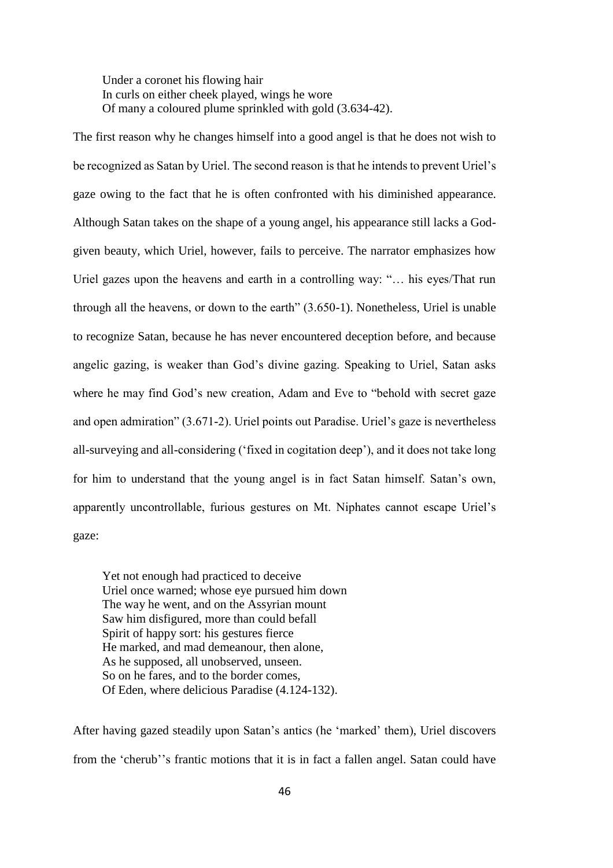Under a coronet his flowing hair In curls on either cheek played, wings he wore Of many a coloured plume sprinkled with gold (3.634-42).

The first reason why he changes himself into a good angel is that he does not wish to be recognized as Satan by Uriel. The second reason is that he intends to prevent Uriel's gaze owing to the fact that he is often confronted with his diminished appearance. Although Satan takes on the shape of a young angel, his appearance still lacks a Godgiven beauty, which Uriel, however, fails to perceive. The narrator emphasizes how Uriel gazes upon the heavens and earth in a controlling way: "… his eyes/That run through all the heavens, or down to the earth" (3.650-1). Nonetheless, Uriel is unable to recognize Satan, because he has never encountered deception before, and because angelic gazing, is weaker than God's divine gazing. Speaking to Uriel, Satan asks where he may find God's new creation, Adam and Eve to "behold with secret gaze and open admiration" (3.671-2). Uriel points out Paradise. Uriel's gaze is nevertheless all-surveying and all-considering ('fixed in cogitation deep'), and it does not take long for him to understand that the young angel is in fact Satan himself. Satan's own, apparently uncontrollable, furious gestures on Mt. Niphates cannot escape Uriel's gaze:

Yet not enough had practiced to deceive Uriel once warned; whose eye pursued him down The way he went, and on the Assyrian mount Saw him disfigured, more than could befall Spirit of happy sort: his gestures fierce He marked, and mad demeanour, then alone, As he supposed, all unobserved, unseen. So on he fares, and to the border comes, Of Eden, where delicious Paradise (4.124-132).

After having gazed steadily upon Satan's antics (he 'marked' them), Uriel discovers from the 'cherub''s frantic motions that it is in fact a fallen angel. Satan could have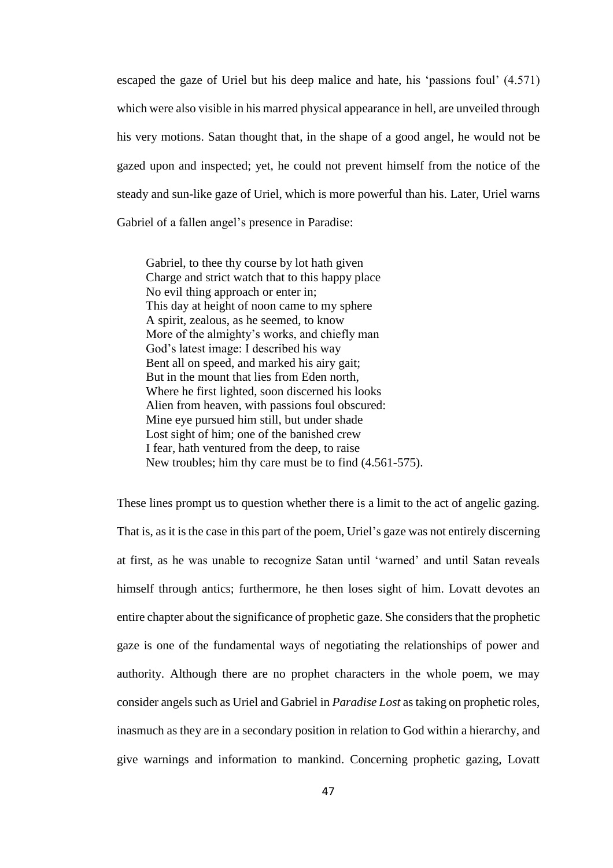escaped the gaze of Uriel but his deep malice and hate, his 'passions foul' (4.571) which were also visible in his marred physical appearance in hell, are unveiled through his very motions. Satan thought that, in the shape of a good angel, he would not be gazed upon and inspected; yet, he could not prevent himself from the notice of the steady and sun-like gaze of Uriel, which is more powerful than his. Later, Uriel warns Gabriel of a fallen angel's presence in Paradise:

Gabriel, to thee thy course by lot hath given Charge and strict watch that to this happy place No evil thing approach or enter in; This day at height of noon came to my sphere A spirit, zealous, as he seemed, to know More of the almighty's works, and chiefly man God's latest image: I described his way Bent all on speed, and marked his airy gait; But in the mount that lies from Eden north, Where he first lighted, soon discerned his looks Alien from heaven, with passions foul obscured: Mine eye pursued him still, but under shade Lost sight of him; one of the banished crew I fear, hath ventured from the deep, to raise New troubles; him thy care must be to find (4.561-575).

These lines prompt us to question whether there is a limit to the act of angelic gazing. That is, as it is the case in this part of the poem, Uriel's gaze was not entirely discerning at first, as he was unable to recognize Satan until 'warned' and until Satan reveals himself through antics; furthermore, he then loses sight of him. Lovatt devotes an entire chapter about the significance of prophetic gaze. She considers that the prophetic gaze is one of the fundamental ways of negotiating the relationships of power and authority. Although there are no prophet characters in the whole poem, we may consider angels such as Uriel and Gabriel in *Paradise Lost* as taking on prophetic roles, inasmuch as they are in a secondary position in relation to God within a hierarchy, and give warnings and information to mankind. Concerning prophetic gazing, Lovatt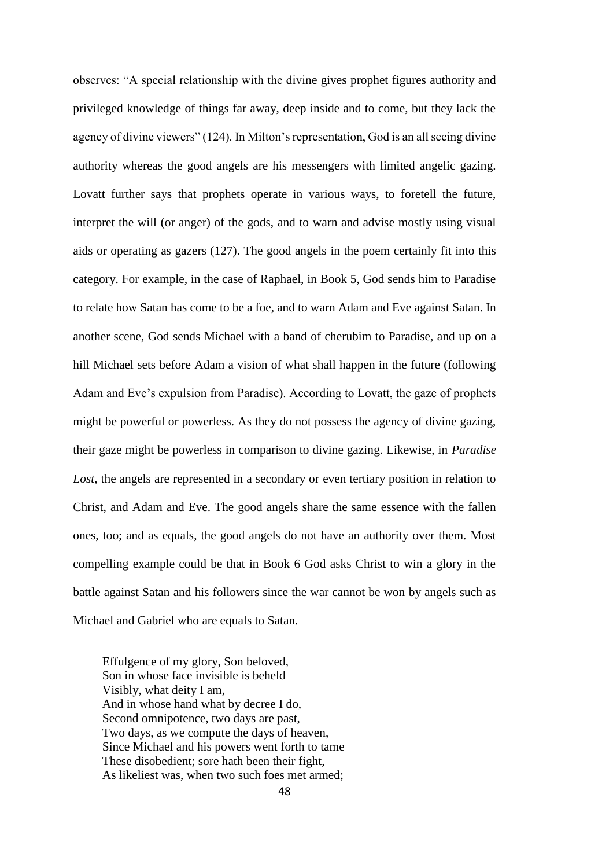observes: "A special relationship with the divine gives prophet figures authority and privileged knowledge of things far away, deep inside and to come, but they lack the agency of divine viewers" (124). In Milton's representation, God is an all seeing divine authority whereas the good angels are his messengers with limited angelic gazing. Lovatt further says that prophets operate in various ways, to foretell the future, interpret the will (or anger) of the gods, and to warn and advise mostly using visual aids or operating as gazers (127). The good angels in the poem certainly fit into this category. For example, in the case of Raphael, in Book 5, God sends him to Paradise to relate how Satan has come to be a foe, and to warn Adam and Eve against Satan. In another scene, God sends Michael with a band of cherubim to Paradise, and up on a hill Michael sets before Adam a vision of what shall happen in the future (following Adam and Eve's expulsion from Paradise). According to Lovatt, the gaze of prophets might be powerful or powerless. As they do not possess the agency of divine gazing, their gaze might be powerless in comparison to divine gazing. Likewise, in *Paradise Lost,* the angels are represented in a secondary or even tertiary position in relation to Christ, and Adam and Eve. The good angels share the same essence with the fallen ones, too; and as equals, the good angels do not have an authority over them. Most compelling example could be that in Book 6 God asks Christ to win a glory in the battle against Satan and his followers since the war cannot be won by angels such as Michael and Gabriel who are equals to Satan.

Effulgence of my glory, Son beloved, Son in whose face invisible is beheld Visibly, what deity I am, And in whose hand what by decree I do, Second omnipotence, two days are past, Two days, as we compute the days of heaven, Since Michael and his powers went forth to tame These disobedient; sore hath been their fight, As likeliest was, when two such foes met armed;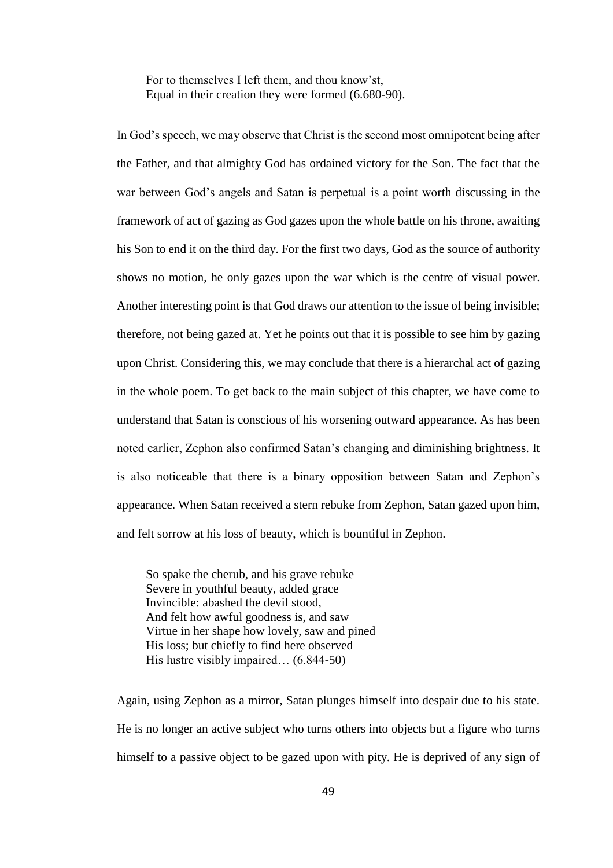For to themselves I left them, and thou know'st, Equal in their creation they were formed (6.680-90).

In God's speech, we may observe that Christ is the second most omnipotent being after the Father, and that almighty God has ordained victory for the Son. The fact that the war between God's angels and Satan is perpetual is a point worth discussing in the framework of act of gazing as God gazes upon the whole battle on his throne, awaiting his Son to end it on the third day. For the first two days, God as the source of authority shows no motion, he only gazes upon the war which is the centre of visual power. Another interesting point is that God draws our attention to the issue of being invisible; therefore, not being gazed at. Yet he points out that it is possible to see him by gazing upon Christ. Considering this, we may conclude that there is a hierarchal act of gazing in the whole poem. To get back to the main subject of this chapter, we have come to understand that Satan is conscious of his worsening outward appearance. As has been noted earlier, Zephon also confirmed Satan's changing and diminishing brightness. It is also noticeable that there is a binary opposition between Satan and Zephon's appearance. When Satan received a stern rebuke from Zephon, Satan gazed upon him, and felt sorrow at his loss of beauty, which is bountiful in Zephon.

So spake the cherub, and his grave rebuke Severe in youthful beauty, added grace Invincible: abashed the devil stood, And felt how awful goodness is, and saw Virtue in her shape how lovely, saw and pined His loss; but chiefly to find here observed His lustre visibly impaired… (6.844-50)

Again, using Zephon as a mirror, Satan plunges himself into despair due to his state. He is no longer an active subject who turns others into objects but a figure who turns himself to a passive object to be gazed upon with pity. He is deprived of any sign of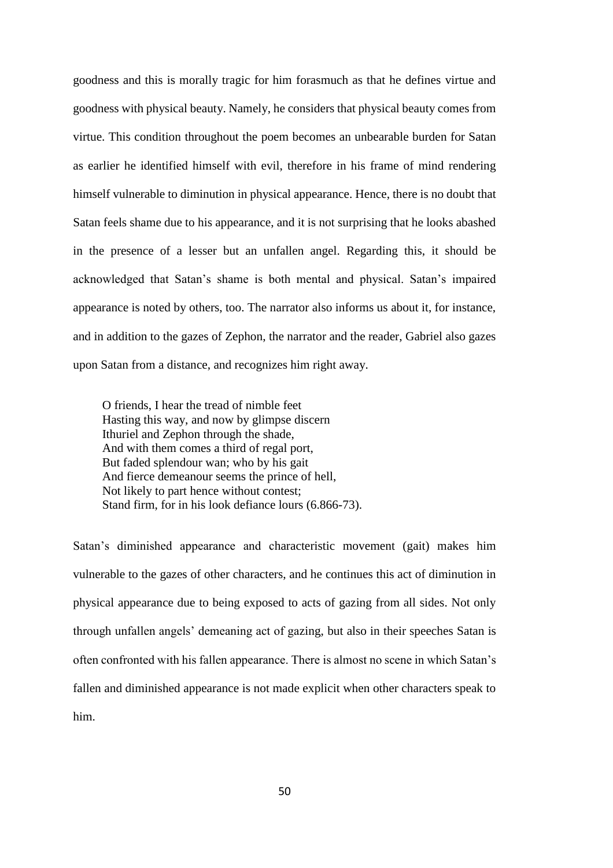goodness and this is morally tragic for him forasmuch as that he defines virtue and goodness with physical beauty. Namely, he considers that physical beauty comes from virtue. This condition throughout the poem becomes an unbearable burden for Satan as earlier he identified himself with evil, therefore in his frame of mind rendering himself vulnerable to diminution in physical appearance. Hence, there is no doubt that Satan feels shame due to his appearance, and it is not surprising that he looks abashed in the presence of a lesser but an unfallen angel. Regarding this, it should be acknowledged that Satan's shame is both mental and physical. Satan's impaired appearance is noted by others, too. The narrator also informs us about it, for instance, and in addition to the gazes of Zephon, the narrator and the reader, Gabriel also gazes upon Satan from a distance, and recognizes him right away.

O friends, I hear the tread of nimble feet Hasting this way, and now by glimpse discern Ithuriel and Zephon through the shade, And with them comes a third of regal port, But faded splendour wan; who by his gait And fierce demeanour seems the prince of hell, Not likely to part hence without contest; Stand firm, for in his look defiance lours (6.866-73).

Satan's diminished appearance and characteristic movement (gait) makes him vulnerable to the gazes of other characters, and he continues this act of diminution in physical appearance due to being exposed to acts of gazing from all sides. Not only through unfallen angels' demeaning act of gazing, but also in their speeches Satan is often confronted with his fallen appearance. There is almost no scene in which Satan's fallen and diminished appearance is not made explicit when other characters speak to him.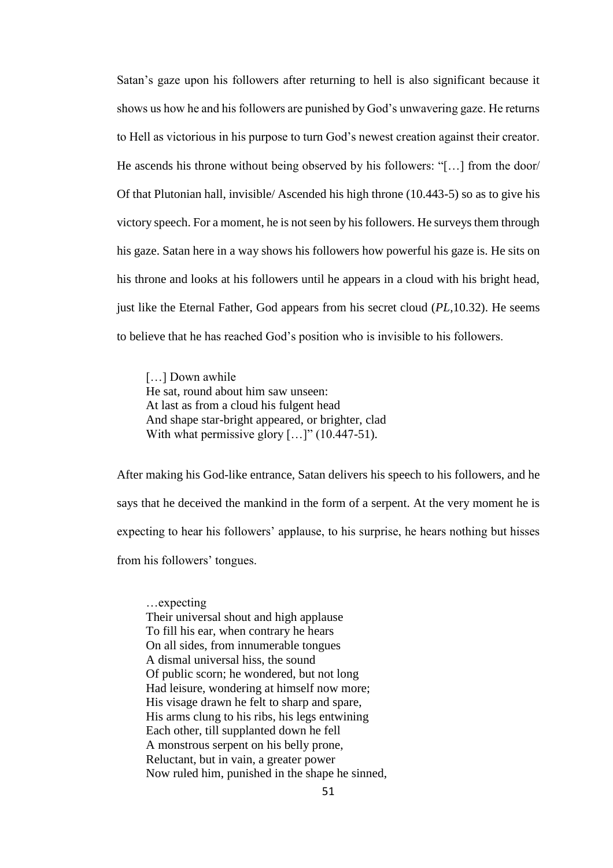Satan's gaze upon his followers after returning to hell is also significant because it shows us how he and his followers are punished by God's unwavering gaze. He returns to Hell as victorious in his purpose to turn God's newest creation against their creator. He ascends his throne without being observed by his followers: "[…] from the door/ Of that Plutonian hall, invisible/ Ascended his high throne (10.443-5) so as to give his victory speech. For a moment, he is not seen by his followers. He surveys them through his gaze. Satan here in a way shows his followers how powerful his gaze is. He sits on his throne and looks at his followers until he appears in a cloud with his bright head, just like the Eternal Father, God appears from his secret cloud (*PL*,10.32). He seems to believe that he has reached God's position who is invisible to his followers.

[...] Down awhile He sat, round about him saw unseen: At last as from a cloud his fulgent head And shape star-bright appeared, or brighter, clad With what permissive glory  $[...]$ " (10.447-51).

After making his God-like entrance, Satan delivers his speech to his followers, and he says that he deceived the mankind in the form of a serpent. At the very moment he is expecting to hear his followers' applause, to his surprise, he hears nothing but hisses from his followers' tongues.

…expecting Their universal shout and high applause To fill his ear, when contrary he hears On all sides, from innumerable tongues A dismal universal hiss, the sound Of public scorn; he wondered, but not long Had leisure, wondering at himself now more; His visage drawn he felt to sharp and spare, His arms clung to his ribs, his legs entwining Each other, till supplanted down he fell A monstrous serpent on his belly prone, Reluctant, but in vain, a greater power Now ruled him, punished in the shape he sinned,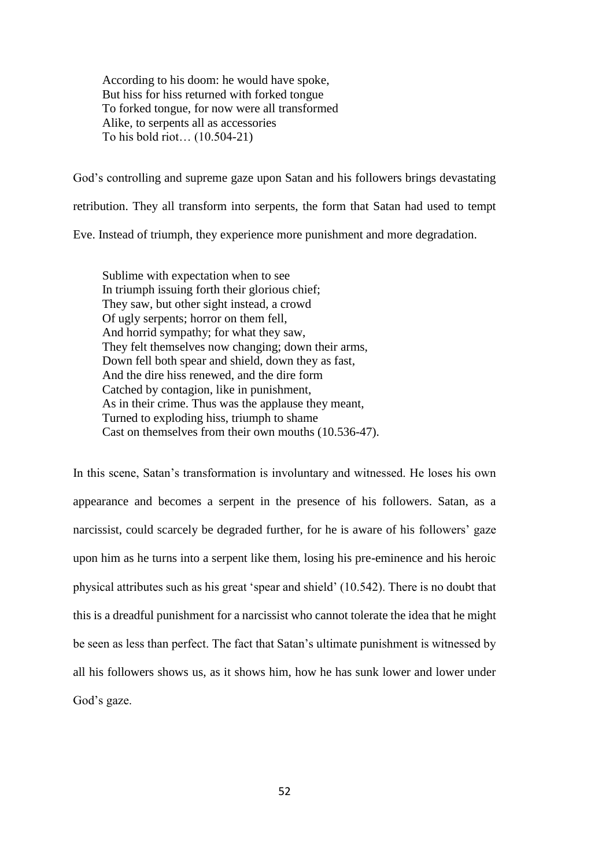According to his doom: he would have spoke, But hiss for hiss returned with forked tongue To forked tongue, for now were all transformed Alike, to serpents all as accessories To his bold riot… (10.504-21)

God's controlling and supreme gaze upon Satan and his followers brings devastating retribution. They all transform into serpents, the form that Satan had used to tempt Eve. Instead of triumph, they experience more punishment and more degradation.

Sublime with expectation when to see In triumph issuing forth their glorious chief; They saw, but other sight instead, a crowd Of ugly serpents; horror on them fell, And horrid sympathy; for what they saw, They felt themselves now changing; down their arms, Down fell both spear and shield, down they as fast, And the dire hiss renewed, and the dire form Catched by contagion, like in punishment, As in their crime. Thus was the applause they meant, Turned to exploding hiss, triumph to shame Cast on themselves from their own mouths (10.536-47).

In this scene, Satan's transformation is involuntary and witnessed. He loses his own appearance and becomes a serpent in the presence of his followers. Satan, as a narcissist, could scarcely be degraded further, for he is aware of his followers' gaze upon him as he turns into a serpent like them, losing his pre-eminence and his heroic physical attributes such as his great 'spear and shield' (10.542). There is no doubt that this is a dreadful punishment for a narcissist who cannot tolerate the idea that he might be seen as less than perfect. The fact that Satan's ultimate punishment is witnessed by all his followers shows us, as it shows him, how he has sunk lower and lower under God's gaze.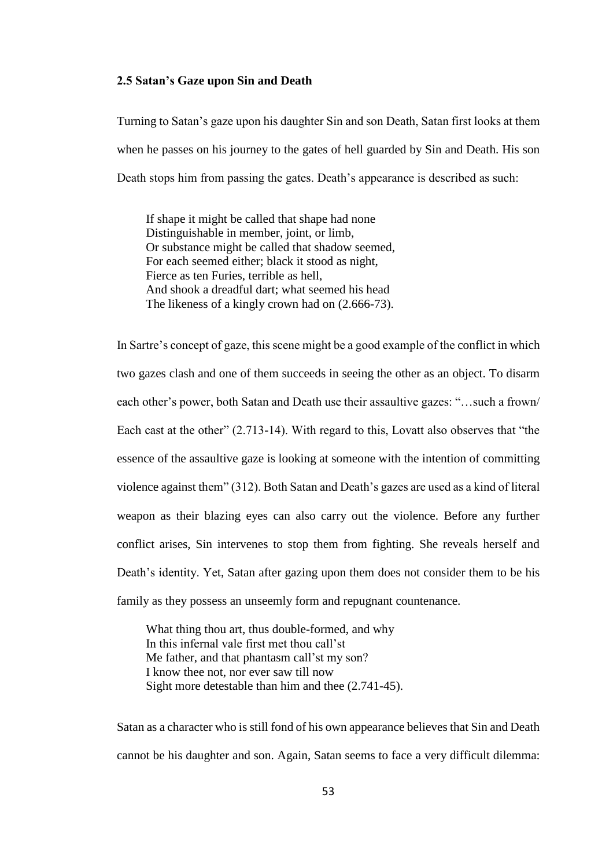# **2.5 Satan's Gaze upon Sin and Death**

Turning to Satan's gaze upon his daughter Sin and son Death, Satan first looks at them when he passes on his journey to the gates of hell guarded by Sin and Death. His son Death stops him from passing the gates. Death's appearance is described as such:

If shape it might be called that shape had none Distinguishable in member, joint, or limb, Or substance might be called that shadow seemed, For each seemed either; black it stood as night, Fierce as ten Furies, terrible as hell, And shook a dreadful dart; what seemed his head The likeness of a kingly crown had on (2.666-73).

In Sartre's concept of gaze, this scene might be a good example of the conflict in which two gazes clash and one of them succeeds in seeing the other as an object. To disarm each other's power, both Satan and Death use their assaultive gazes: "…such a frown/ Each cast at the other" (2.713-14). With regard to this, Lovatt also observes that "the essence of the assaultive gaze is looking at someone with the intention of committing violence against them" (312). Both Satan and Death's gazes are used as a kind of literal weapon as their blazing eyes can also carry out the violence. Before any further conflict arises, Sin intervenes to stop them from fighting. She reveals herself and Death's identity. Yet, Satan after gazing upon them does not consider them to be his family as they possess an unseemly form and repugnant countenance.

What thing thou art, thus double-formed, and why In this infernal vale first met thou call'st Me father, and that phantasm call'st my son? I know thee not, nor ever saw till now Sight more detestable than him and thee (2.741-45).

Satan as a character who is still fond of his own appearance believes that Sin and Death cannot be his daughter and son. Again, Satan seems to face a very difficult dilemma: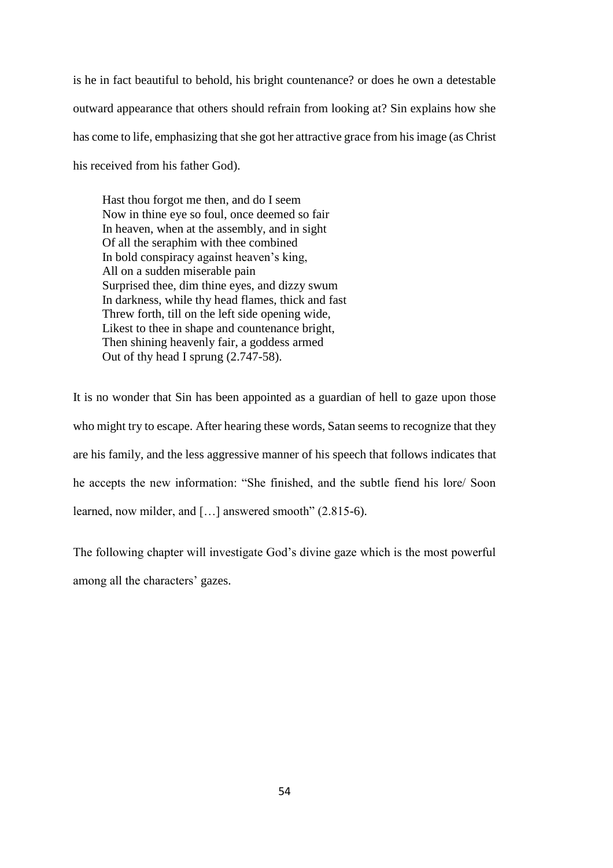is he in fact beautiful to behold, his bright countenance? or does he own a detestable outward appearance that others should refrain from looking at? Sin explains how she has come to life, emphasizing that she got her attractive grace from his image (as Christ his received from his father God).

Hast thou forgot me then, and do I seem Now in thine eye so foul, once deemed so fair In heaven, when at the assembly, and in sight Of all the seraphim with thee combined In bold conspiracy against heaven's king, All on a sudden miserable pain Surprised thee, dim thine eyes, and dizzy swum In darkness, while thy head flames, thick and fast Threw forth, till on the left side opening wide, Likest to thee in shape and countenance bright, Then shining heavenly fair, a goddess armed Out of thy head I sprung (2.747-58).

It is no wonder that Sin has been appointed as a guardian of hell to gaze upon those who might try to escape. After hearing these words, Satan seems to recognize that they are his family, and the less aggressive manner of his speech that follows indicates that he accepts the new information: "She finished, and the subtle fiend his lore/ Soon learned, now milder, and […] answered smooth" (2.815-6).

The following chapter will investigate God's divine gaze which is the most powerful among all the characters' gazes.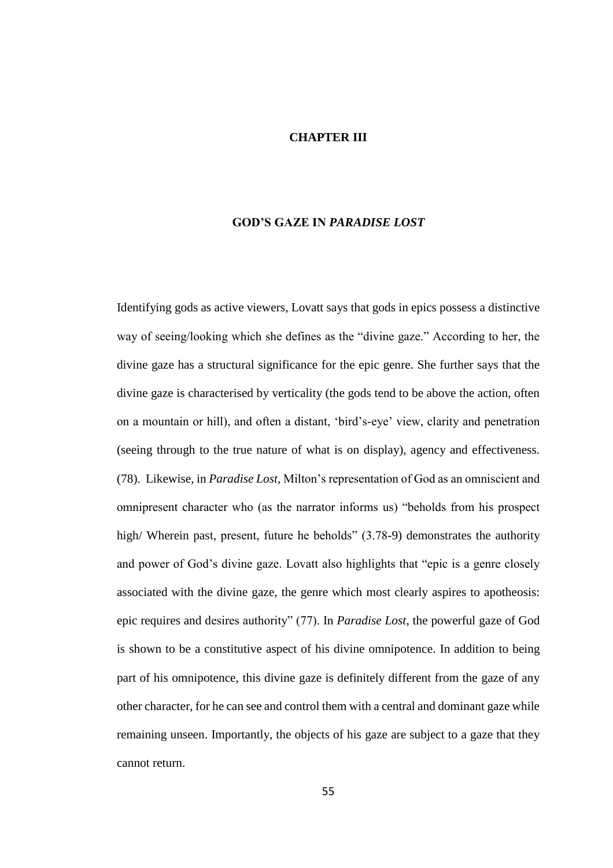#### **CHAPTER III**

# **GOD'S GAZE IN** *PARADISE LOST*

Identifying gods as active viewers, Lovatt says that gods in epics possess a distinctive way of seeing/looking which she defines as the "divine gaze." According to her, the divine gaze has a structural significance for the epic genre. She further says that the divine gaze is characterised by verticality (the gods tend to be above the action, often on a mountain or hill), and often a distant, 'bird's-eye' view, clarity and penetration (seeing through to the true nature of what is on display), agency and effectiveness. (78). Likewise, in *Paradise Lost,* Milton's representation of God as an omniscient and omnipresent character who (as the narrator informs us) "beholds from his prospect high/ Wherein past, present, future he beholds" (3.78-9) demonstrates the authority and power of God's divine gaze. Lovatt also highlights that "epic is a genre closely associated with the divine gaze, the genre which most clearly aspires to apotheosis: epic requires and desires authority" (77). In *Paradise Lost*, the powerful gaze of God is shown to be a constitutive aspect of his divine omnipotence. In addition to being part of his omnipotence, this divine gaze is definitely different from the gaze of any other character, for he can see and control them with a central and dominant gaze while remaining unseen. Importantly, the objects of his gaze are subject to a gaze that they cannot return.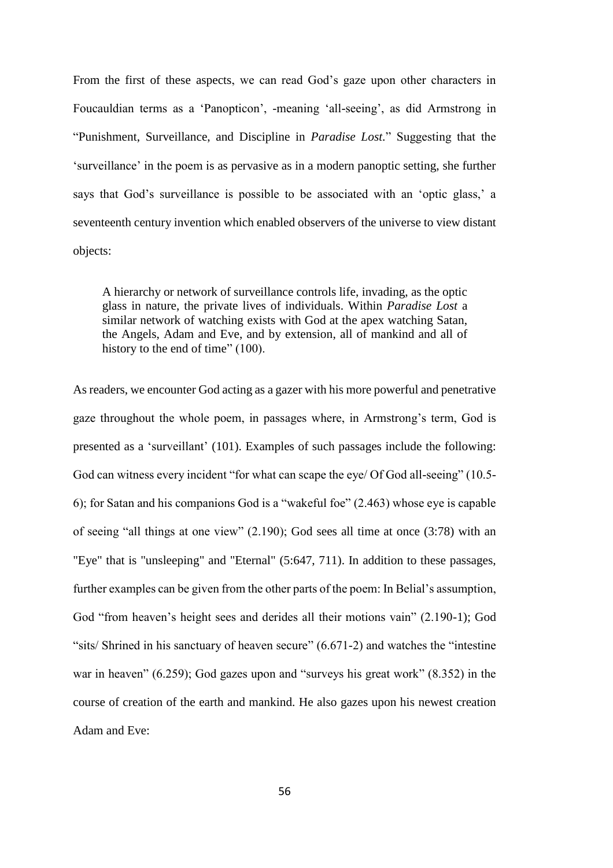From the first of these aspects, we can read God's gaze upon other characters in Foucauldian terms as a 'Panopticon', -meaning 'all-seeing', as did Armstrong in "Punishment, Surveillance, and Discipline in *Paradise Lost.*" Suggesting that the 'surveillance' in the poem is as pervasive as in a modern panoptic setting, she further says that God's surveillance is possible to be associated with an 'optic glass,' a seventeenth century invention which enabled observers of the universe to view distant objects:

A hierarchy or network of surveillance controls life, invading, as the optic glass in nature, the private lives of individuals. Within *Paradise Lost* a similar network of watching exists with God at the apex watching Satan, the Angels, Adam and Eve, and by extension, all of mankind and all of history to the end of time" (100).

As readers, we encounter God acting as a gazer with his more powerful and penetrative gaze throughout the whole poem, in passages where, in Armstrong's term, God is presented as a 'surveillant' (101). Examples of such passages include the following: God can witness every incident "for what can scape the eye/ Of God all-seeing" (10.5- 6); for Satan and his companions God is a "wakeful foe" (2.463) whose eye is capable of seeing "all things at one view" (2.190); God sees all time at once (3:78) with an "Eye" that is "unsleeping" and "Eternal" (5:647, 711). In addition to these passages, further examples can be given from the other parts of the poem: In Belial's assumption, God "from heaven's height sees and derides all their motions vain" (2.190-1); God "sits/ Shrined in his sanctuary of heaven secure" (6.671-2) and watches the "intestine war in heaven" (6.259); God gazes upon and "surveys his great work" (8.352) in the course of creation of the earth and mankind. He also gazes upon his newest creation Adam and Eve: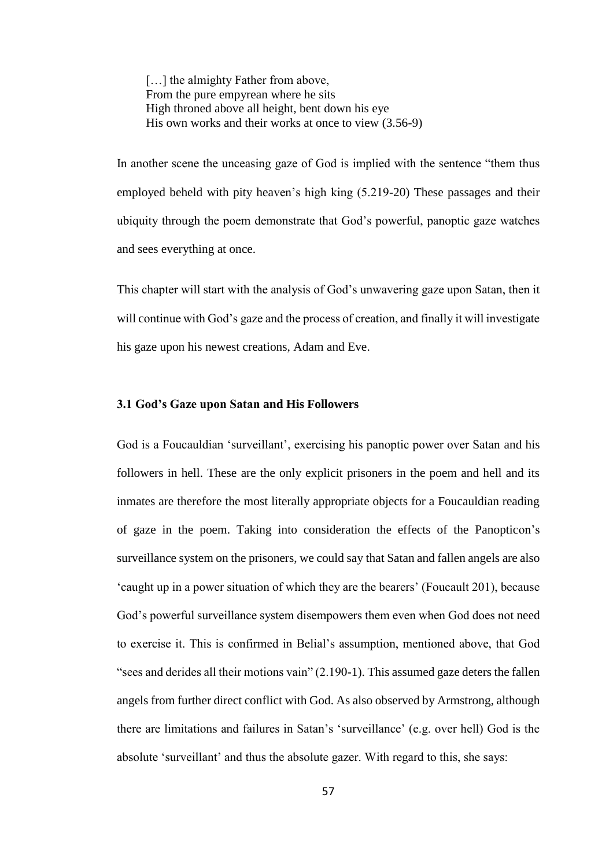[...] the almighty Father from above, From the pure empyrean where he sits High throned above all height, bent down his eye His own works and their works at once to view (3.56-9)

In another scene the unceasing gaze of God is implied with the sentence "them thus employed beheld with pity heaven's high king (5.219-20) These passages and their ubiquity through the poem demonstrate that God's powerful, panoptic gaze watches and sees everything at once.

This chapter will start with the analysis of God's unwavering gaze upon Satan, then it will continue with God's gaze and the process of creation, and finally it will investigate his gaze upon his newest creations, Adam and Eve.

## **3.1 God's Gaze upon Satan and His Followers**

God is a Foucauldian 'surveillant', exercising his panoptic power over Satan and his followers in hell. These are the only explicit prisoners in the poem and hell and its inmates are therefore the most literally appropriate objects for a Foucauldian reading of gaze in the poem. Taking into consideration the effects of the Panopticon's surveillance system on the prisoners, we could say that Satan and fallen angels are also 'caught up in a power situation of which they are the bearers' (Foucault 201), because God's powerful surveillance system disempowers them even when God does not need to exercise it. This is confirmed in Belial's assumption, mentioned above, that God "sees and derides all their motions vain" (2.190-1). This assumed gaze deters the fallen angels from further direct conflict with God. As also observed by Armstrong, although there are limitations and failures in Satan's 'surveillance' (e.g. over hell) God is the absolute 'surveillant' and thus the absolute gazer. With regard to this, she says: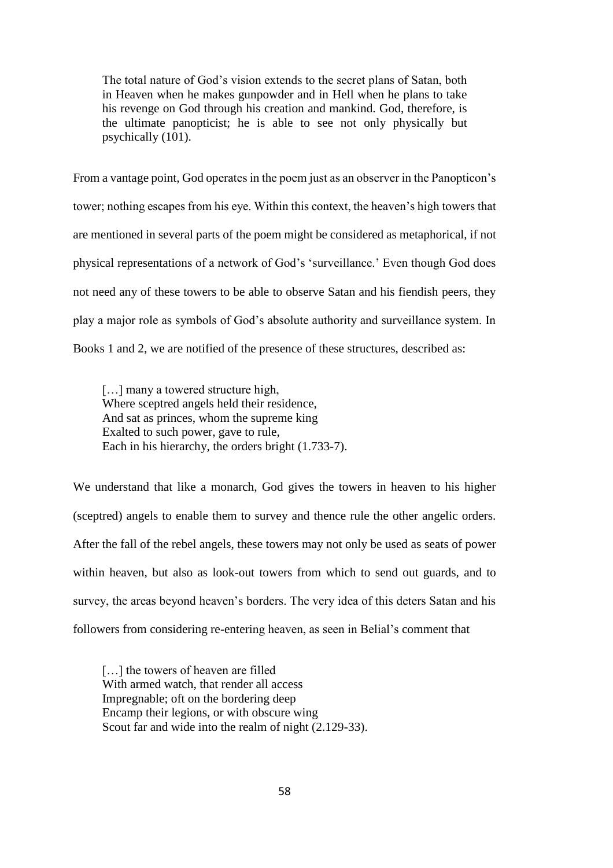The total nature of God's vision extends to the secret plans of Satan, both in Heaven when he makes gunpowder and in Hell when he plans to take his revenge on God through his creation and mankind. God, therefore, is the ultimate panopticist; he is able to see not only physically but psychically (101).

From a vantage point, God operates in the poem just as an observer in the Panopticon's tower; nothing escapes from his eye. Within this context, the heaven's high towers that are mentioned in several parts of the poem might be considered as metaphorical, if not physical representations of a network of God's 'surveillance.' Even though God does not need any of these towers to be able to observe Satan and his fiendish peers, they play a major role as symbols of God's absolute authority and surveillance system. In Books 1 and 2, we are notified of the presence of these structures, described as:

[...] many a towered structure high, Where sceptred angels held their residence, And sat as princes, whom the supreme king Exalted to such power, gave to rule, Each in his hierarchy, the orders bright (1.733-7).

We understand that like a monarch, God gives the towers in heaven to his higher (sceptred) angels to enable them to survey and thence rule the other angelic orders. After the fall of the rebel angels, these towers may not only be used as seats of power within heaven, but also as look-out towers from which to send out guards, and to survey, the areas beyond heaven's borders. The very idea of this deters Satan and his followers from considering re-entering heaven, as seen in Belial's comment that

[...] the towers of heaven are filled With armed watch, that render all access Impregnable; oft on the bordering deep Encamp their legions, or with obscure wing Scout far and wide into the realm of night (2.129-33).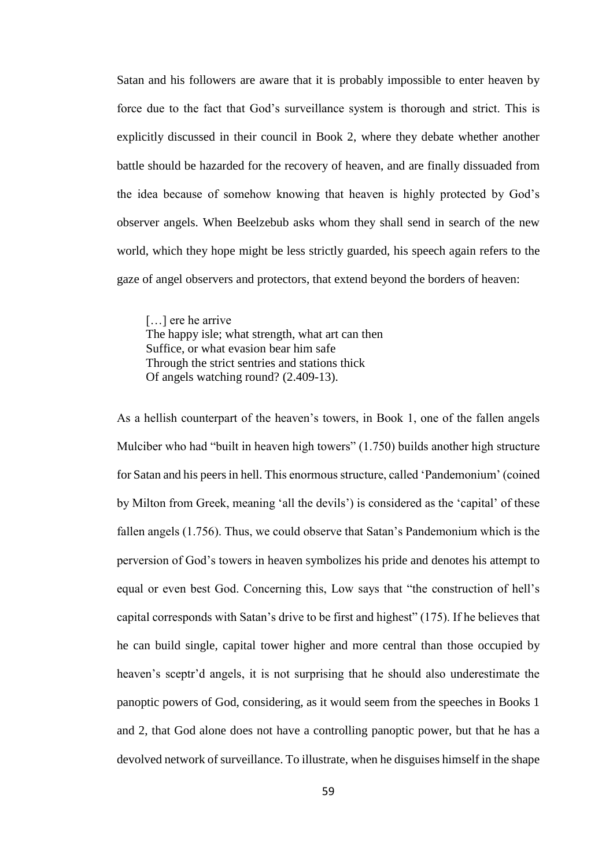Satan and his followers are aware that it is probably impossible to enter heaven by force due to the fact that God's surveillance system is thorough and strict. This is explicitly discussed in their council in Book 2, where they debate whether another battle should be hazarded for the recovery of heaven, and are finally dissuaded from the idea because of somehow knowing that heaven is highly protected by God's observer angels. When Beelzebub asks whom they shall send in search of the new world, which they hope might be less strictly guarded, his speech again refers to the gaze of angel observers and protectors, that extend beyond the borders of heaven:

[...] ere he arrive The happy isle; what strength, what art can then Suffice, or what evasion bear him safe Through the strict sentries and stations thick Of angels watching round? (2.409-13).

As a hellish counterpart of the heaven's towers, in Book 1, one of the fallen angels Mulciber who had "built in heaven high towers" (1.750) builds another high structure for Satan and his peers in hell. This enormous structure, called 'Pandemonium' (coined by Milton from Greek, meaning 'all the devils') is considered as the 'capital' of these fallen angels (1.756). Thus, we could observe that Satan's Pandemonium which is the perversion of God's towers in heaven symbolizes his pride and denotes his attempt to equal or even best God. Concerning this, Low says that "the construction of hell's capital corresponds with Satan's drive to be first and highest" (175). If he believes that he can build single, capital tower higher and more central than those occupied by heaven's sceptr'd angels, it is not surprising that he should also underestimate the panoptic powers of God, considering, as it would seem from the speeches in Books 1 and 2, that God alone does not have a controlling panoptic power, but that he has a devolved network of surveillance. To illustrate, when he disguises himself in the shape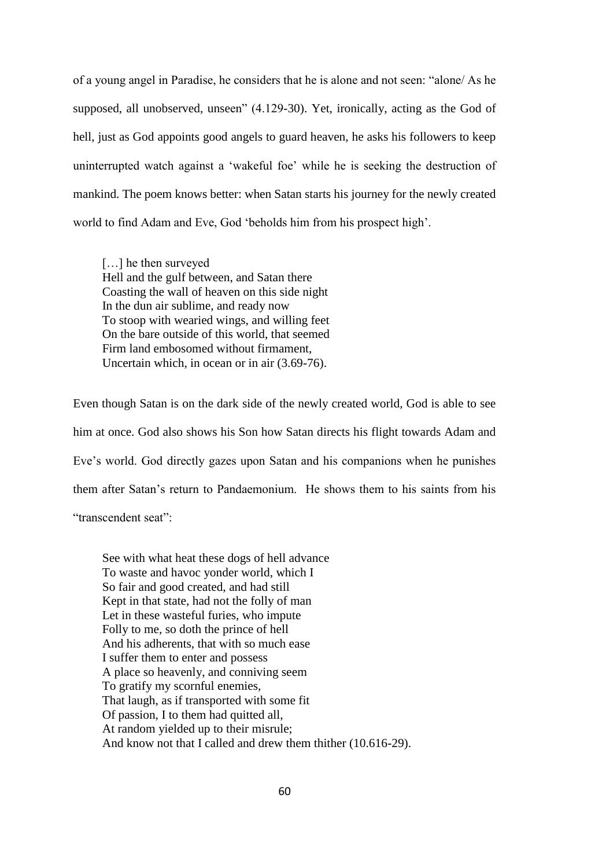of a young angel in Paradise, he considers that he is alone and not seen: "alone/ As he supposed, all unobserved, unseen" (4.129-30). Yet, ironically, acting as the God of hell, just as God appoints good angels to guard heaven, he asks his followers to keep uninterrupted watch against a 'wakeful foe' while he is seeking the destruction of mankind. The poem knows better: when Satan starts his journey for the newly created world to find Adam and Eve, God 'beholds him from his prospect high'.

[...] he then surveyed Hell and the gulf between, and Satan there Coasting the wall of heaven on this side night In the dun air sublime, and ready now To stoop with wearied wings, and willing feet On the bare outside of this world, that seemed Firm land embosomed without firmament, Uncertain which, in ocean or in air (3.69-76).

Even though Satan is on the dark side of the newly created world, God is able to see him at once. God also shows his Son how Satan directs his flight towards Adam and Eve's world. God directly gazes upon Satan and his companions when he punishes them after Satan's return to Pandaemonium. He shows them to his saints from his "transcendent seat":

See with what heat these dogs of hell advance To waste and havoc yonder world, which I So fair and good created, and had still Kept in that state, had not the folly of man Let in these wasteful furies, who impute Folly to me, so doth the prince of hell And his adherents, that with so much ease I suffer them to enter and possess A place so heavenly, and conniving seem To gratify my scornful enemies, That laugh, as if transported with some fit Of passion, I to them had quitted all, At random yielded up to their misrule; And know not that I called and drew them thither (10.616-29).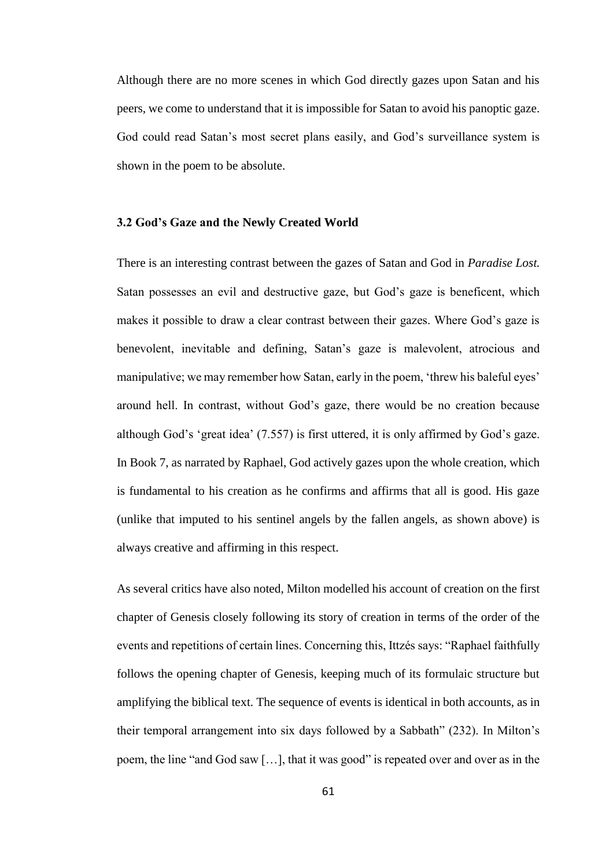Although there are no more scenes in which God directly gazes upon Satan and his peers, we come to understand that it is impossible for Satan to avoid his panoptic gaze. God could read Satan's most secret plans easily, and God's surveillance system is shown in the poem to be absolute.

## **3.2 God's Gaze and the Newly Created World**

There is an interesting contrast between the gazes of Satan and God in *Paradise Lost.*  Satan possesses an evil and destructive gaze, but God's gaze is beneficent, which makes it possible to draw a clear contrast between their gazes. Where God's gaze is benevolent, inevitable and defining, Satan's gaze is malevolent, atrocious and manipulative; we may remember how Satan, early in the poem, 'threw his baleful eyes' around hell. In contrast, without God's gaze, there would be no creation because although God's 'great idea' (7.557) is first uttered, it is only affirmed by God's gaze. In Book 7, as narrated by Raphael, God actively gazes upon the whole creation, which is fundamental to his creation as he confirms and affirms that all is good. His gaze (unlike that imputed to his sentinel angels by the fallen angels, as shown above) is always creative and affirming in this respect.

As several critics have also noted, Milton modelled his account of creation on the first chapter of Genesis closely following its story of creation in terms of the order of the events and repetitions of certain lines. Concerning this, Ittzés says: "Raphael faithfully follows the opening chapter of Genesis, keeping much of its formulaic structure but amplifying the biblical text. The sequence of events is identical in both accounts, as in their temporal arrangement into six days followed by a Sabbath" (232). In Milton's poem, the line "and God saw […], that it was good" is repeated over and over as in the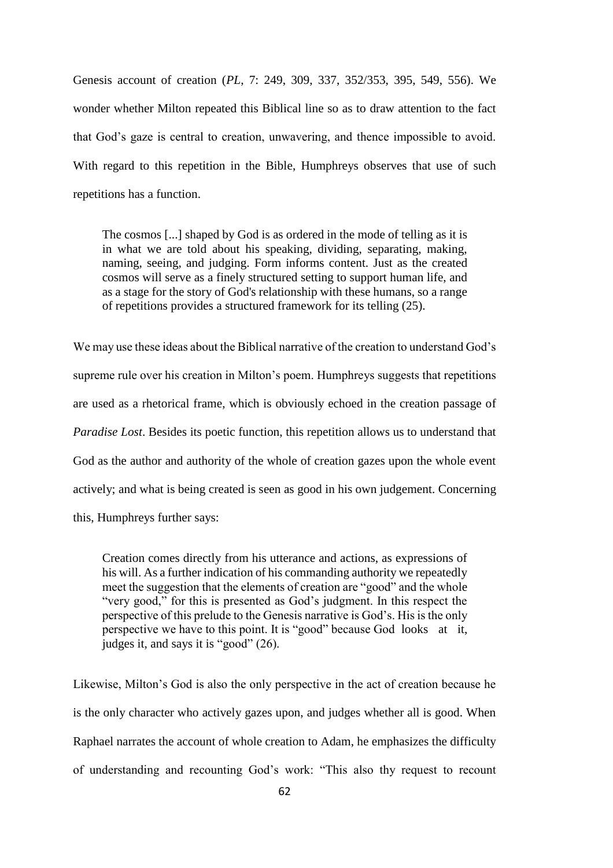Genesis account of creation (*PL*, 7: 249, 309, 337, 352/353, 395, 549, 556). We wonder whether Milton repeated this Biblical line so as to draw attention to the fact that God's gaze is central to creation, unwavering, and thence impossible to avoid. With regard to this repetition in the Bible, Humphreys observes that use of such repetitions has a function.

The cosmos [...] shaped by God is as ordered in the mode of telling as it is in what we are told about his speaking, dividing, separating, making, naming, seeing, and judging. Form informs content. Just as the created cosmos will serve as a finely structured setting to support human life, and as a stage for the story of God's relationship with these humans, so a range of repetitions provides a structured framework for its telling (25).

We may use these ideas about the Biblical narrative of the creation to understand God's supreme rule over his creation in Milton's poem. Humphreys suggests that repetitions are used as a rhetorical frame, which is obviously echoed in the creation passage of *Paradise Lost*. Besides its poetic function, this repetition allows us to understand that God as the author and authority of the whole of creation gazes upon the whole event actively; and what is being created is seen as good in his own judgement. Concerning this, Humphreys further says:

Creation comes directly from his utterance and actions, as expressions of his will. As a further indication of his commanding authority we repeatedly meet the suggestion that the elements of creation are "good" and the whole "very good," for this is presented as God's judgment. In this respect the perspective of this prelude to the Genesis narrative is God's. His is the only perspective we have to this point. It is "good" because God looks at it, judges it, and says it is "good" (26).

Likewise, Milton's God is also the only perspective in the act of creation because he is the only character who actively gazes upon, and judges whether all is good. When Raphael narrates the account of whole creation to Adam, he emphasizes the difficulty of understanding and recounting God's work: "This also thy request to recount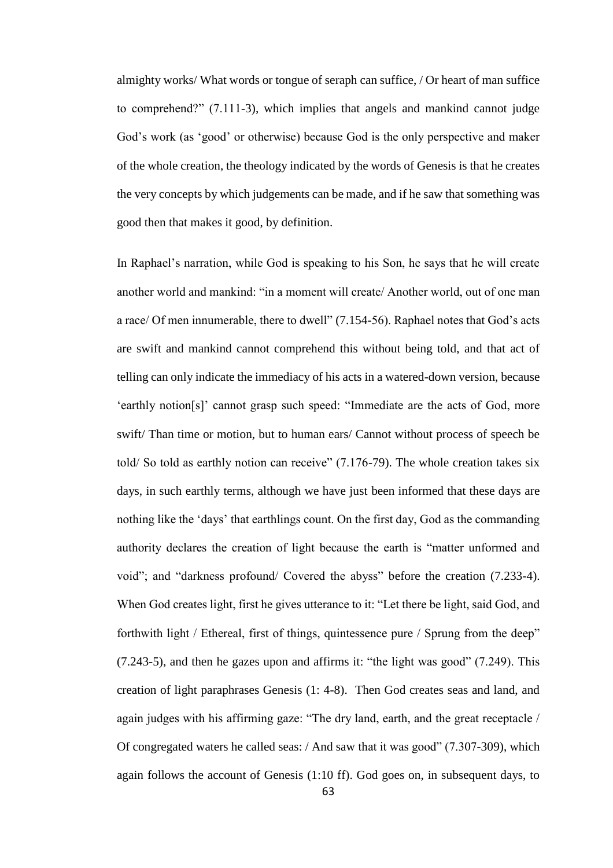almighty works/ What words or tongue of seraph can suffice, / Or heart of man suffice to comprehend?" (7.111-3), which implies that angels and mankind cannot judge God's work (as 'good' or otherwise) because God is the only perspective and maker of the whole creation, the theology indicated by the words of Genesis is that he creates the very concepts by which judgements can be made, and if he saw that something was good then that makes it good, by definition.

In Raphael's narration, while God is speaking to his Son, he says that he will create another world and mankind: "in a moment will create/ Another world, out of one man a race/ Of men innumerable, there to dwell" (7.154-56). Raphael notes that God's acts are swift and mankind cannot comprehend this without being told, and that act of telling can only indicate the immediacy of his acts in a watered-down version, because 'earthly notion[s]' cannot grasp such speed: "Immediate are the acts of God, more swift/ Than time or motion, but to human ears/ Cannot without process of speech be told/ So told as earthly notion can receive" (7.176-79). The whole creation takes six days, in such earthly terms, although we have just been informed that these days are nothing like the 'days' that earthlings count. On the first day, God as the commanding authority declares the creation of light because the earth is "matter unformed and void"; and "darkness profound/ Covered the abyss" before the creation (7.233-4). When God creates light, first he gives utterance to it: "Let there be light, said God, and forthwith light / Ethereal, first of things, quintessence pure / Sprung from the deep" (7.243-5), and then he gazes upon and affirms it: "the light was good" (7.249). This creation of light paraphrases Genesis (1: 4-8). Then God creates seas and land, and again judges with his affirming gaze: "The dry land, earth, and the great receptacle / Of congregated waters he called seas: / And saw that it was good" (7.307-309), which again follows the account of Genesis (1:10 ff). God goes on, in subsequent days, to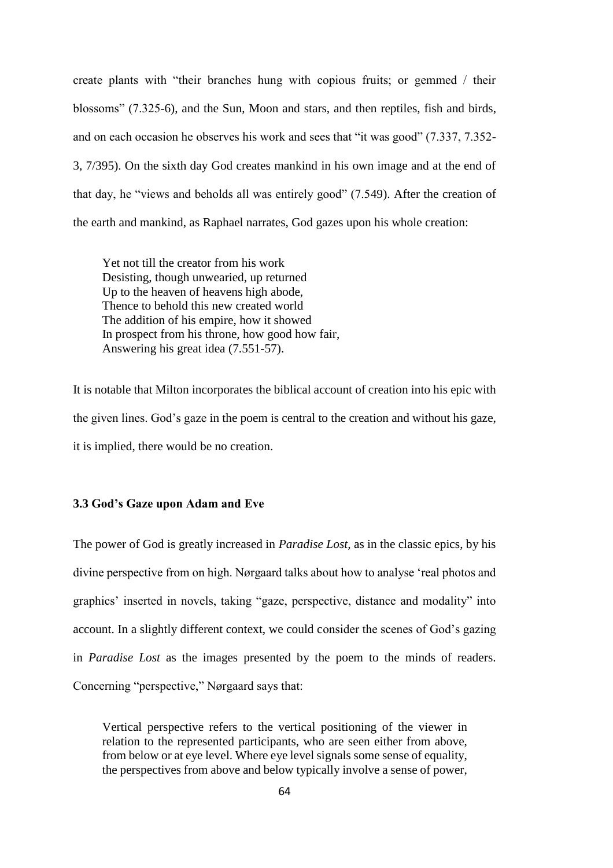create plants with "their branches hung with copious fruits; or gemmed / their blossoms" (7.325-6), and the Sun, Moon and stars, and then reptiles, fish and birds, and on each occasion he observes his work and sees that "it was good" (7.337, 7.352- 3, 7/395). On the sixth day God creates mankind in his own image and at the end of that day, he "views and beholds all was entirely good" (7.549). After the creation of the earth and mankind, as Raphael narrates, God gazes upon his whole creation:

Yet not till the creator from his work Desisting, though unwearied, up returned Up to the heaven of heavens high abode, Thence to behold this new created world The addition of his empire, how it showed In prospect from his throne, how good how fair, Answering his great idea (7.551-57).

It is notable that Milton incorporates the biblical account of creation into his epic with the given lines. God's gaze in the poem is central to the creation and without his gaze, it is implied, there would be no creation.

# **3.3 God's Gaze upon Adam and Eve**

The power of God is greatly increased in *Paradise Lost,* as in the classic epics, by his divine perspective from on high. Nørgaard talks about how to analyse 'real photos and graphics' inserted in novels, taking "gaze, perspective, distance and modality" into account. In a slightly different context, we could consider the scenes of God's gazing in *Paradise Lost* as the images presented by the poem to the minds of readers. Concerning "perspective," Nørgaard says that:

Vertical perspective refers to the vertical positioning of the viewer in relation to the represented participants, who are seen either from above, from below or at eye level. Where eye level signals some sense of equality, the perspectives from above and below typically involve a sense of power,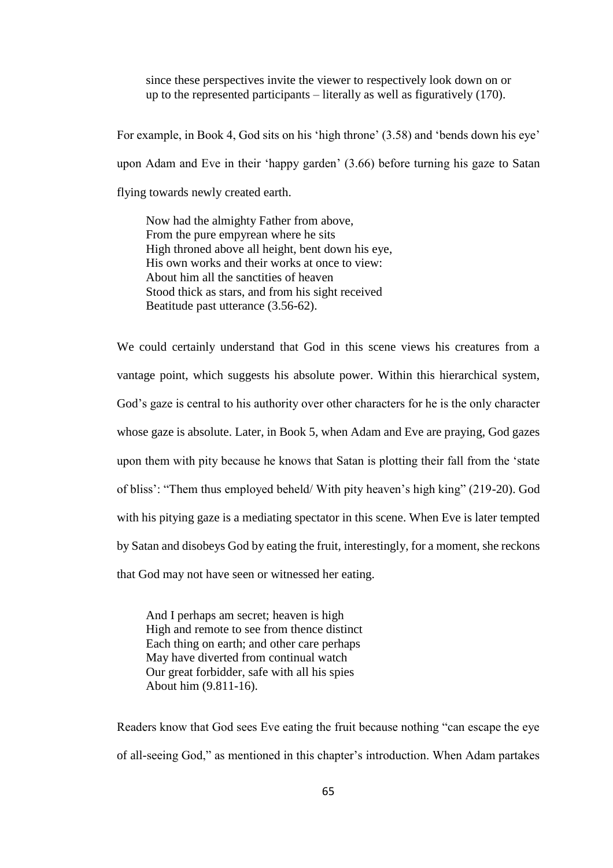since these perspectives invite the viewer to respectively look down on or up to the represented participants – literally as well as figuratively (170).

For example, in Book 4, God sits on his 'high throne' (3.58) and 'bends down his eye' upon Adam and Eve in their 'happy garden' (3.66) before turning his gaze to Satan flying towards newly created earth.

Now had the almighty Father from above, From the pure empyrean where he sits High throned above all height, bent down his eye, His own works and their works at once to view: About him all the sanctities of heaven Stood thick as stars, and from his sight received Beatitude past utterance (3.56-62).

We could certainly understand that God in this scene views his creatures from a vantage point, which suggests his absolute power. Within this hierarchical system, God's gaze is central to his authority over other characters for he is the only character whose gaze is absolute. Later, in Book 5, when Adam and Eve are praying, God gazes upon them with pity because he knows that Satan is plotting their fall from the 'state of bliss': "Them thus employed beheld/ With pity heaven's high king" (219-20). God with his pitying gaze is a mediating spectator in this scene. When Eve is later tempted by Satan and disobeys God by eating the fruit, interestingly, for a moment, she reckons that God may not have seen or witnessed her eating.

And I perhaps am secret; heaven is high High and remote to see from thence distinct Each thing on earth; and other care perhaps May have diverted from continual watch Our great forbidder, safe with all his spies About him (9.811-16).

Readers know that God sees Eve eating the fruit because nothing "can escape the eye of all-seeing God," as mentioned in this chapter's introduction. When Adam partakes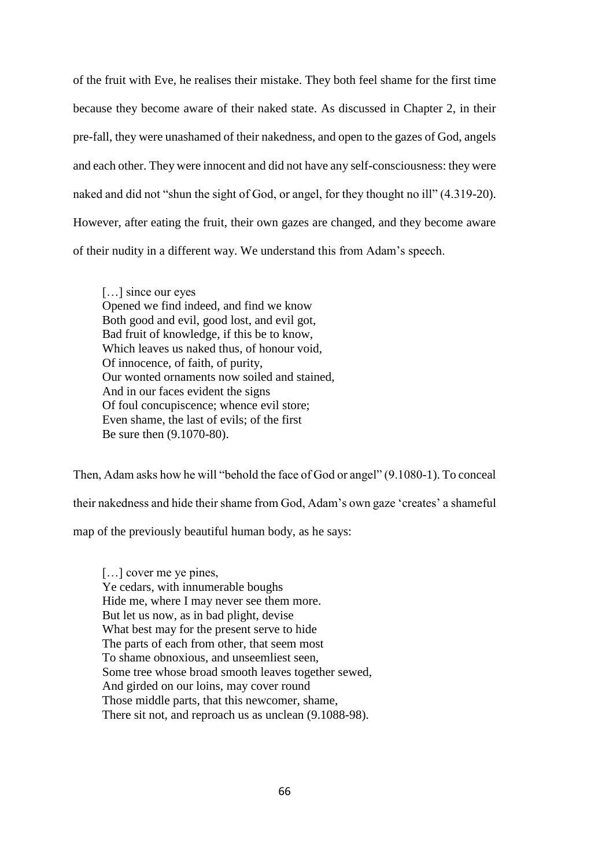of the fruit with Eve, he realises their mistake. They both feel shame for the first time because they become aware of their naked state. As discussed in Chapter 2, in their pre-fall, they were unashamed of their nakedness, and open to the gazes of God, angels and each other. They were innocent and did not have any self-consciousness: they were naked and did not "shun the sight of God, or angel, for they thought no ill" (4.319-20). However, after eating the fruit, their own gazes are changed, and they become aware of their nudity in a different way. We understand this from Adam's speech.

[...] since our eyes Opened we find indeed, and find we know Both good and evil, good lost, and evil got, Bad fruit of knowledge, if this be to know, Which leaves us naked thus, of honour void, Of innocence, of faith, of purity, Our wonted ornaments now soiled and stained, And in our faces evident the signs Of foul concupiscence; whence evil store; Even shame, the last of evils; of the first Be sure then (9.1070-80).

Then, Adam asks how he will "behold the face of God or angel" (9.1080-1). To conceal their nakedness and hide their shame from God, Adam's own gaze 'creates' a shameful map of the previously beautiful human body, as he says:

[...] cover me ye pines, Ye cedars, with innumerable boughs Hide me, where I may never see them more. But let us now, as in bad plight, devise What best may for the present serve to hide The parts of each from other, that seem most To shame obnoxious, and unseemliest seen, Some tree whose broad smooth leaves together sewed, And girded on our loins, may cover round Those middle parts, that this newcomer, shame, There sit not, and reproach us as unclean (9.1088-98).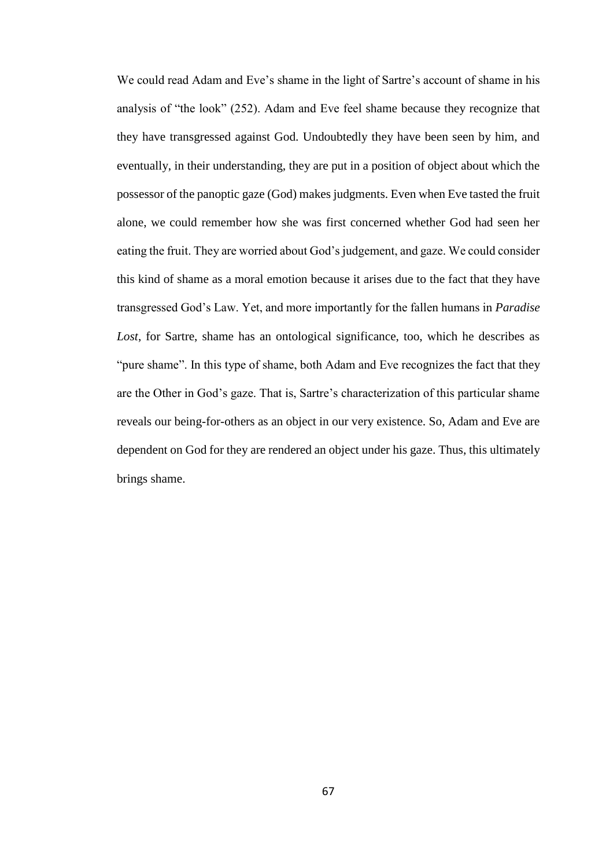We could read Adam and Eve's shame in the light of Sartre's account of shame in his analysis of "the look" (252). Adam and Eve feel shame because they recognize that they have transgressed against God. Undoubtedly they have been seen by him, and eventually, in their understanding, they are put in a position of object about which the possessor of the panoptic gaze (God) makes judgments. Even when Eve tasted the fruit alone, we could remember how she was first concerned whether God had seen her eating the fruit. They are worried about God's judgement, and gaze. We could consider this kind of shame as a moral emotion because it arises due to the fact that they have transgressed God's Law. Yet, and more importantly for the fallen humans in *Paradise Lost*, for Sartre, shame has an ontological significance, too, which he describes as "pure shame". In this type of shame, both Adam and Eve recognizes the fact that they are the Other in God's gaze. That is, Sartre's characterization of this particular shame reveals our being-for-others as an object in our very existence. So, Adam and Eve are dependent on God for they are rendered an object under his gaze. Thus, this ultimately brings shame.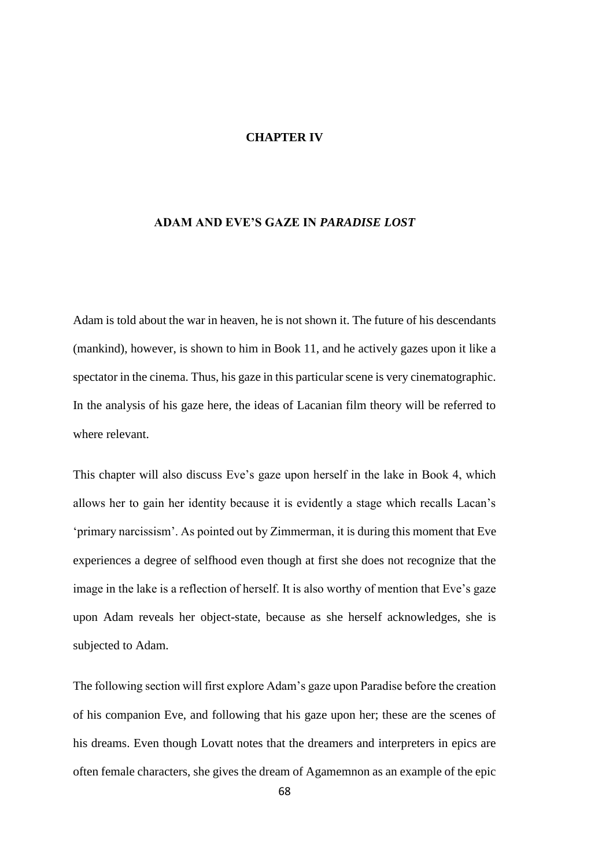#### **CHAPTER IV**

## **ADAM AND EVE'S GAZE IN** *PARADISE LOST*

Adam is told about the war in heaven, he is not shown it. The future of his descendants (mankind), however, is shown to him in Book 11, and he actively gazes upon it like a spectator in the cinema. Thus, his gaze in this particular scene is very cinematographic. In the analysis of his gaze here, the ideas of Lacanian film theory will be referred to where relevant.

This chapter will also discuss Eve's gaze upon herself in the lake in Book 4, which allows her to gain her identity because it is evidently a stage which recalls Lacan's 'primary narcissism'. As pointed out by Zimmerman, it is during this moment that Eve experiences a degree of selfhood even though at first she does not recognize that the image in the lake is a reflection of herself. It is also worthy of mention that Eve's gaze upon Adam reveals her object-state, because as she herself acknowledges, she is subjected to Adam.

The following section will first explore Adam's gaze upon Paradise before the creation of his companion Eve, and following that his gaze upon her; these are the scenes of his dreams. Even though Lovatt notes that the dreamers and interpreters in epics are often female characters, she gives the dream of Agamemnon as an example of the epic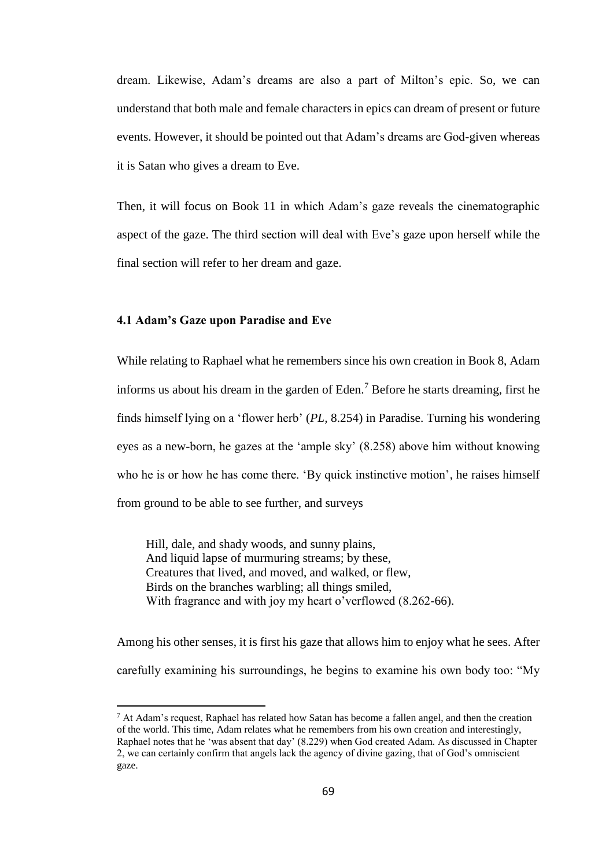dream. Likewise, Adam's dreams are also a part of Milton's epic. So, we can understand that both male and female characters in epics can dream of present or future events. However, it should be pointed out that Adam's dreams are God-given whereas it is Satan who gives a dream to Eve.

Then, it will focus on Book 11 in which Adam's gaze reveals the cinematographic aspect of the gaze. The third section will deal with Eve's gaze upon herself while the final section will refer to her dream and gaze.

## **4.1 Adam's Gaze upon Paradise and Eve**

 $\overline{a}$ 

While relating to Raphael what he remembers since his own creation in Book 8, Adam informs us about his dream in the garden of Eden.<sup>7</sup> Before he starts dreaming, first he finds himself lying on a 'flower herb' (*PL,* 8.254) in Paradise. Turning his wondering eyes as a new-born, he gazes at the 'ample sky' (8.258) above him without knowing who he is or how he has come there. 'By quick instinctive motion', he raises himself from ground to be able to see further, and surveys

Hill, dale, and shady woods, and sunny plains, And liquid lapse of murmuring streams; by these, Creatures that lived, and moved, and walked, or flew, Birds on the branches warbling; all things smiled, With fragrance and with joy my heart o'verflowed (8.262-66).

Among his other senses, it is first his gaze that allows him to enjoy what he sees. After carefully examining his surroundings, he begins to examine his own body too: "My

 $<sup>7</sup>$  At Adam's request. Raphael has related how Satan has become a fallen angel, and then the creation</sup> of the world. This time, Adam relates what he remembers from his own creation and interestingly, Raphael notes that he 'was absent that day' (8.229) when God created Adam. As discussed in Chapter 2, we can certainly confirm that angels lack the agency of divine gazing, that of God's omniscient gaze.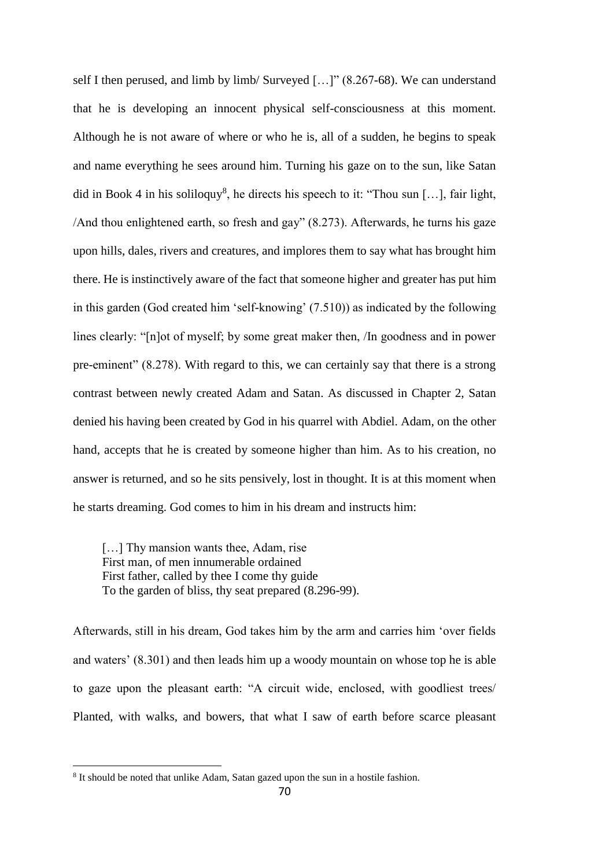self I then perused, and limb by limb/ Surveyed […]" (8.267-68). We can understand that he is developing an innocent physical self-consciousness at this moment. Although he is not aware of where or who he is, all of a sudden, he begins to speak and name everything he sees around him. Turning his gaze on to the sun, like Satan did in Book 4 in his soliloquy<sup>8</sup>, he directs his speech to it: "Thou sun [...], fair light, /And thou enlightened earth, so fresh and gay" (8.273). Afterwards, he turns his gaze upon hills, dales, rivers and creatures, and implores them to say what has brought him there. He is instinctively aware of the fact that someone higher and greater has put him in this garden (God created him 'self-knowing' (7.510)) as indicated by the following lines clearly: "[n]ot of myself; by some great maker then, /In goodness and in power pre-eminent" (8.278). With regard to this, we can certainly say that there is a strong contrast between newly created Adam and Satan. As discussed in Chapter 2, Satan denied his having been created by God in his quarrel with Abdiel. Adam, on the other hand, accepts that he is created by someone higher than him. As to his creation, no answer is returned, and so he sits pensively, lost in thought. It is at this moment when he starts dreaming. God comes to him in his dream and instructs him:

[...] Thy mansion wants thee, Adam, rise First man, of men innumerable ordained First father, called by thee I come thy guide To the garden of bliss, thy seat prepared (8.296-99).

Afterwards, still in his dream, God takes him by the arm and carries him 'over fields and waters' (8.301) and then leads him up a woody mountain on whose top he is able to gaze upon the pleasant earth: "A circuit wide, enclosed, with goodliest trees/ Planted, with walks, and bowers, that what I saw of earth before scarce pleasant

 $\overline{a}$ 

<sup>&</sup>lt;sup>8</sup> It should be noted that unlike Adam, Satan gazed upon the sun in a hostile fashion.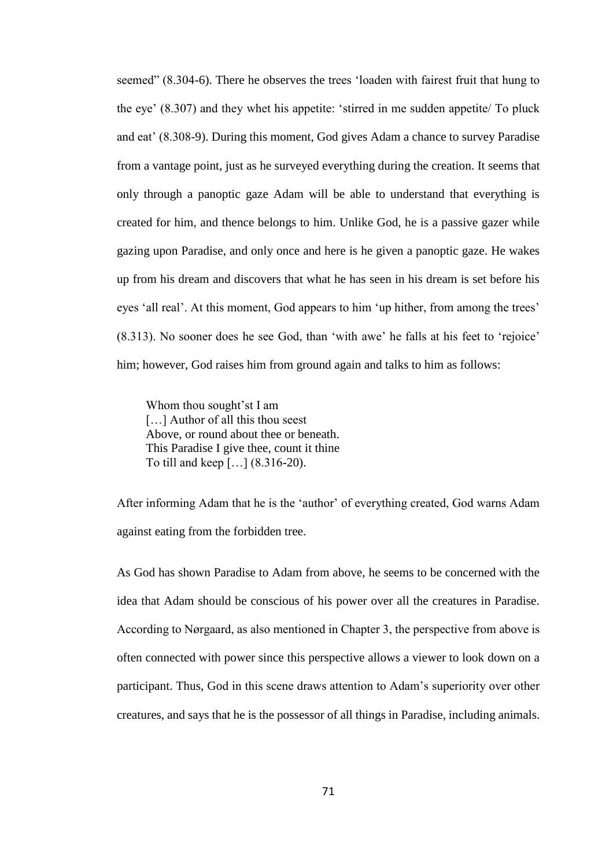seemed" (8.304-6). There he observes the trees 'loaden with fairest fruit that hung to the eye' (8.307) and they whet his appetite: 'stirred in me sudden appetite/ To pluck and eat' (8.308-9). During this moment, God gives Adam a chance to survey Paradise from a vantage point, just as he surveyed everything during the creation. It seems that only through a panoptic gaze Adam will be able to understand that everything is created for him, and thence belongs to him. Unlike God, he is a passive gazer while gazing upon Paradise, and only once and here is he given a panoptic gaze. He wakes up from his dream and discovers that what he has seen in his dream is set before his eyes 'all real'. At this moment, God appears to him 'up hither, from among the trees' (8.313). No sooner does he see God, than 'with awe' he falls at his feet to 'rejoice' him; however, God raises him from ground again and talks to him as follows:

Whom thou sought'st I am [...] Author of all this thou seest Above, or round about thee or beneath. This Paradise I give thee, count it thine To till and keep […] (8.316-20).

After informing Adam that he is the 'author' of everything created, God warns Adam against eating from the forbidden tree.

As God has shown Paradise to Adam from above, he seems to be concerned with the idea that Adam should be conscious of his power over all the creatures in Paradise. According to Nørgaard, as also mentioned in Chapter 3, the perspective from above is often connected with power since this perspective allows a viewer to look down on a participant. Thus, God in this scene draws attention to Adam's superiority over other creatures, and says that he is the possessor of all things in Paradise, including animals.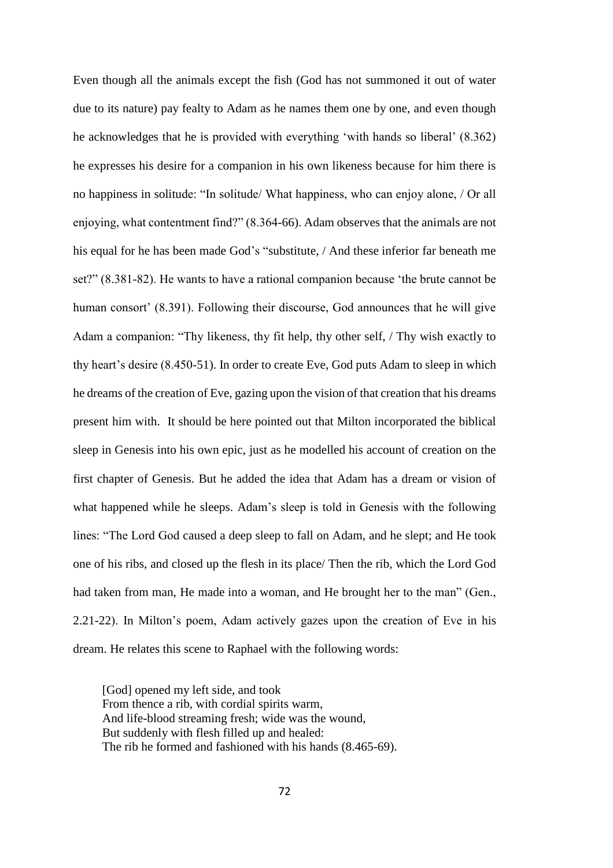Even though all the animals except the fish (God has not summoned it out of water due to its nature) pay fealty to Adam as he names them one by one, and even though he acknowledges that he is provided with everything 'with hands so liberal' (8.362) he expresses his desire for a companion in his own likeness because for him there is no happiness in solitude: "In solitude/ What happiness, who can enjoy alone, / Or all enjoying, what contentment find?" (8.364-66). Adam observes that the animals are not his equal for he has been made God's "substitute, / And these inferior far beneath me set?" (8.381-82). He wants to have a rational companion because 'the brute cannot be human consort' (8.391). Following their discourse, God announces that he will give Adam a companion: "Thy likeness, thy fit help, thy other self, / Thy wish exactly to thy heart's desire (8.450-51). In order to create Eve, God puts Adam to sleep in which he dreams of the creation of Eve, gazing upon the vision of that creation that his dreams present him with. It should be here pointed out that Milton incorporated the biblical sleep in Genesis into his own epic, just as he modelled his account of creation on the first chapter of Genesis. But he added the idea that Adam has a dream or vision of what happened while he sleeps. Adam's sleep is told in Genesis with the following lines: "The Lord God caused a deep sleep to fall on Adam, and he slept; and He took one of his ribs, and closed up the flesh in its place/ Then the rib, which the Lord God had taken from man, He made into a woman, and He brought her to the man" (Gen., 2.21-22). In Milton's poem, Adam actively gazes upon the creation of Eve in his dream. He relates this scene to Raphael with the following words:

[God] opened my left side, and took From thence a rib, with cordial spirits warm, And life-blood streaming fresh; wide was the wound, But suddenly with flesh filled up and healed: The rib he formed and fashioned with his hands (8.465-69).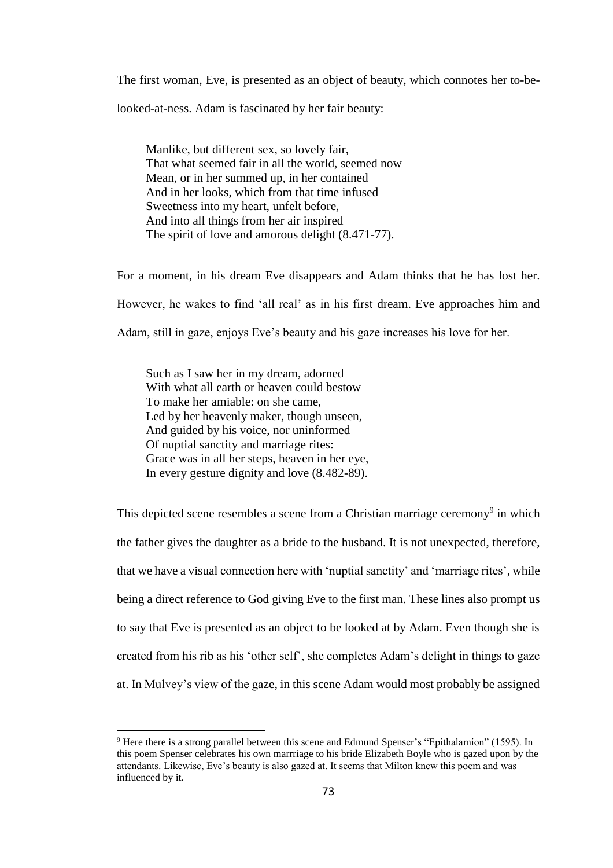The first woman, Eve, is presented as an object of beauty, which connotes her to-be-

looked-at-ness. Adam is fascinated by her fair beauty:

Manlike, but different sex, so lovely fair, That what seemed fair in all the world, seemed now Mean, or in her summed up, in her contained And in her looks, which from that time infused Sweetness into my heart, unfelt before, And into all things from her air inspired The spirit of love and amorous delight (8.471-77).

For a moment, in his dream Eve disappears and Adam thinks that he has lost her. However, he wakes to find 'all real' as in his first dream. Eve approaches him and Adam, still in gaze, enjoys Eve's beauty and his gaze increases his love for her.

Such as I saw her in my dream, adorned With what all earth or heaven could bestow To make her amiable: on she came, Led by her heavenly maker, though unseen, And guided by his voice, nor uninformed Of nuptial sanctity and marriage rites: Grace was in all her steps, heaven in her eye, In every gesture dignity and love (8.482-89).

 $\overline{a}$ 

This depicted scene resembles a scene from a Christian marriage ceremony<sup>9</sup> in which the father gives the daughter as a bride to the husband. It is not unexpected, therefore, that we have a visual connection here with 'nuptial sanctity' and 'marriage rites', while being a direct reference to God giving Eve to the first man. These lines also prompt us to say that Eve is presented as an object to be looked at by Adam. Even though she is created from his rib as his 'other self', she completes Adam's delight in things to gaze at. In Mulvey's view of the gaze, in this scene Adam would most probably be assigned

<sup>9</sup> Here there is a strong parallel between this scene and Edmund Spenser's "Epithalamion" (1595). In this poem Spenser celebrates his own marrriage to his bride Elizabeth Boyle who is gazed upon by the attendants. Likewise, Eve's beauty is also gazed at. It seems that Milton knew this poem and was influenced by it.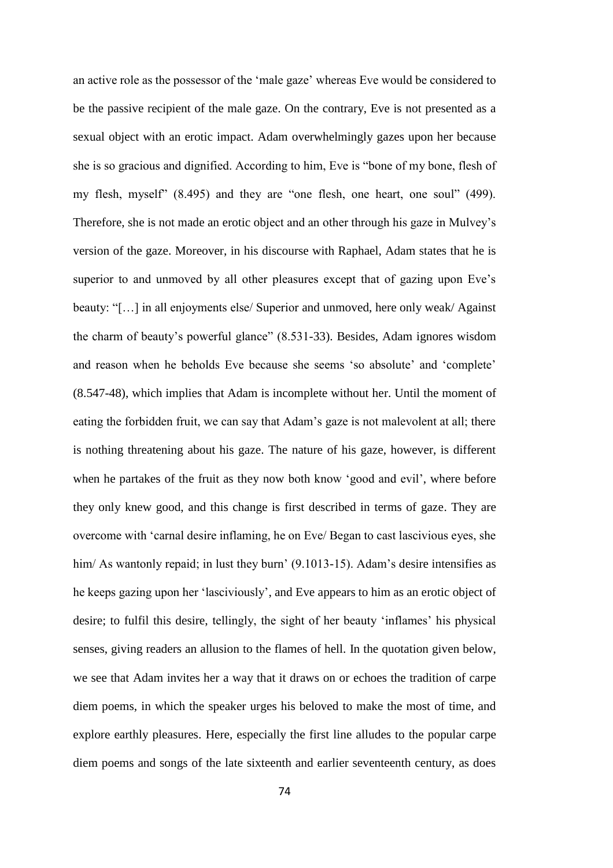an active role as the possessor of the 'male gaze' whereas Eve would be considered to be the passive recipient of the male gaze. On the contrary, Eve is not presented as a sexual object with an erotic impact. Adam overwhelmingly gazes upon her because she is so gracious and dignified. According to him, Eve is "bone of my bone, flesh of my flesh, myself" (8.495) and they are "one flesh, one heart, one soul" (499). Therefore, she is not made an erotic object and an other through his gaze in Mulvey's version of the gaze. Moreover, in his discourse with Raphael, Adam states that he is superior to and unmoved by all other pleasures except that of gazing upon Eve's beauty: "[…] in all enjoyments else/ Superior and unmoved, here only weak/ Against the charm of beauty's powerful glance" (8.531-33). Besides, Adam ignores wisdom and reason when he beholds Eve because she seems 'so absolute' and 'complete' (8.547-48), which implies that Adam is incomplete without her. Until the moment of eating the forbidden fruit, we can say that Adam's gaze is not malevolent at all; there is nothing threatening about his gaze. The nature of his gaze, however, is different when he partakes of the fruit as they now both know 'good and evil', where before they only knew good, and this change is first described in terms of gaze. They are overcome with 'carnal desire inflaming, he on Eve/ Began to cast lascivious eyes, she him/ As wantonly repaid; in lust they burn' (9.1013-15). Adam's desire intensifies as he keeps gazing upon her 'lasciviously', and Eve appears to him as an erotic object of desire; to fulfil this desire, tellingly, the sight of her beauty 'inflames' his physical senses, giving readers an allusion to the flames of hell. In the quotation given below, we see that Adam invites her a way that it draws on or echoes the tradition of carpe diem poems, in which the speaker urges his beloved to make the most of time, and explore earthly pleasures. Here, especially the first line alludes to the popular carpe diem poems and songs of the late sixteenth and earlier seventeenth century, as does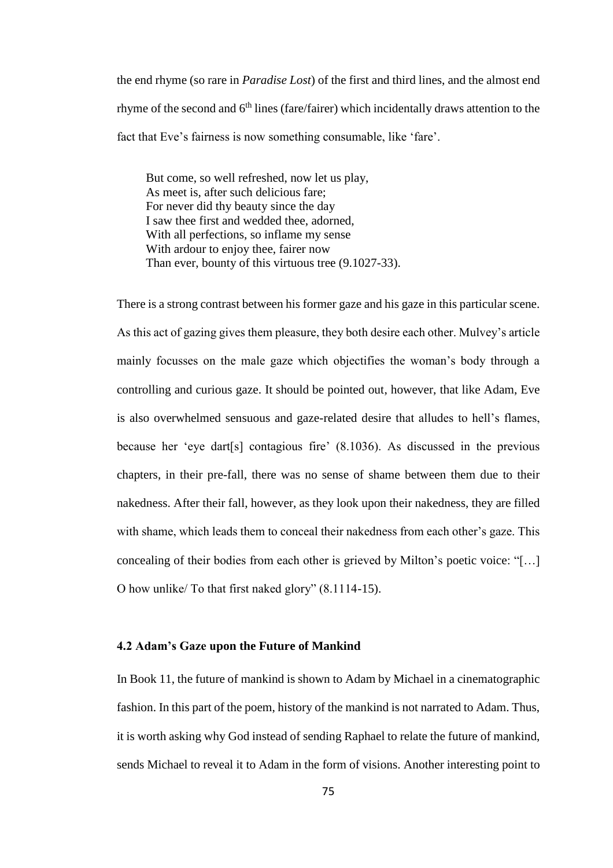the end rhyme (so rare in *Paradise Lost*) of the first and third lines, and the almost end rhyme of the second and  $6<sup>th</sup>$  lines (fare/fairer) which incidentally draws attention to the fact that Eve's fairness is now something consumable, like 'fare'.

But come, so well refreshed, now let us play, As meet is, after such delicious fare; For never did thy beauty since the day I saw thee first and wedded thee, adorned, With all perfections, so inflame my sense With ardour to enjoy thee, fairer now Than ever, bounty of this virtuous tree (9.1027-33).

There is a strong contrast between his former gaze and his gaze in this particular scene. As this act of gazing gives them pleasure, they both desire each other. Mulvey's article mainly focusses on the male gaze which objectifies the woman's body through a controlling and curious gaze. It should be pointed out, however, that like Adam, Eve is also overwhelmed sensuous and gaze-related desire that alludes to hell's flames, because her 'eye dart[s] contagious fire' (8.1036). As discussed in the previous chapters, in their pre-fall, there was no sense of shame between them due to their nakedness. After their fall, however, as they look upon their nakedness, they are filled with shame, which leads them to conceal their nakedness from each other's gaze. This concealing of their bodies from each other is grieved by Milton's poetic voice: "[…] O how unlike/ To that first naked glory" (8.1114-15).

## **4.2 Adam's Gaze upon the Future of Mankind**

In Book 11, the future of mankind is shown to Adam by Michael in a cinematographic fashion. In this part of the poem, history of the mankind is not narrated to Adam. Thus, it is worth asking why God instead of sending Raphael to relate the future of mankind, sends Michael to reveal it to Adam in the form of visions. Another interesting point to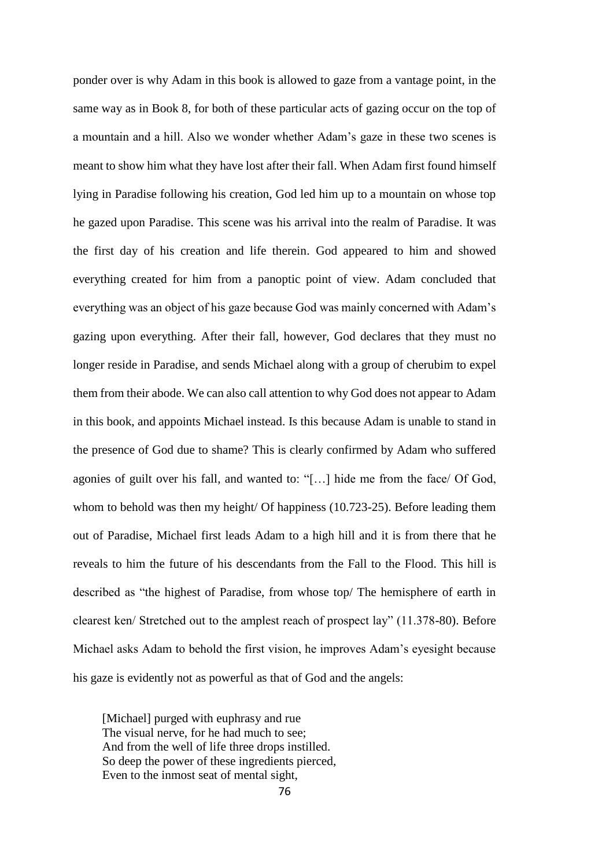ponder over is why Adam in this book is allowed to gaze from a vantage point, in the same way as in Book 8, for both of these particular acts of gazing occur on the top of a mountain and a hill. Also we wonder whether Adam's gaze in these two scenes is meant to show him what they have lost after their fall. When Adam first found himself lying in Paradise following his creation, God led him up to a mountain on whose top he gazed upon Paradise. This scene was his arrival into the realm of Paradise. It was the first day of his creation and life therein. God appeared to him and showed everything created for him from a panoptic point of view. Adam concluded that everything was an object of his gaze because God was mainly concerned with Adam's gazing upon everything. After their fall, however, God declares that they must no longer reside in Paradise, and sends Michael along with a group of cherubim to expel them from their abode. We can also call attention to why God does not appear to Adam in this book, and appoints Michael instead. Is this because Adam is unable to stand in the presence of God due to shame? This is clearly confirmed by Adam who suffered agonies of guilt over his fall, and wanted to: "[…] hide me from the face/ Of God, whom to behold was then my height/ Of happiness (10.723-25). Before leading them out of Paradise, Michael first leads Adam to a high hill and it is from there that he reveals to him the future of his descendants from the Fall to the Flood. This hill is described as "the highest of Paradise, from whose top/ The hemisphere of earth in clearest ken/ Stretched out to the amplest reach of prospect lay" (11.378-80). Before Michael asks Adam to behold the first vision, he improves Adam's eyesight because his gaze is evidently not as powerful as that of God and the angels:

[Michael] purged with euphrasy and rue The visual nerve, for he had much to see; And from the well of life three drops instilled. So deep the power of these ingredients pierced, Even to the inmost seat of mental sight,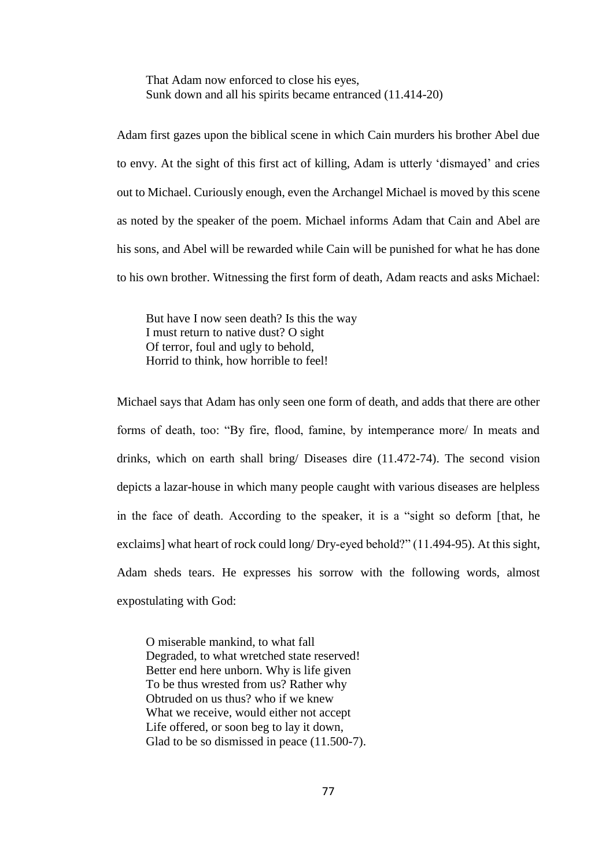That Adam now enforced to close his eyes, Sunk down and all his spirits became entranced (11.414-20)

Adam first gazes upon the biblical scene in which Cain murders his brother Abel due to envy. At the sight of this first act of killing, Adam is utterly 'dismayed' and cries out to Michael. Curiously enough, even the Archangel Michael is moved by this scene as noted by the speaker of the poem. Michael informs Adam that Cain and Abel are his sons, and Abel will be rewarded while Cain will be punished for what he has done to his own brother. Witnessing the first form of death, Adam reacts and asks Michael:

But have I now seen death? Is this the way I must return to native dust? O sight Of terror, foul and ugly to behold, Horrid to think, how horrible to feel!

Michael says that Adam has only seen one form of death, and adds that there are other forms of death, too: "By fire, flood, famine, by intemperance more/ In meats and drinks, which on earth shall bring/ Diseases dire (11.472-74). The second vision depicts a lazar-house in which many people caught with various diseases are helpless in the face of death. According to the speaker, it is a "sight so deform [that, he exclaims] what heart of rock could long/ Dry-eyed behold?" (11.494-95). At this sight, Adam sheds tears. He expresses his sorrow with the following words, almost expostulating with God:

O miserable mankind, to what fall Degraded, to what wretched state reserved! Better end here unborn. Why is life given To be thus wrested from us? Rather why Obtruded on us thus? who if we knew What we receive, would either not accept Life offered, or soon beg to lay it down, Glad to be so dismissed in peace  $(11.500-7)$ .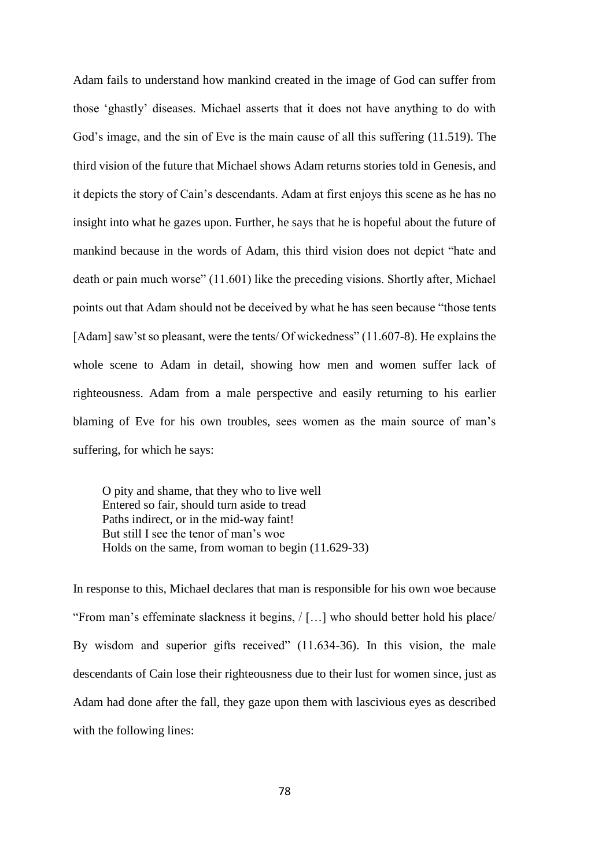Adam fails to understand how mankind created in the image of God can suffer from those 'ghastly' diseases. Michael asserts that it does not have anything to do with God's image, and the sin of Eve is the main cause of all this suffering (11.519). The third vision of the future that Michael shows Adam returns stories told in Genesis, and it depicts the story of Cain's descendants. Adam at first enjoys this scene as he has no insight into what he gazes upon. Further, he says that he is hopeful about the future of mankind because in the words of Adam, this third vision does not depict "hate and death or pain much worse" (11.601) like the preceding visions. Shortly after, Michael points out that Adam should not be deceived by what he has seen because "those tents [Adam] saw'st so pleasant, were the tents/ Of wickedness" (11.607-8). He explains the whole scene to Adam in detail, showing how men and women suffer lack of righteousness. Adam from a male perspective and easily returning to his earlier blaming of Eve for his own troubles, sees women as the main source of man's suffering, for which he says:

O pity and shame, that they who to live well Entered so fair, should turn aside to tread Paths indirect, or in the mid-way faint! But still I see the tenor of man's woe Holds on the same, from woman to begin (11.629-33)

In response to this, Michael declares that man is responsible for his own woe because "From man's effeminate slackness it begins, / […] who should better hold his place/ By wisdom and superior gifts received" (11.634-36). In this vision, the male descendants of Cain lose their righteousness due to their lust for women since, just as Adam had done after the fall, they gaze upon them with lascivious eyes as described with the following lines: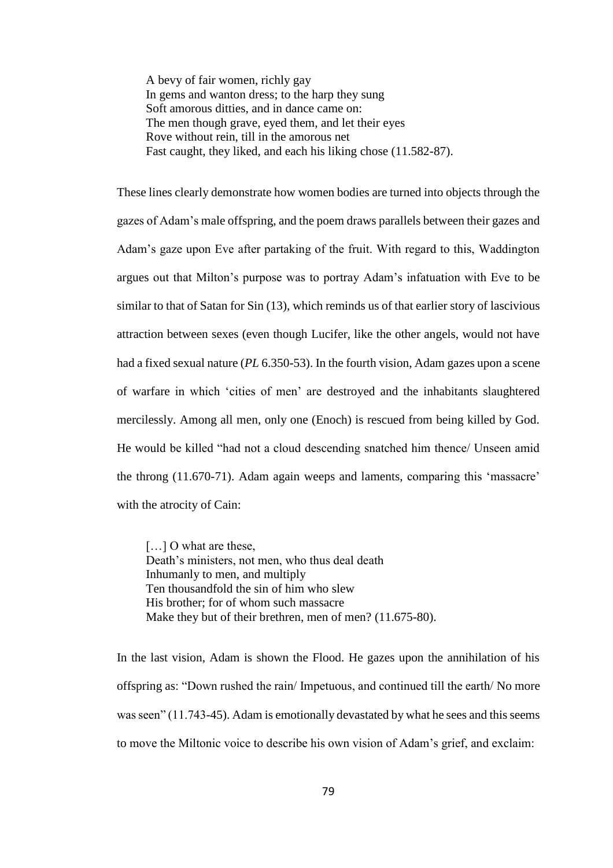A bevy of fair women, richly gay In gems and wanton dress; to the harp they sung Soft amorous ditties, and in dance came on: The men though grave, eyed them, and let their eyes Rove without rein, till in the amorous net Fast caught, they liked, and each his liking chose (11.582-87).

These lines clearly demonstrate how women bodies are turned into objects through the gazes of Adam's male offspring, and the poem draws parallels between their gazes and Adam's gaze upon Eve after partaking of the fruit. With regard to this, Waddington argues out that Milton's purpose was to portray Adam's infatuation with Eve to be similar to that of Satan for Sin (13), which reminds us of that earlier story of lascivious attraction between sexes (even though Lucifer, like the other angels, would not have had a fixed sexual nature (*PL* 6.350-53). In the fourth vision, Adam gazes upon a scene of warfare in which 'cities of men' are destroyed and the inhabitants slaughtered mercilessly. Among all men, only one (Enoch) is rescued from being killed by God. He would be killed "had not a cloud descending snatched him thence/ Unseen amid the throng (11.670-71). Adam again weeps and laments, comparing this 'massacre' with the atrocity of Cain:

[...] O what are these, Death's ministers, not men, who thus deal death Inhumanly to men, and multiply Ten thousandfold the sin of him who slew His brother; for of whom such massacre Make they but of their brethren, men of men? (11.675-80).

In the last vision, Adam is shown the Flood. He gazes upon the annihilation of his offspring as: "Down rushed the rain/ Impetuous, and continued till the earth/ No more was seen" (11.743-45). Adam is emotionally devastated by what he sees and this seems to move the Miltonic voice to describe his own vision of Adam's grief, and exclaim: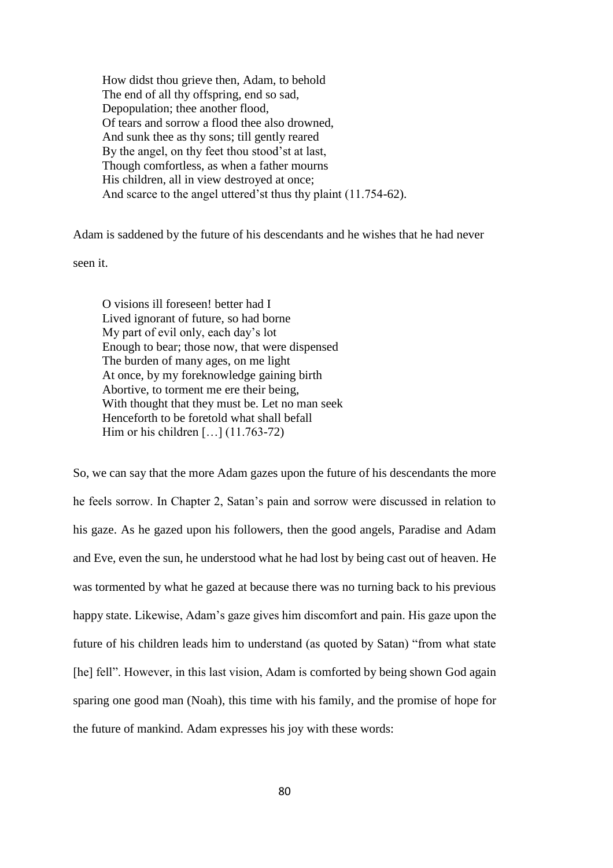How didst thou grieve then, Adam, to behold The end of all thy offspring, end so sad, Depopulation; thee another flood, Of tears and sorrow a flood thee also drowned, And sunk thee as thy sons; till gently reared By the angel, on thy feet thou stood'st at last, Though comfortless, as when a father mourns His children, all in view destroyed at once; And scarce to the angel uttered'st thus thy plaint (11.754-62).

Adam is saddened by the future of his descendants and he wishes that he had never

seen it.

O visions ill foreseen! better had I Lived ignorant of future, so had borne My part of evil only, each day's lot Enough to bear; those now, that were dispensed The burden of many ages, on me light At once, by my foreknowledge gaining birth Abortive, to torment me ere their being, With thought that they must be. Let no man seek Henceforth to be foretold what shall befall Him or his children [...] (11.763-72)

So, we can say that the more Adam gazes upon the future of his descendants the more he feels sorrow. In Chapter 2, Satan's pain and sorrow were discussed in relation to his gaze. As he gazed upon his followers, then the good angels, Paradise and Adam and Eve, even the sun, he understood what he had lost by being cast out of heaven. He was tormented by what he gazed at because there was no turning back to his previous happy state. Likewise, Adam's gaze gives him discomfort and pain. His gaze upon the future of his children leads him to understand (as quoted by Satan) "from what state [he] fell". However, in this last vision, Adam is comforted by being shown God again sparing one good man (Noah), this time with his family, and the promise of hope for the future of mankind. Adam expresses his joy with these words: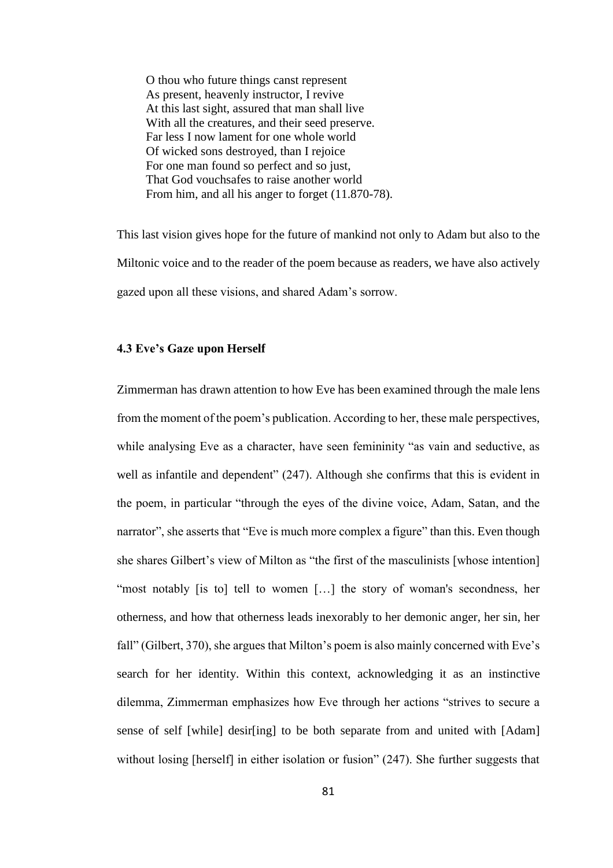O thou who future things canst represent As present, heavenly instructor, I revive At this last sight, assured that man shall live With all the creatures, and their seed preserve. Far less I now lament for one whole world Of wicked sons destroyed, than I rejoice For one man found so perfect and so just, That God vouchsafes to raise another world From him, and all his anger to forget (11.870-78).

This last vision gives hope for the future of mankind not only to Adam but also to the Miltonic voice and to the reader of the poem because as readers, we have also actively gazed upon all these visions, and shared Adam's sorrow.

## **4.3 Eve's Gaze upon Herself**

Zimmerman has drawn attention to how Eve has been examined through the male lens from the moment of the poem's publication. According to her, these male perspectives, while analysing Eve as a character, have seen femininity "as vain and seductive, as well as infantile and dependent" (247). Although she confirms that this is evident in the poem, in particular "through the eyes of the divine voice, Adam, Satan, and the narrator", she asserts that "Eve is much more complex a figure" than this. Even though she shares Gilbert's view of Milton as "the first of the masculinists [whose intention] "most notably [is to] tell to women [...] the story of woman's secondness, her otherness, and how that otherness leads inexorably to her demonic anger, her sin, her fall" (Gilbert, 370), she argues that Milton's poem is also mainly concerned with Eve's search for her identity. Within this context, acknowledging it as an instinctive dilemma, Zimmerman emphasizes how Eve through her actions "strives to secure a sense of self [while] desir[ing] to be both separate from and united with [Adam] without losing [herself] in either isolation or fusion" (247). She further suggests that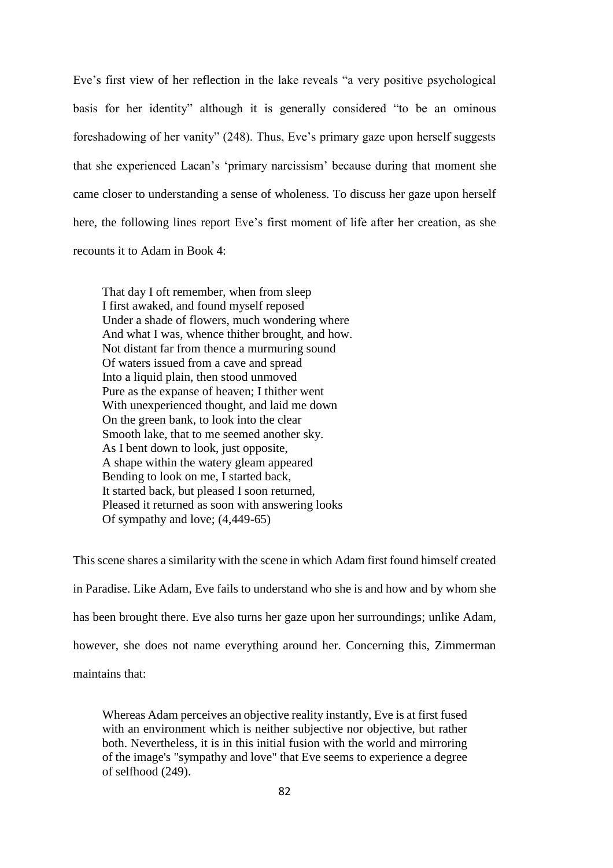Eve's first view of her reflection in the lake reveals "a very positive psychological basis for her identity" although it is generally considered "to be an ominous foreshadowing of her vanity" (248). Thus, Eve's primary gaze upon herself suggests that she experienced Lacan's 'primary narcissism' because during that moment she came closer to understanding a sense of wholeness. To discuss her gaze upon herself here, the following lines report Eve's first moment of life after her creation, as she recounts it to Adam in Book 4:

That day I oft remember, when from sleep I first awaked, and found myself reposed Under a shade of flowers, much wondering where And what I was, whence thither brought, and how. Not distant far from thence a murmuring sound Of waters issued from a cave and spread Into a liquid plain, then stood unmoved Pure as the expanse of heaven; I thither went With unexperienced thought, and laid me down On the green bank, to look into the clear Smooth lake, that to me seemed another sky. As I bent down to look, just opposite, A shape within the watery gleam appeared Bending to look on me, I started back, It started back, but pleased I soon returned, Pleased it returned as soon with answering looks Of sympathy and love; (4,449-65)

This scene shares a similarity with the scene in which Adam first found himself created in Paradise. Like Adam, Eve fails to understand who she is and how and by whom she has been brought there. Eve also turns her gaze upon her surroundings; unlike Adam, however, she does not name everything around her. Concerning this, Zimmerman maintains that:

Whereas Adam perceives an objective reality instantly, Eve is at first fused with an environment which is neither subjective nor objective, but rather both. Nevertheless, it is in this initial fusion with the world and mirroring of the image's "sympathy and love" that Eve seems to experience a degree of selfhood (249).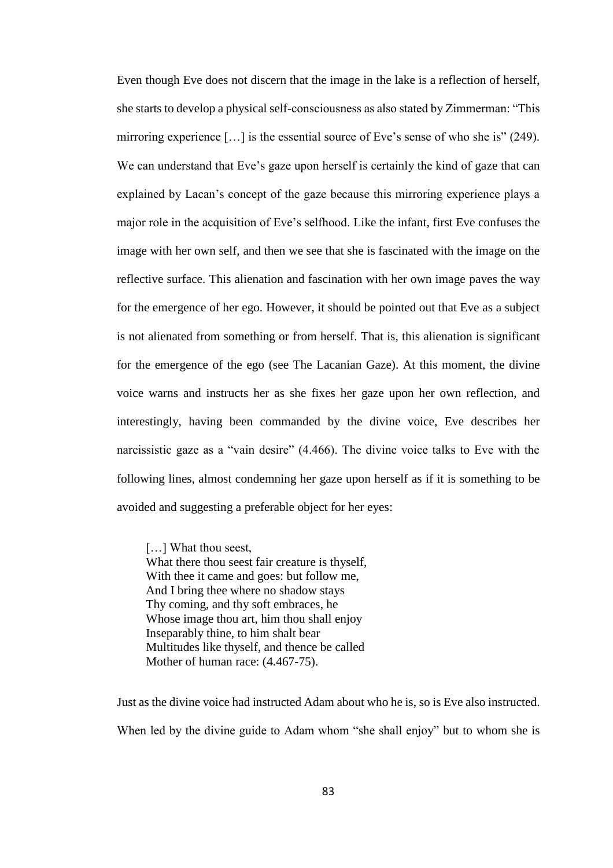Even though Eve does not discern that the image in the lake is a reflection of herself, she starts to develop a physical self-consciousness as also stated by Zimmerman: "This mirroring experience […] is the essential source of Eve's sense of who she is" (249). We can understand that Eve's gaze upon herself is certainly the kind of gaze that can explained by Lacan's concept of the gaze because this mirroring experience plays a major role in the acquisition of Eve's selfhood. Like the infant, first Eve confuses the image with her own self, and then we see that she is fascinated with the image on the reflective surface. This alienation and fascination with her own image paves the way for the emergence of her ego. However, it should be pointed out that Eve as a subject is not alienated from something or from herself. That is, this alienation is significant for the emergence of the ego (see The Lacanian Gaze). At this moment, the divine voice warns and instructs her as she fixes her gaze upon her own reflection, and interestingly, having been commanded by the divine voice, Eve describes her narcissistic gaze as a "vain desire" (4.466). The divine voice talks to Eve with the following lines, almost condemning her gaze upon herself as if it is something to be avoided and suggesting a preferable object for her eyes:

[...] What thou seest, What there thou seest fair creature is thyself, With thee it came and goes: but follow me, And I bring thee where no shadow stays Thy coming, and thy soft embraces, he Whose image thou art, him thou shall enjoy Inseparably thine, to him shalt bear Multitudes like thyself, and thence be called Mother of human race: (4.467-75).

Just as the divine voice had instructed Adam about who he is, so is Eve also instructed. When led by the divine guide to Adam whom "she shall enjoy" but to whom she is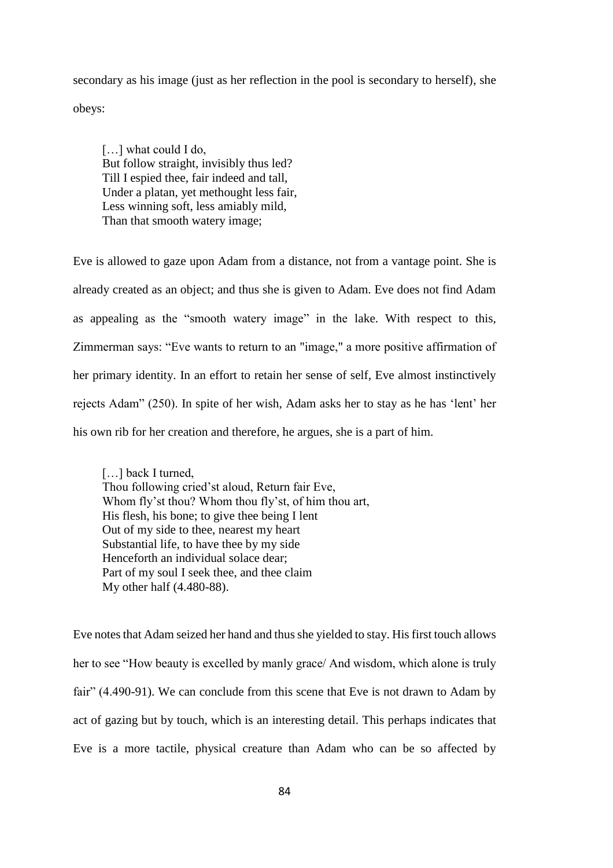secondary as his image (just as her reflection in the pool is secondary to herself), she obeys:

[...] what could I do, But follow straight, invisibly thus led? Till I espied thee, fair indeed and tall, Under a platan, yet methought less fair, Less winning soft, less amiably mild, Than that smooth watery image;

Eve is allowed to gaze upon Adam from a distance, not from a vantage point. She is already created as an object; and thus she is given to Adam. Eve does not find Adam as appealing as the "smooth watery image" in the lake. With respect to this, Zimmerman says: "Eve wants to return to an "image," a more positive affirmation of her primary identity. In an effort to retain her sense of self, Eve almost instinctively rejects Adam" (250). In spite of her wish, Adam asks her to stay as he has 'lent' her his own rib for her creation and therefore, he argues, she is a part of him.

[...] back I turned, Thou following cried'st aloud, Return fair Eve, Whom fly'st thou? Whom thou fly'st, of him thou art, His flesh, his bone; to give thee being I lent Out of my side to thee, nearest my heart Substantial life, to have thee by my side Henceforth an individual solace dear; Part of my soul I seek thee, and thee claim My other half (4.480-88).

Eve notes that Adam seized her hand and thus she yielded to stay. His first touch allows her to see "How beauty is excelled by manly grace/ And wisdom, which alone is truly fair" (4.490-91). We can conclude from this scene that Eve is not drawn to Adam by act of gazing but by touch, which is an interesting detail. This perhaps indicates that Eve is a more tactile, physical creature than Adam who can be so affected by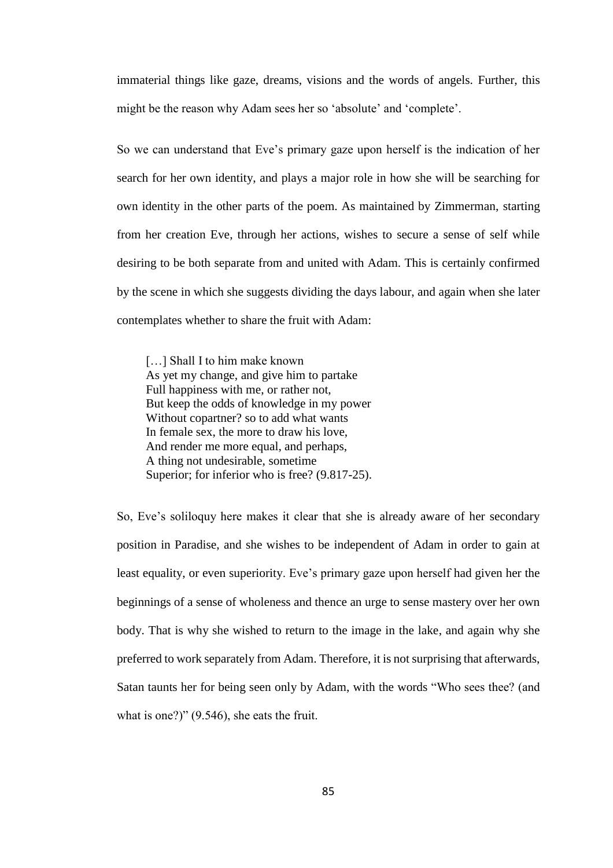immaterial things like gaze, dreams, visions and the words of angels. Further, this might be the reason why Adam sees her so 'absolute' and 'complete'.

So we can understand that Eve's primary gaze upon herself is the indication of her search for her own identity, and plays a major role in how she will be searching for own identity in the other parts of the poem. As maintained by Zimmerman, starting from her creation Eve, through her actions, wishes to secure a sense of self while desiring to be both separate from and united with Adam. This is certainly confirmed by the scene in which she suggests dividing the days labour, and again when she later contemplates whether to share the fruit with Adam:

[...] Shall I to him make known As yet my change, and give him to partake Full happiness with me, or rather not, But keep the odds of knowledge in my power Without copartner? so to add what wants In female sex, the more to draw his love, And render me more equal, and perhaps, A thing not undesirable, sometime Superior; for inferior who is free? (9.817-25).

So, Eve's soliloquy here makes it clear that she is already aware of her secondary position in Paradise, and she wishes to be independent of Adam in order to gain at least equality, or even superiority. Eve's primary gaze upon herself had given her the beginnings of a sense of wholeness and thence an urge to sense mastery over her own body. That is why she wished to return to the image in the lake, and again why she preferred to work separately from Adam. Therefore, it is not surprising that afterwards, Satan taunts her for being seen only by Adam, with the words "Who sees thee? (and what is one?)" (9.546), she eats the fruit.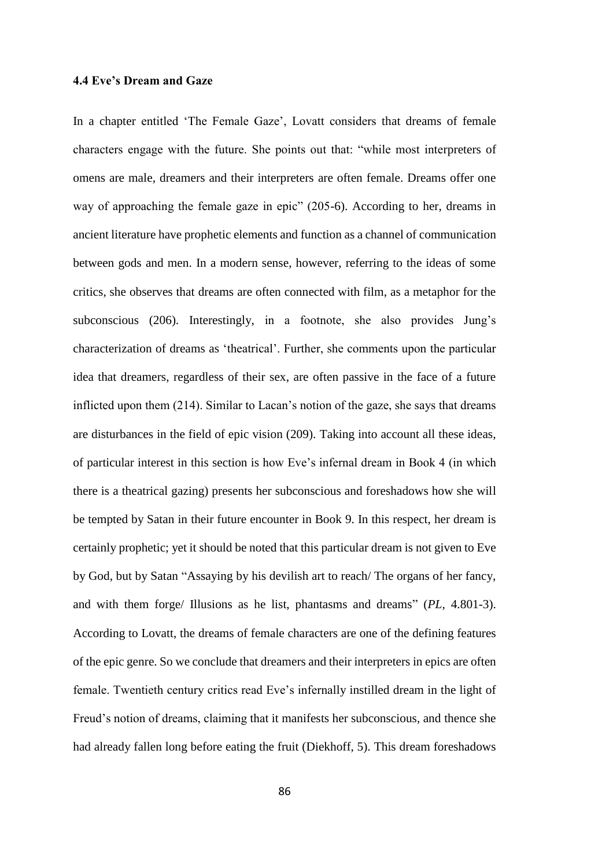## **4.4 Eve's Dream and Gaze**

In a chapter entitled 'The Female Gaze', Lovatt considers that dreams of female characters engage with the future. She points out that: "while most interpreters of omens are male, dreamers and their interpreters are often female. Dreams offer one way of approaching the female gaze in epic" (205-6). According to her, dreams in ancient literature have prophetic elements and function as a channel of communication between gods and men. In a modern sense, however, referring to the ideas of some critics, she observes that dreams are often connected with film, as a metaphor for the subconscious (206). Interestingly, in a footnote, she also provides Jung's characterization of dreams as 'theatrical'. Further, she comments upon the particular idea that dreamers, regardless of their sex, are often passive in the face of a future inflicted upon them (214). Similar to Lacan's notion of the gaze, she says that dreams are disturbances in the field of epic vision (209). Taking into account all these ideas, of particular interest in this section is how Eve's infernal dream in Book 4 (in which there is a theatrical gazing) presents her subconscious and foreshadows how she will be tempted by Satan in their future encounter in Book 9. In this respect, her dream is certainly prophetic; yet it should be noted that this particular dream is not given to Eve by God, but by Satan "Assaying by his devilish art to reach/ The organs of her fancy, and with them forge/ Illusions as he list, phantasms and dreams" (*PL,* 4.801-3). According to Lovatt, the dreams of female characters are one of the defining features of the epic genre. So we conclude that dreamers and their interpreters in epics are often female. Twentieth century critics read Eve's infernally instilled dream in the light of Freud's notion of dreams, claiming that it manifests her subconscious, and thence she had already fallen long before eating the fruit (Diekhoff, 5). This dream foreshadows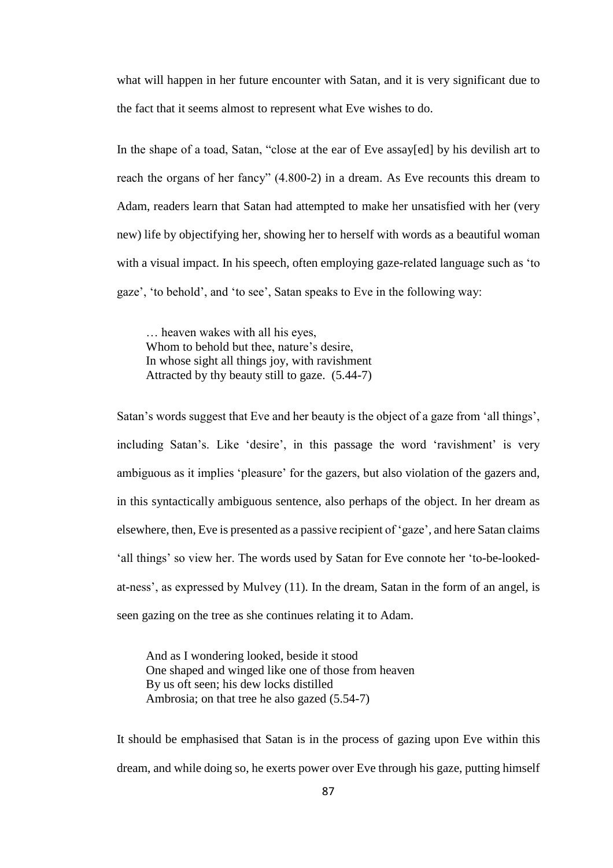what will happen in her future encounter with Satan, and it is very significant due to the fact that it seems almost to represent what Eve wishes to do.

In the shape of a toad, Satan, "close at the ear of Eve assay[ed] by his devilish art to reach the organs of her fancy" (4.800-2) in a dream. As Eve recounts this dream to Adam, readers learn that Satan had attempted to make her unsatisfied with her (very new) life by objectifying her, showing her to herself with words as a beautiful woman with a visual impact. In his speech, often employing gaze-related language such as 'to gaze', 'to behold', and 'to see', Satan speaks to Eve in the following way:

… heaven wakes with all his eyes, Whom to behold but thee, nature's desire, In whose sight all things joy, with ravishment Attracted by thy beauty still to gaze. (5.44-7)

Satan's words suggest that Eve and her beauty is the object of a gaze from 'all things', including Satan's. Like 'desire', in this passage the word 'ravishment' is very ambiguous as it implies 'pleasure' for the gazers, but also violation of the gazers and, in this syntactically ambiguous sentence, also perhaps of the object. In her dream as elsewhere, then, Eve is presented as a passive recipient of 'gaze', and here Satan claims 'all things' so view her. The words used by Satan for Eve connote her 'to-be-lookedat-ness', as expressed by Mulvey (11). In the dream, Satan in the form of an angel, is seen gazing on the tree as she continues relating it to Adam.

And as I wondering looked, beside it stood One shaped and winged like one of those from heaven By us oft seen; his dew locks distilled Ambrosia; on that tree he also gazed (5.54-7)

It should be emphasised that Satan is in the process of gazing upon Eve within this dream, and while doing so, he exerts power over Eve through his gaze, putting himself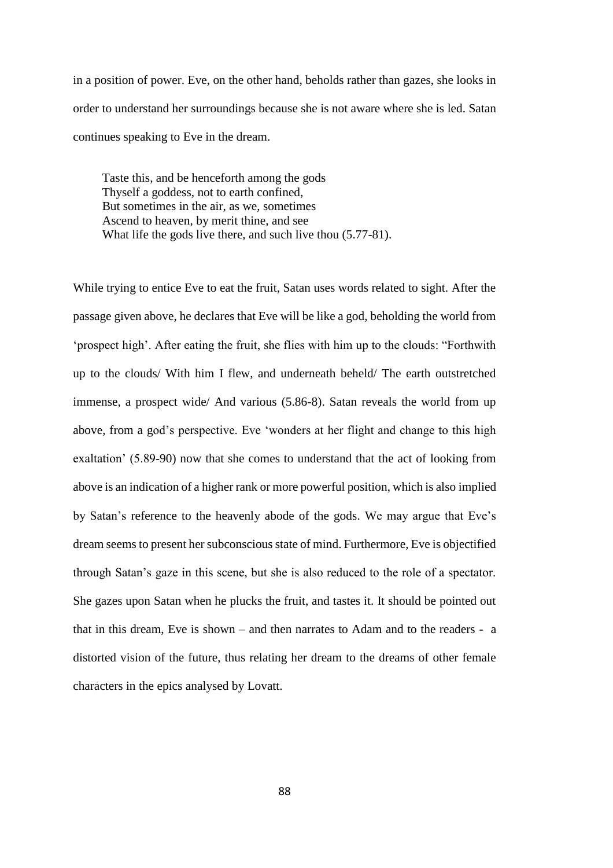in a position of power. Eve, on the other hand, beholds rather than gazes, she looks in order to understand her surroundings because she is not aware where she is led. Satan continues speaking to Eve in the dream.

Taste this, and be henceforth among the gods Thyself a goddess, not to earth confined, But sometimes in the air, as we, sometimes Ascend to heaven, by merit thine, and see What life the gods live there, and such live thou (5.77-81).

While trying to entice Eve to eat the fruit, Satan uses words related to sight. After the passage given above, he declares that Eve will be like a god, beholding the world from 'prospect high'. After eating the fruit, she flies with him up to the clouds: "Forthwith up to the clouds/ With him I flew, and underneath beheld/ The earth outstretched immense, a prospect wide/ And various (5.86-8). Satan reveals the world from up above, from a god's perspective. Eve 'wonders at her flight and change to this high exaltation' (5.89-90) now that she comes to understand that the act of looking from above is an indication of a higher rank or more powerful position, which is also implied by Satan's reference to the heavenly abode of the gods. We may argue that Eve's dream seems to present her subconscious state of mind. Furthermore, Eve is objectified through Satan's gaze in this scene, but she is also reduced to the role of a spectator. She gazes upon Satan when he plucks the fruit, and tastes it. It should be pointed out that in this dream, Eve is shown – and then narrates to Adam and to the readers - a distorted vision of the future, thus relating her dream to the dreams of other female characters in the epics analysed by Lovatt.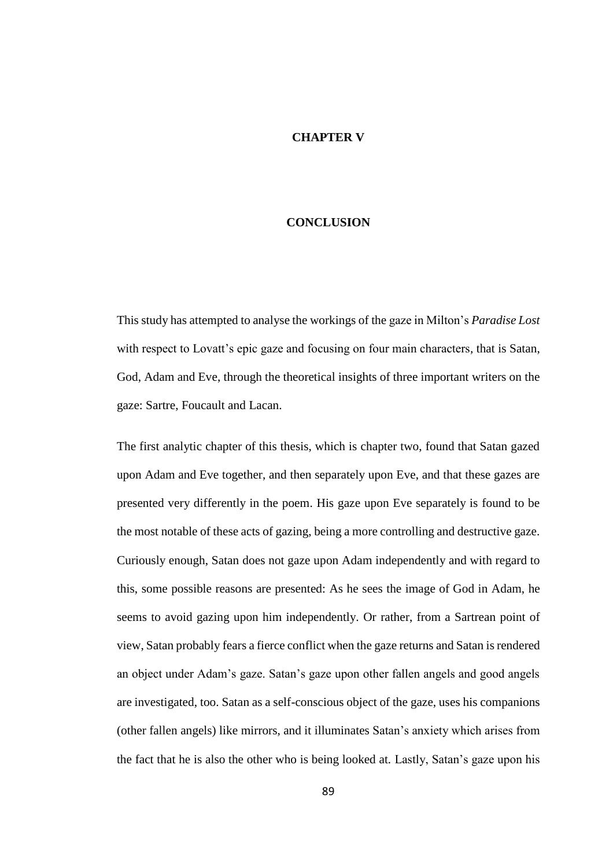### **CHAPTER V**

# **CONCLUSION**

This study has attempted to analyse the workings of the gaze in Milton's *Paradise Lost*  with respect to Lovatt's epic gaze and focusing on four main characters*,* that is Satan, God, Adam and Eve, through the theoretical insights of three important writers on the gaze: Sartre, Foucault and Lacan.

The first analytic chapter of this thesis, which is chapter two, found that Satan gazed upon Adam and Eve together, and then separately upon Eve, and that these gazes are presented very differently in the poem. His gaze upon Eve separately is found to be the most notable of these acts of gazing, being a more controlling and destructive gaze. Curiously enough, Satan does not gaze upon Adam independently and with regard to this, some possible reasons are presented: As he sees the image of God in Adam, he seems to avoid gazing upon him independently. Or rather, from a Sartrean point of view, Satan probably fears a fierce conflict when the gaze returns and Satan is rendered an object under Adam's gaze. Satan's gaze upon other fallen angels and good angels are investigated, too. Satan as a self-conscious object of the gaze, uses his companions (other fallen angels) like mirrors, and it illuminates Satan's anxiety which arises from the fact that he is also the other who is being looked at. Lastly, Satan's gaze upon his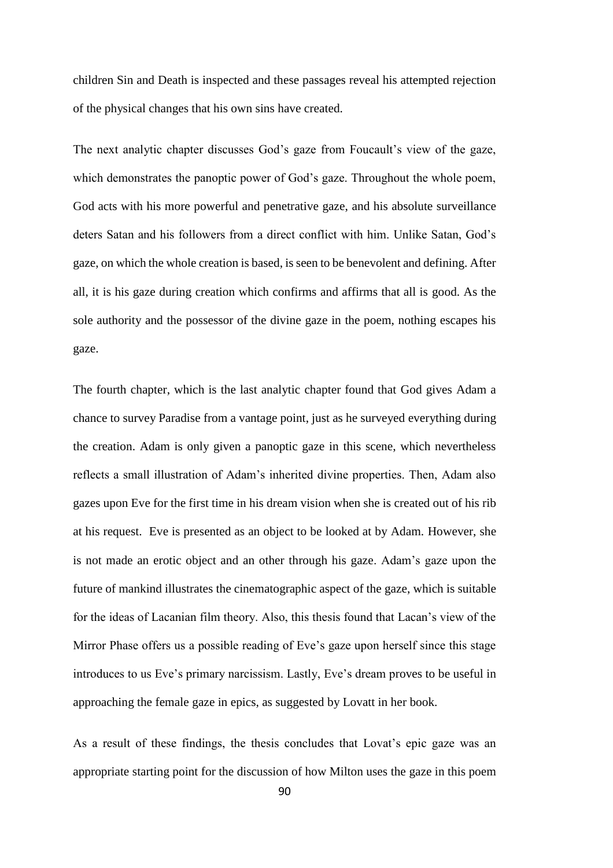children Sin and Death is inspected and these passages reveal his attempted rejection of the physical changes that his own sins have created.

The next analytic chapter discusses God's gaze from Foucault's view of the gaze, which demonstrates the panoptic power of God's gaze. Throughout the whole poem, God acts with his more powerful and penetrative gaze, and his absolute surveillance deters Satan and his followers from a direct conflict with him. Unlike Satan, God's gaze, on which the whole creation is based, is seen to be benevolent and defining. After all, it is his gaze during creation which confirms and affirms that all is good. As the sole authority and the possessor of the divine gaze in the poem, nothing escapes his gaze.

The fourth chapter, which is the last analytic chapter found that God gives Adam a chance to survey Paradise from a vantage point, just as he surveyed everything during the creation. Adam is only given a panoptic gaze in this scene, which nevertheless reflects a small illustration of Adam's inherited divine properties. Then, Adam also gazes upon Eve for the first time in his dream vision when she is created out of his rib at his request. Eve is presented as an object to be looked at by Adam. However, she is not made an erotic object and an other through his gaze. Adam's gaze upon the future of mankind illustrates the cinematographic aspect of the gaze, which is suitable for the ideas of Lacanian film theory. Also, this thesis found that Lacan's view of the Mirror Phase offers us a possible reading of Eve's gaze upon herself since this stage introduces to us Eve's primary narcissism. Lastly, Eve's dream proves to be useful in approaching the female gaze in epics, as suggested by Lovatt in her book.

As a result of these findings, the thesis concludes that Lovat's epic gaze was an appropriate starting point for the discussion of how Milton uses the gaze in this poem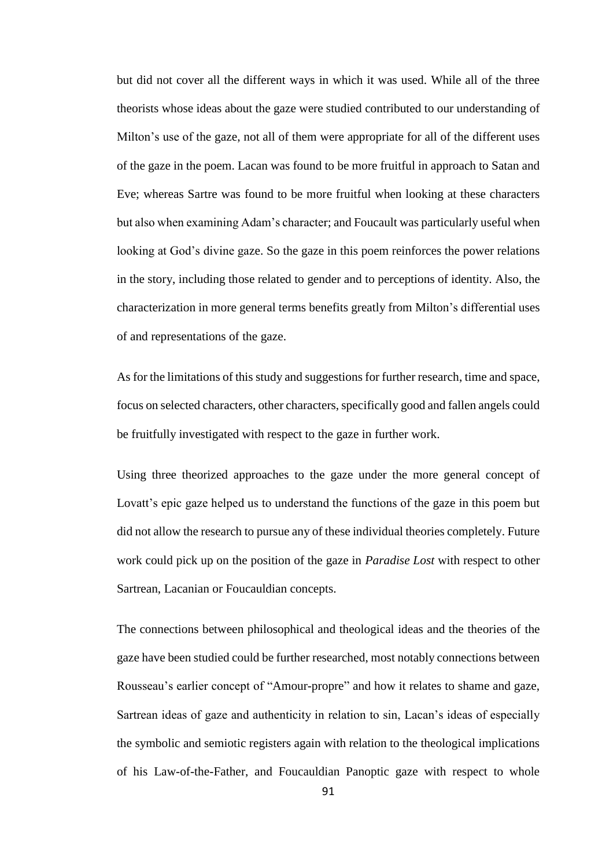but did not cover all the different ways in which it was used. While all of the three theorists whose ideas about the gaze were studied contributed to our understanding of Milton's use of the gaze, not all of them were appropriate for all of the different uses of the gaze in the poem. Lacan was found to be more fruitful in approach to Satan and Eve; whereas Sartre was found to be more fruitful when looking at these characters but also when examining Adam's character; and Foucault was particularly useful when looking at God's divine gaze. So the gaze in this poem reinforces the power relations in the story, including those related to gender and to perceptions of identity. Also, the characterization in more general terms benefits greatly from Milton's differential uses of and representations of the gaze.

As for the limitations of this study and suggestions for further research, time and space, focus on selected characters, other characters, specifically good and fallen angels could be fruitfully investigated with respect to the gaze in further work.

Using three theorized approaches to the gaze under the more general concept of Lovatt's epic gaze helped us to understand the functions of the gaze in this poem but did not allow the research to pursue any of these individual theories completely. Future work could pick up on the position of the gaze in *Paradise Lost* with respect to other Sartrean, Lacanian or Foucauldian concepts.

The connections between philosophical and theological ideas and the theories of the gaze have been studied could be further researched, most notably connections between Rousseau's earlier concept of "Amour-propre" and how it relates to shame and gaze, Sartrean ideas of gaze and authenticity in relation to sin, Lacan's ideas of especially the symbolic and semiotic registers again with relation to the theological implications of his Law-of-the-Father, and Foucauldian Panoptic gaze with respect to whole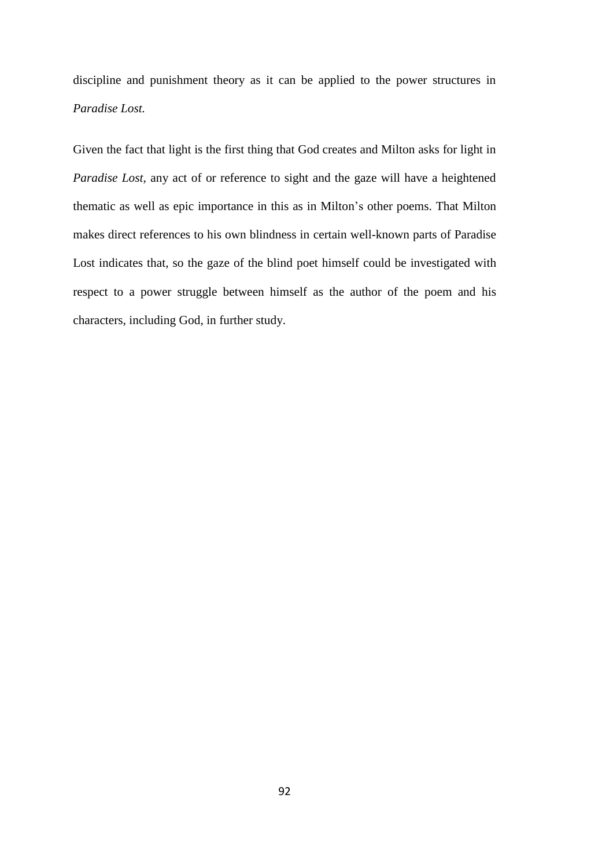discipline and punishment theory as it can be applied to the power structures in *Paradise Lost.*

Given the fact that light is the first thing that God creates and Milton asks for light in *Paradise Lost,* any act of or reference to sight and the gaze will have a heightened thematic as well as epic importance in this as in Milton's other poems. That Milton makes direct references to his own blindness in certain well-known parts of Paradise Lost indicates that, so the gaze of the blind poet himself could be investigated with respect to a power struggle between himself as the author of the poem and his characters, including God, in further study.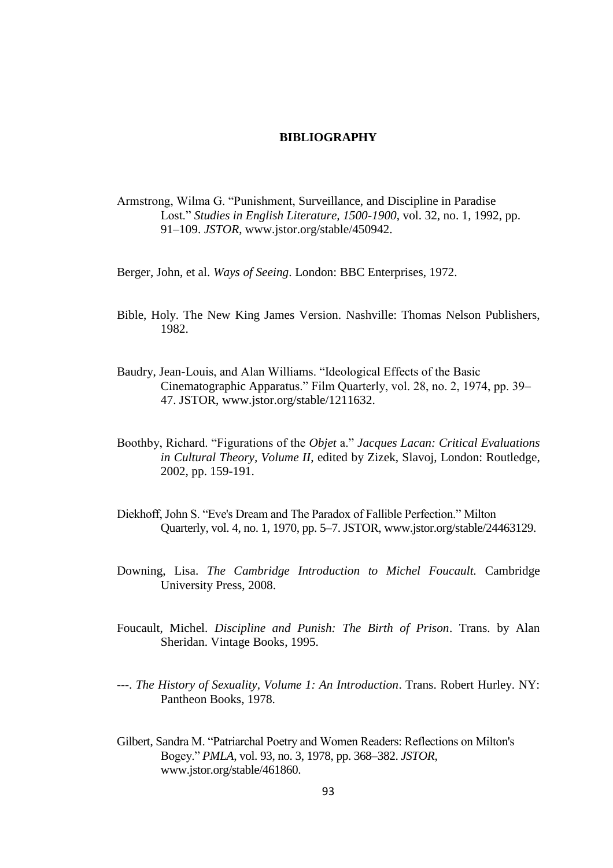### **BIBLIOGRAPHY**

- Armstrong, Wilma G. "Punishment, Surveillance, and Discipline in Paradise Lost." *Studies in English Literature, 1500-1900*, vol. 32, no. 1, 1992, pp. 91–109. *JSTOR*, [www.jstor.org/stable/450942.](http://www.jstor.org/stable/450942.)
- Berger, John, et al. *Ways of Seeing*. London: BBC Enterprises, 1972.
- Bible, Holy. The New King James Version. Nashville: Thomas Nelson Publishers, 1982.
- Baudry, Jean-Louis, and Alan Williams. "Ideological Effects of the Basic Cinematographic Apparatus." Film Quarterly, vol. 28, no. 2, 1974, pp. 39– 47. JSTOR, www.jstor.org/stable/1211632.
- Boothby, Richard. "Figurations of the *Objet* a." *Jacques Lacan: Critical Evaluations in Cultural Theory, Volume II*, edited by Zizek, Slavoj, London: Routledge, 2002, pp. 159-191.
- Diekhoff, John S. "Eve's Dream and The Paradox of Fallible Perfection." Milton Quarterly, vol. 4, no. 1, 1970, pp. 5–7. JSTOR, www.jstor.org/stable/24463129.
- Downing, Lisa. *The Cambridge Introduction to Michel Foucault.* Cambridge University Press, 2008.
- Foucault, Michel. *Discipline and Punish: The Birth of Prison*. Trans. by Alan Sheridan. Vintage Books, 1995.
- ---. *The History of Sexuality, Volume 1: An Introduction*. Trans. Robert Hurley. NY: Pantheon Books, 1978.
- Gilbert, Sandra M. "Patriarchal Poetry and Women Readers: Reflections on Milton's Bogey." *PMLA*, vol. 93, no. 3, 1978, pp. 368–382. *JSTOR*, [www.jstor.org/stable/461860.](http://www.jstor.org/stable/461860)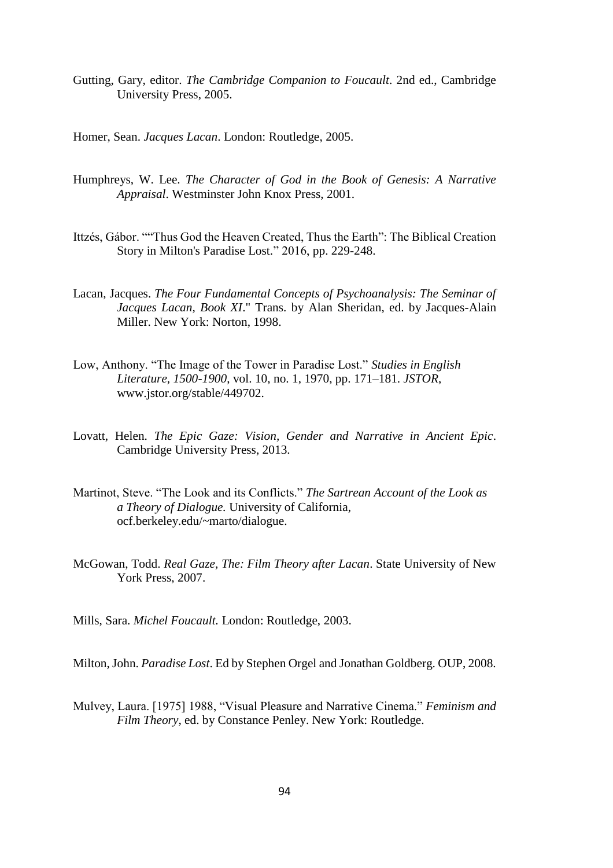Gutting, Gary, editor. *The Cambridge Companion to Foucault*. 2nd ed., Cambridge University Press, 2005.

Homer, Sean. *Jacques Lacan*. London: Routledge, 2005.

- Humphreys, W. Lee. *The Character of God in the Book of Genesis: A Narrative Appraisal*. Westminster John Knox Press, 2001.
- Ittzés, Gábor. ""Thus God the Heaven Created, Thus the Earth": The Biblical Creation Story in Milton's Paradise Lost." 2016, pp. 229-248.
- Lacan, Jacques. *The Four Fundamental Concepts of Psychoanalysis: The Seminar of Jacques Lacan, Book XI*." Trans. by Alan Sheridan, ed. by Jacques-Alain Miller. New York: Norton, 1998.
- Low, Anthony. "The Image of the Tower in Paradise Lost." *Studies in English Literature, 1500-1900*, vol. 10, no. 1, 1970, pp. 171–181. *JSTOR*, [www.jstor.org/stable/449702.](http://www.jstor.org/stable/449702.%20Accessed%205%20May%202020)
- Lovatt, Helen. *The Epic Gaze: Vision, Gender and Narrative in Ancient Epic*. Cambridge University Press, 2013.
- Martinot, Steve. "The Look and its Conflicts." *The Sartrean Account of the Look as a Theory of Dialogue.* University of California, ocf.berkeley.edu/~marto/dialogue.
- McGowan, Todd. *Real Gaze, The: Film Theory after Lacan*. State University of New York Press, 2007.
- Mills, Sara. *Michel Foucault.* London: Routledge, 2003.

Milton, John. *Paradise Lost*. Ed by Stephen Orgel and Jonathan Goldberg. OUP, 2008.

Mulvey, Laura. [1975] 1988, "Visual Pleasure and Narrative Cinema." *Feminism and Film Theory*, ed. by Constance Penley. New York: Routledge.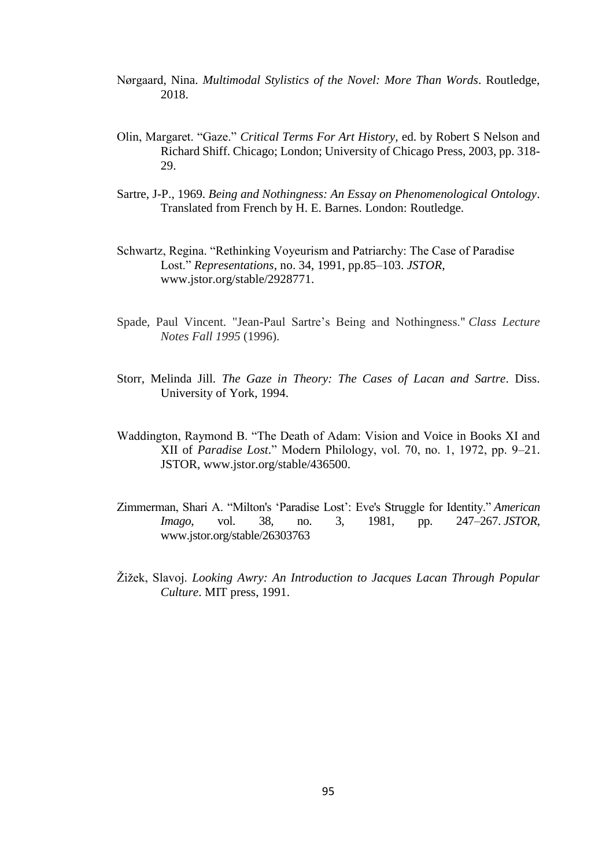- Nørgaard, Nina. *Multimodal Stylistics of the Novel: More Than Words*. Routledge, 2018.
- Olin, Margaret. "Gaze." *Critical Terms For Art History,* ed. by Robert S Nelson and Richard Shiff. Chicago; London; University of Chicago Press, 2003, pp. 318- 29.
- Sartre, J-P., 1969. *Being and Nothingness: An Essay on Phenomenological Ontology*. Translated from French by H. E. Barnes. London: Routledge.
- Schwartz, Regina. "Rethinking Voyeurism and Patriarchy: The Case of Paradise Lost." *Representations*, no. 34, 1991, pp.85–103. *JSTOR*, [www.jstor.org/stable/2928771.](http://www.jstor.org/stable/2928771.%20Accessed%202%20Feb.%202020)
- Spade, Paul Vincent. "Jean-Paul Sartre's Being and Nothingness." *Class Lecture Notes Fall 1995* (1996).
- Storr, Melinda Jill. *The Gaze in Theory: The Cases of Lacan and Sartre*. Diss. University of York, 1994.
- Waddington, Raymond B. "The Death of Adam: Vision and Voice in Books XI and XII of *Paradise Lost*." Modern Philology, vol. 70, no. 1, 1972, pp. 9–21. JSTOR, www.jstor.org/stable/436500.
- Zimmerman, Shari A. "Milton's 'Paradise Lost': Eve's Struggle for Identity." *American Imago*, vol. 38, no. 3, 1981, pp. 247–267. *JSTOR*, [www.jstor.org/stable/26303763](http://www.jstor.org/stable/26303763)
- Žižek, Slavoj. *Looking Awry: An Introduction to Jacques Lacan Through Popular Culture*. MIT press, 1991.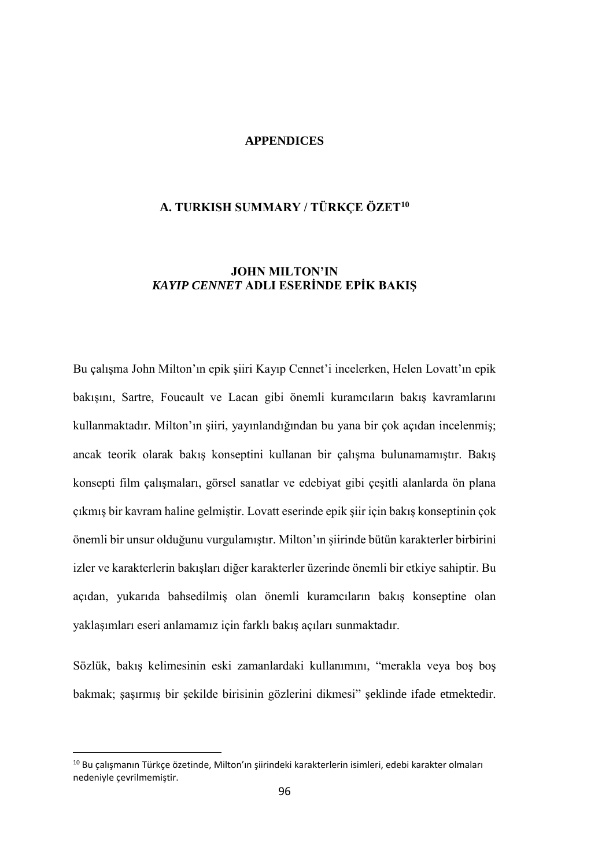# **APPENDICES**

# **A. TURKISH SUMMARY / TÜRKÇE ÖZET<sup>10</sup>**

# **JOHN MILTON'IN**  *KAYIP CENNET* **ADLI ESERİNDE EPİK BAKIŞ**

Bu çalışma John Milton'ın epik şiiri Kayıp Cennet'i incelerken, Helen Lovatt'ın epik bakışını, Sartre, Foucault ve Lacan gibi önemli kuramcıların bakış kavramlarını kullanmaktadır. Milton'ın şiiri, yayınlandığından bu yana bir çok açıdan incelenmiş; ancak teorik olarak bakış konseptini kullanan bir çalışma bulunamamıştır. Bakış konsepti film çalışmaları, görsel sanatlar ve edebiyat gibi çeşitli alanlarda ön plana çıkmış bir kavram haline gelmiştir. Lovatt eserinde epik şiir için bakış konseptinin çok önemli bir unsur olduğunu vurgulamıştır. Milton'ın şiirinde bütün karakterler birbirini izler ve karakterlerin bakışları diğer karakterler üzerinde önemli bir etkiye sahiptir. Bu açıdan, yukarıda bahsedilmiş olan önemli kuramcıların bakış konseptine olan yaklaşımları eseri anlamamız için farklı bakış açıları sunmaktadır.

Sözlük, bakış kelimesinin eski zamanlardaki kullanımını, "merakla veya boş boş bakmak; şaşırmış bir şekilde birisinin gözlerini dikmesi" şeklinde ifade etmektedir.

 $\overline{a}$ 

<sup>10</sup> Bu çalışmanın Türkçe özetinde, Milton'ın şiirindeki karakterlerin isimleri, edebi karakter olmaları nedeniyle çevrilmemiştir.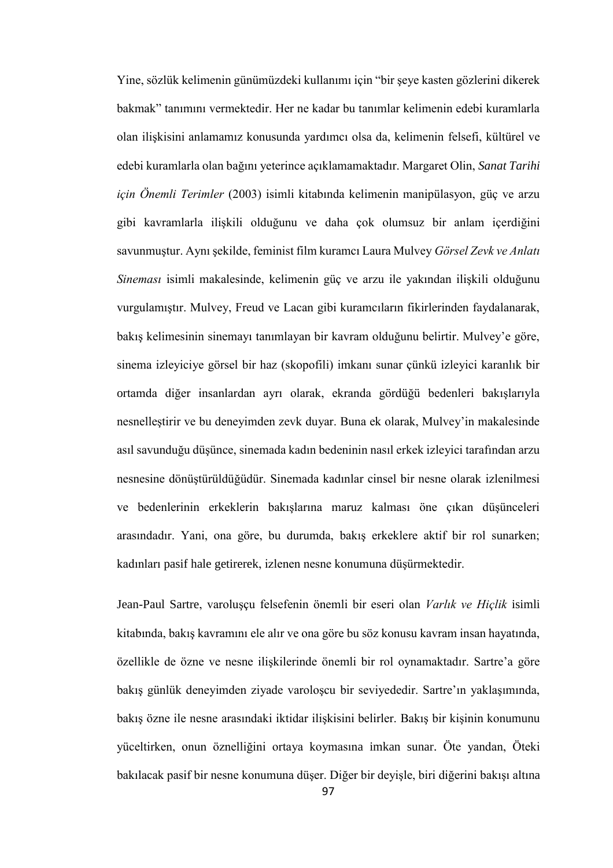Yine, sözlük kelimenin günümüzdeki kullanımı için "bir şeye kasten gözlerini dikerek bakmak" tanımını vermektedir. Her ne kadar bu tanımlar kelimenin edebi kuramlarla olan ilişkisini anlamamız konusunda yardımcı olsa da, kelimenin felsefi, kültürel ve edebi kuramlarla olan bağını yeterince açıklamamaktadır. Margaret Olin, *Sanat Tarihi için Önemli Terimler* (2003) isimli kitabında kelimenin manipülasyon, güç ve arzu gibi kavramlarla ilişkili olduğunu ve daha çok olumsuz bir anlam içerdiğini savunmuştur. Aynı şekilde, feminist film kuramcı Laura Mulvey *Görsel Zevk ve Anlatı Sineması* isimli makalesinde, kelimenin güç ve arzu ile yakından ilişkili olduğunu vurgulamıştır. Mulvey, Freud ve Lacan gibi kuramcıların fikirlerinden faydalanarak, bakış kelimesinin sinemayı tanımlayan bir kavram olduğunu belirtir. Mulvey'e göre, sinema izleyiciye görsel bir haz (skopofili) imkanı sunar çünkü izleyici karanlık bir ortamda diğer insanlardan ayrı olarak, ekranda gördüğü bedenleri bakışlarıyla nesnelleştirir ve bu deneyimden zevk duyar. Buna ek olarak, Mulvey'in makalesinde asıl savunduğu düşünce, sinemada kadın bedeninin nasıl erkek izleyici tarafından arzu nesnesine dönüştürüldüğüdür. Sinemada kadınlar cinsel bir nesne olarak izlenilmesi ve bedenlerinin erkeklerin bakışlarına maruz kalması öne çıkan düşünceleri arasındadır. Yani, ona göre, bu durumda, bakış erkeklere aktif bir rol sunarken; kadınları pasif hale getirerek, izlenen nesne konumuna düşürmektedir.

Jean-Paul Sartre, varoluşçu felsefenin önemli bir eseri olan *Varlık ve Hiçlik* isimli kitabında, bakış kavramını ele alır ve ona göre bu söz konusu kavram insan hayatında, özellikle de özne ve nesne ilişkilerinde önemli bir rol oynamaktadır. Sartre'a göre bakış günlük deneyimden ziyade varoloşcu bir seviyededir. Sartre'ın yaklaşımında, bakış özne ile nesne arasındaki iktidar ilişkisini belirler. Bakış bir kişinin konumunu yüceltirken, onun öznelliğini ortaya koymasına imkan sunar. Öte yandan, Öteki bakılacak pasif bir nesne konumuna düşer. Diğer bir deyişle, biri diğerini bakışı altına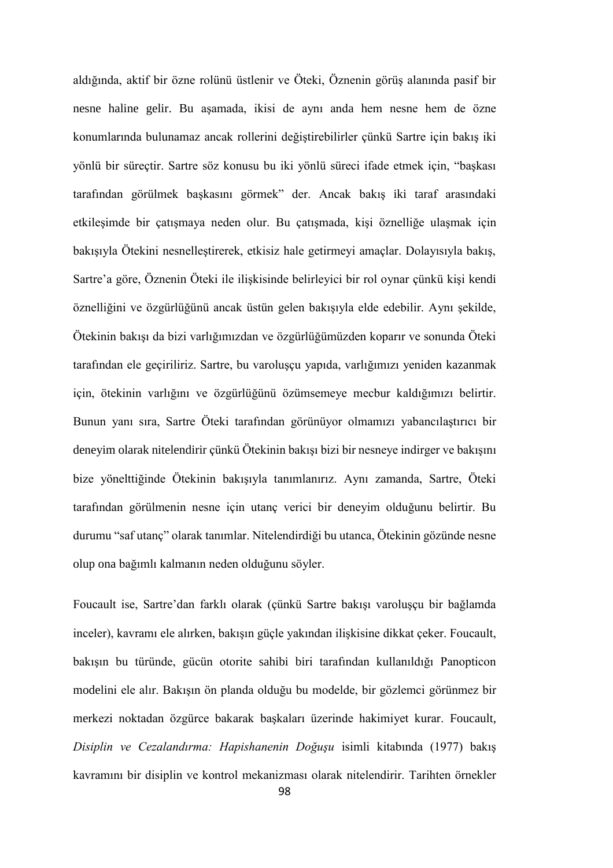aldığında, aktif bir özne rolünü üstlenir ve Öteki, Öznenin görüş alanında pasif bir nesne haline gelir. Bu aşamada, ikisi de aynı anda hem nesne hem de özne konumlarında bulunamaz ancak rollerini değiştirebilirler çünkü Sartre için bakış iki yönlü bir süreçtir. Sartre söz konusu bu iki yönlü süreci ifade etmek için, "başkası tarafından görülmek başkasını görmek" der. Ancak bakış iki taraf arasındaki etkileşimde bir çatışmaya neden olur. Bu çatışmada, kişi öznelliğe ulaşmak için bakışıyla Ötekini nesnelleştirerek, etkisiz hale getirmeyi amaçlar. Dolayısıyla bakış, Sartre'a göre, Öznenin Öteki ile ilişkisinde belirleyici bir rol oynar çünkü kişi kendi öznelliğini ve özgürlüğünü ancak üstün gelen bakışıyla elde edebilir. Aynı şekilde, Ötekinin bakışı da bizi varlığımızdan ve özgürlüğümüzden koparır ve sonunda Öteki tarafından ele geçiriliriz. Sartre, bu varoluşçu yapıda, varlığımızı yeniden kazanmak için, ötekinin varlığını ve özgürlüğünü özümsemeye mecbur kaldığımızı belirtir. Bunun yanı sıra, Sartre Öteki tarafından görünüyor olmamızı yabancılaştırıcı bir deneyim olarak nitelendirir çünkü Ötekinin bakışı bizi bir nesneye indirger ve bakışını bize yönelttiğinde Ötekinin bakışıyla tanımlanırız. Aynı zamanda, Sartre, Öteki tarafından görülmenin nesne için utanç verici bir deneyim olduğunu belirtir. Bu durumu "saf utanç" olarak tanımlar. Nitelendirdiği bu utanca, Ötekinin gözünde nesne olup ona bağımlı kalmanın neden olduğunu söyler.

Foucault ise, Sartre'dan farklı olarak (çünkü Sartre bakışı varoluşçu bir bağlamda inceler), kavramı ele alırken, bakışın güçle yakından ilişkisine dikkat çeker. Foucault, bakışın bu türünde, gücün otorite sahibi biri tarafından kullanıldığı Panopticon modelini ele alır. Bakışın ön planda olduğu bu modelde, bir gözlemci görünmez bir merkezi noktadan özgürce bakarak başkaları üzerinde hakimiyet kurar. Foucault, *Disiplin ve Cezalandırma: Hapishanenin Doğuşu* isimli kitabında (1977) bakış kavramını bir disiplin ve kontrol mekanizması olarak nitelendirir. Tarihten örnekler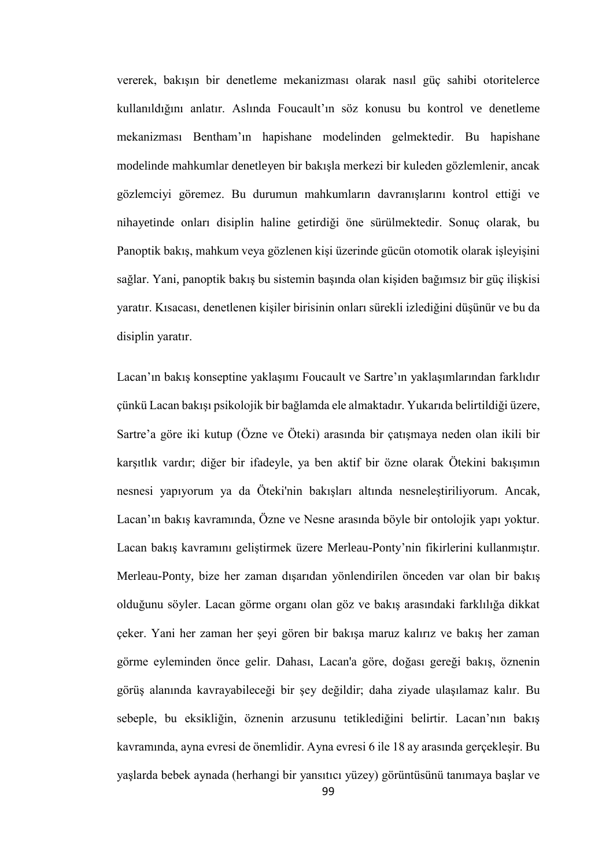vererek, bakışın bir denetleme mekanizması olarak nasıl güç sahibi otoritelerce kullanıldığını anlatır. Aslında Foucault'ın söz konusu bu kontrol ve denetleme mekanizması Bentham'ın hapishane modelinden gelmektedir. Bu hapishane modelinde mahkumlar denetleyen bir bakışla merkezi bir kuleden gözlemlenir, ancak gözlemciyi göremez. Bu durumun mahkumların davranışlarını kontrol ettiği ve nihayetinde onları disiplin haline getirdiği öne sürülmektedir. Sonuç olarak, bu Panoptik bakış, mahkum veya gözlenen kişi üzerinde gücün otomotik olarak işleyişini sağlar. Yani, panoptik bakış bu sistemin başında olan kişiden bağımsız bir güç ilişkisi yaratır. Kısacası, denetlenen kişiler birisinin onları sürekli izlediğini düşünür ve bu da disiplin yaratır.

Lacan'ın bakış konseptine yaklaşımı Foucault ve Sartre'ın yaklaşımlarından farklıdır çünkü Lacan bakışı psikolojik bir bağlamda ele almaktadır. Yukarıda belirtildiği üzere, Sartre'a göre iki kutup (Özne ve Öteki) arasında bir çatışmaya neden olan ikili bir karşıtlık vardır; diğer bir ifadeyle, ya ben aktif bir özne olarak Ötekini bakışımın nesnesi yapıyorum ya da Öteki'nin bakışları altında nesneleştiriliyorum. Ancak, Lacan'ın bakış kavramında, Özne ve Nesne arasında böyle bir ontolojik yapı yoktur. Lacan bakış kavramını geliştirmek üzere Merleau-Ponty'nin fikirlerini kullanmıştır. Merleau-Ponty, bize her zaman dışarıdan yönlendirilen önceden var olan bir bakış olduğunu söyler. Lacan görme organı olan göz ve bakış arasındaki farklılığa dikkat çeker. Yani her zaman her şeyi gören bir bakışa maruz kalırız ve bakış her zaman görme eyleminden önce gelir. Dahası, Lacan'a göre, doğası gereği bakış, öznenin görüş alanında kavrayabileceği bir şey değildir; daha ziyade ulaşılamaz kalır. Bu sebeple, bu eksikliğin, öznenin arzusunu tetiklediğini belirtir. Lacan'nın bakış kavramında, ayna evresi de önemlidir. Ayna evresi 6 ile 18 ay arasında gerçekleşir. Bu yaşlarda bebek aynada (herhangi bir yansıtıcı yüzey) görüntüsünü tanımaya başlar ve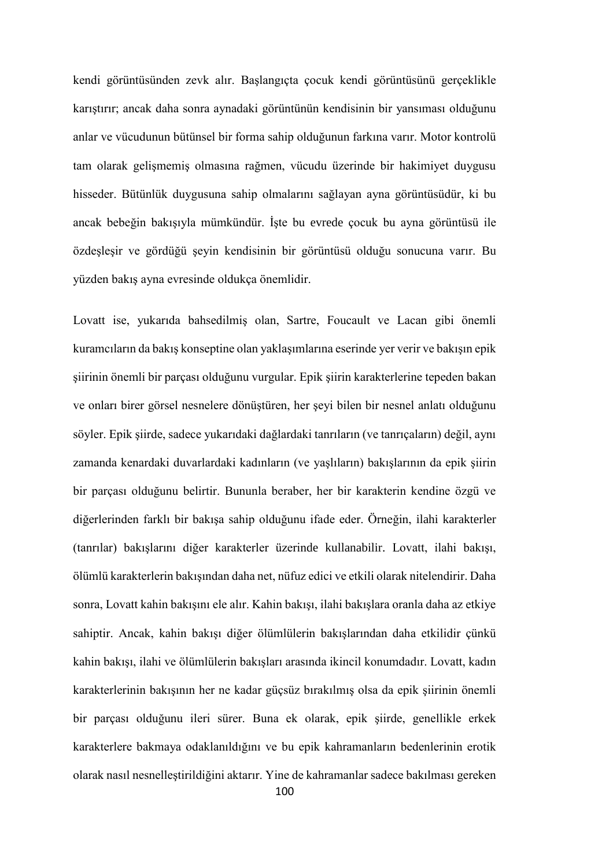kendi görüntüsünden zevk alır. Başlangıçta çocuk kendi görüntüsünü gerçeklikle karıştırır; ancak daha sonra aynadaki görüntünün kendisinin bir yansıması olduğunu anlar ve vücudunun bütünsel bir forma sahip olduğunun farkına varır. Motor kontrolü tam olarak gelişmemiş olmasına rağmen, vücudu üzerinde bir hakimiyet duygusu hisseder. Bütünlük duygusuna sahip olmalarını sağlayan ayna görüntüsüdür, ki bu ancak bebeğin bakışıyla mümkündür. İşte bu evrede çocuk bu ayna görüntüsü ile özdeşleşir ve gördüğü şeyin kendisinin bir görüntüsü olduğu sonucuna varır. Bu yüzden bakış ayna evresinde oldukça önemlidir.

Lovatt ise, yukarıda bahsedilmiş olan, Sartre, Foucault ve Lacan gibi önemli kuramcıların da bakış konseptine olan yaklaşımlarına eserinde yer verir ve bakışın epik şiirinin önemli bir parçası olduğunu vurgular. Epik şiirin karakterlerine tepeden bakan ve onları birer görsel nesnelere dönüştüren, her şeyi bilen bir nesnel anlatı olduğunu söyler. Epik şiirde, sadece yukarıdaki dağlardaki tanrıların (ve tanrıçaların) değil, aynı zamanda kenardaki duvarlardaki kadınların (ve yaşlıların) bakışlarının da epik şiirin bir parçası olduğunu belirtir. Bununla beraber, her bir karakterin kendine özgü ve diğerlerinden farklı bir bakışa sahip olduğunu ifade eder. Örneğin, ilahi karakterler (tanrılar) bakışlarını diğer karakterler üzerinde kullanabilir. Lovatt, ilahi bakışı, ölümlü karakterlerin bakışından daha net, nüfuz edici ve etkili olarak nitelendirir. Daha sonra, Lovatt kahin bakışını ele alır. Kahin bakışı, ilahi bakışlara oranla daha az etkiye sahiptir. Ancak, kahin bakışı diğer ölümlülerin bakışlarından daha etkilidir çünkü kahin bakışı, ilahi ve ölümlülerin bakışları arasında ikincil konumdadır. Lovatt, kadın karakterlerinin bakışının her ne kadar güçsüz bırakılmış olsa da epik şiirinin önemli bir parçası olduğunu ileri sürer. Buna ek olarak, epik şiirde, genellikle erkek karakterlere bakmaya odaklanıldığını ve bu epik kahramanların bedenlerinin erotik olarak nasıl nesnelleştirildiğini aktarır. Yine de kahramanlar sadece bakılması gereken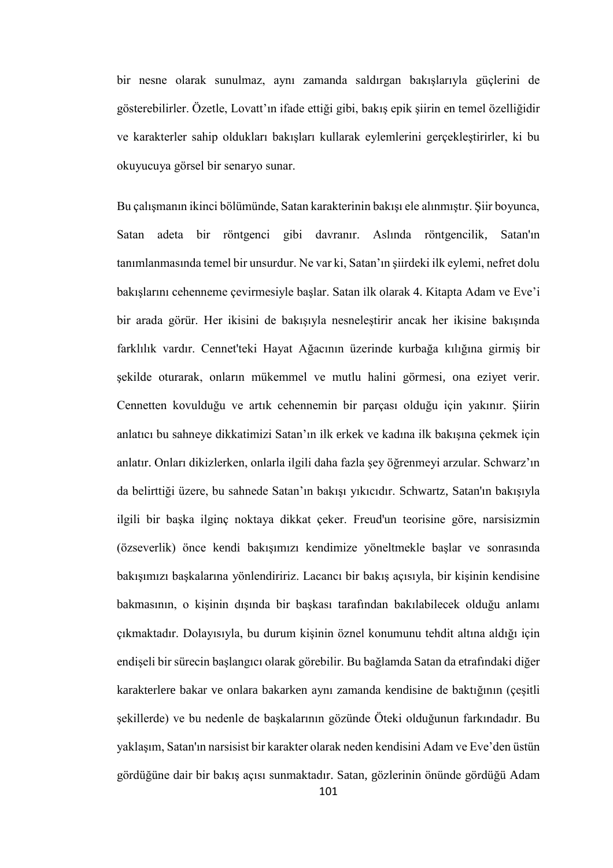bir nesne olarak sunulmaz, aynı zamanda saldırgan bakışlarıyla güçlerini de gösterebilirler. Özetle, Lovatt'ın ifade ettiği gibi, bakış epik şiirin en temel özelliğidir ve karakterler sahip oldukları bakışları kullarak eylemlerini gerçekleştirirler, ki bu okuyucuya görsel bir senaryo sunar.

Bu çalışmanın ikinci bölümünde, Satan karakterinin bakışı ele alınmıştır. Şiir boyunca, Satan adeta bir röntgenci gibi davranır. Aslında röntgencilik, Satan'ın tanımlanmasında temel bir unsurdur. Ne var ki, Satan'ın şiirdeki ilk eylemi, nefret dolu bakışlarını cehenneme çevirmesiyle başlar. Satan ilk olarak 4. Kitapta Adam ve Eve'i bir arada görür. Her ikisini de bakışıyla nesneleştirir ancak her ikisine bakışında farklılık vardır. Cennet'teki Hayat Ağacının üzerinde kurbağa kılığına girmiş bir şekilde oturarak, onların mükemmel ve mutlu halini görmesi, ona eziyet verir. Cennetten kovulduğu ve artık cehennemin bir parçası olduğu için yakınır. Şiirin anlatıcı bu sahneye dikkatimizi Satan'ın ilk erkek ve kadına ilk bakışına çekmek için anlatır. Onları dikizlerken, onlarla ilgili daha fazla şey öğrenmeyi arzular. Schwarz'ın da belirttiği üzere, bu sahnede Satan'ın bakışı yıkıcıdır. Schwartz, Satan'ın bakışıyla ilgili bir başka ilginç noktaya dikkat çeker. Freud'un teorisine göre, narsisizmin (özseverlik) önce kendi bakışımızı kendimize yöneltmekle başlar ve sonrasında bakışımızı başkalarına yönlendiririz. Lacancı bir bakış açısıyla, bir kişinin kendisine bakmasının, o kişinin dışında bir başkası tarafından bakılabilecek olduğu anlamı çıkmaktadır. Dolayısıyla, bu durum kişinin öznel konumunu tehdit altına aldığı için endişeli bir sürecin başlangıcı olarak görebilir. Bu bağlamda Satan da etrafındaki diğer karakterlere bakar ve onlara bakarken aynı zamanda kendisine de baktığının (çeşitli şekillerde) ve bu nedenle de başkalarının gözünde Öteki olduğunun farkındadır. Bu yaklaşım, Satan'ın narsisist bir karakter olarak neden kendisini Adam ve Eve'den üstün gördüğüne dair bir bakış açısı sunmaktadır. Satan, gözlerinin önünde gördüğü Adam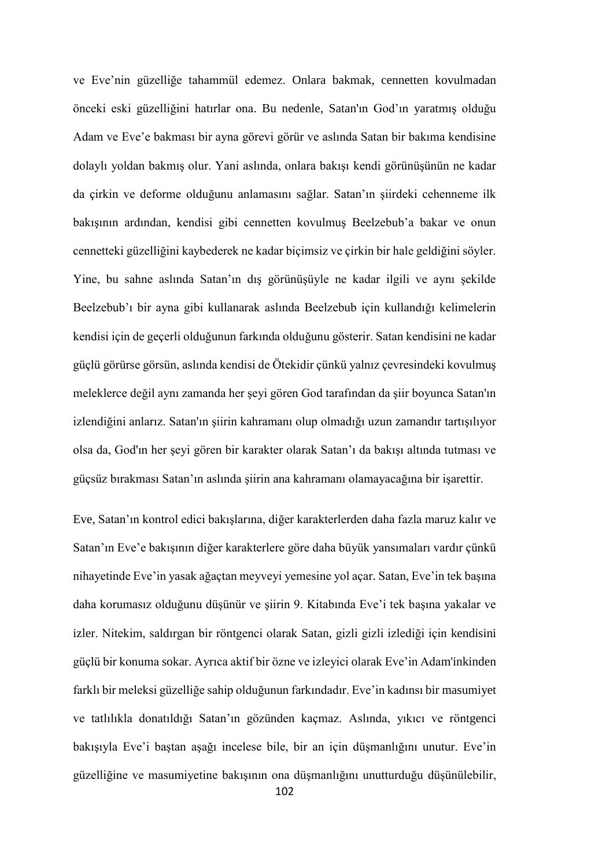ve Eve'nin güzelliğe tahammül edemez. Onlara bakmak, cennetten kovulmadan önceki eski güzelliğini hatırlar ona. Bu nedenle, Satan'ın God'ın yaratmış olduğu Adam ve Eve'e bakması bir ayna görevi görür ve aslında Satan bir bakıma kendisine dolaylı yoldan bakmış olur. Yani aslında, onlara bakışı kendi görünüşünün ne kadar da çirkin ve deforme olduğunu anlamasını sağlar. Satan'ın şiirdeki cehenneme ilk bakışının ardından, kendisi gibi cennetten kovulmuş Beelzebub'a bakar ve onun cennetteki güzelliğini kaybederek ne kadar biçimsiz ve çirkin bir hale geldiğini söyler. Yine, bu sahne aslında Satan'ın dış görünüşüyle ne kadar ilgili ve aynı şekilde Beelzebub'ı bir ayna gibi kullanarak aslında Beelzebub için kullandığı kelimelerin kendisi için de geçerli olduğunun farkında olduğunu gösterir. Satan kendisini ne kadar güçlü görürse görsün, aslında kendisi de Ötekidir çünkü yalnız çevresindeki kovulmuş meleklerce değil aynı zamanda her şeyi gören God tarafından da şiir boyunca Satan'ın izlendiğini anlarız. Satan'ın şiirin kahramanı olup olmadığı uzun zamandır tartışılıyor olsa da, God'ın her şeyi gören bir karakter olarak Satan'ı da bakışı altında tutması ve güçsüz bırakması Satan'ın aslında şiirin ana kahramanı olamayacağına bir işarettir.

Eve, Satan'ın kontrol edici bakışlarına, diğer karakterlerden daha fazla maruz kalır ve Satan'ın Eve'e bakışının diğer karakterlere göre daha büyük yansımaları vardır çünkü nihayetinde Eve'in yasak ağaçtan meyveyi yemesine yol açar. Satan, Eve'in tek başına daha korumasız olduğunu düşünür ve şiirin 9. Kitabında Eve'i tek başına yakalar ve izler. Nitekim, saldırgan bir röntgenci olarak Satan, gizli gizli izlediği için kendisini güçlü bir konuma sokar. Ayrıca aktif bir özne ve izleyici olarak Eve'in Adam'inkinden farklı bir meleksi güzelliğe sahip olduğunun farkındadır. Eve'in kadınsı bir masumiyet ve tatlılıkla donatıldığı Satan'ın gözünden kaçmaz. Aslında, yıkıcı ve röntgenci bakışıyla Eve'i baştan aşağı incelese bile, bir an için düşmanlığını unutur. Eve'in güzelliğine ve masumiyetine bakışının ona düşmanlığını unutturduğu düşünülebilir,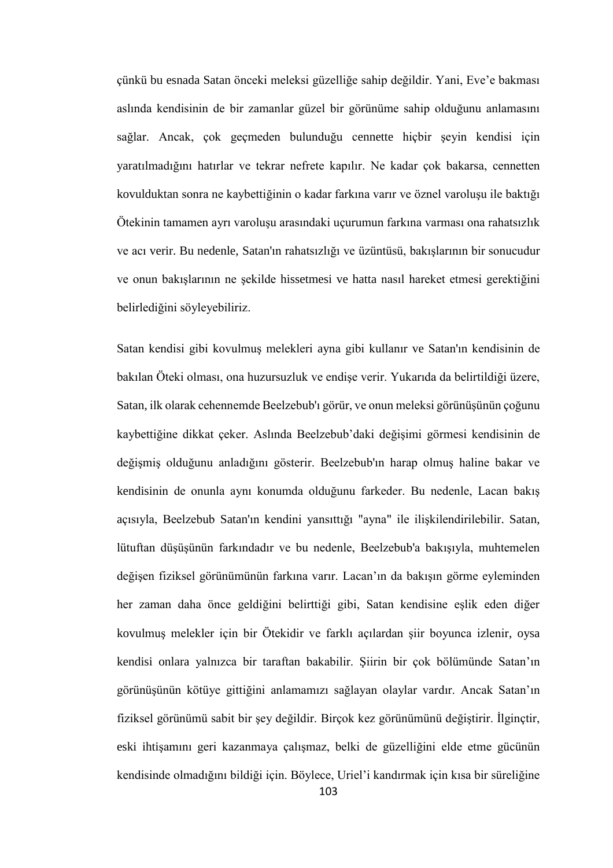çünkü bu esnada Satan önceki meleksi güzelliğe sahip değildir. Yani, Eve'e bakması aslında kendisinin de bir zamanlar güzel bir görünüme sahip olduğunu anlamasını sağlar. Ancak, çok geçmeden bulunduğu cennette hiçbir şeyin kendisi için yaratılmadığını hatırlar ve tekrar nefrete kapılır. Ne kadar çok bakarsa, cennetten kovulduktan sonra ne kaybettiğinin o kadar farkına varır ve öznel varoluşu ile baktığı Ötekinin tamamen ayrı varoluşu arasındaki uçurumun farkına varması ona rahatsızlık ve acı verir. Bu nedenle, Satan'ın rahatsızlığı ve üzüntüsü, bakışlarının bir sonucudur ve onun bakışlarının ne şekilde hissetmesi ve hatta nasıl hareket etmesi gerektiğini belirlediğini söyleyebiliriz.

Satan kendisi gibi kovulmuş melekleri ayna gibi kullanır ve Satan'ın kendisinin de bakılan Öteki olması, ona huzursuzluk ve endişe verir. Yukarıda da belirtildiği üzere, Satan, ilk olarak cehennemde Beelzebub'ı görür, ve onun meleksi görünüşünün çoğunu kaybettiğine dikkat çeker. Aslında Beelzebub'daki değişimi görmesi kendisinin de değişmiş olduğunu anladığını gösterir. Beelzebub'ın harap olmuş haline bakar ve kendisinin de onunla aynı konumda olduğunu farkeder. Bu nedenle, Lacan bakış açısıyla, Beelzebub Satan'ın kendini yansıttığı "ayna" ile ilişkilendirilebilir. Satan, lütuftan düşüşünün farkındadır ve bu nedenle, Beelzebub'a bakışıyla, muhtemelen değişen fiziksel görünümünün farkına varır. Lacan'ın da bakışın görme eyleminden her zaman daha önce geldiğini belirttiği gibi, Satan kendisine eşlik eden diğer kovulmuş melekler için bir Ötekidir ve farklı açılardan şiir boyunca izlenir, oysa kendisi onlara yalnızca bir taraftan bakabilir. Şiirin bir çok bölümünde Satan'ın görünüşünün kötüye gittiğini anlamamızı sağlayan olaylar vardır. Ancak Satan'ın fiziksel görünümü sabit bir şey değildir. Birçok kez görünümünü değiştirir. İlginçtir, eski ihtişamını geri kazanmaya çalışmaz, belki de güzelliğini elde etme gücünün kendisinde olmadığını bildiği için. Böylece, Uriel'i kandırmak için kısa bir süreliğine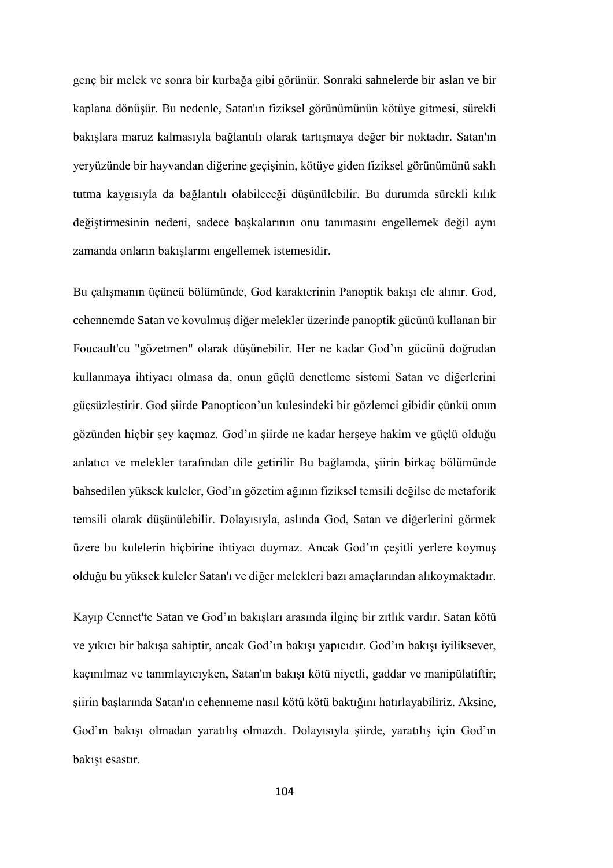genç bir melek ve sonra bir kurbağa gibi görünür. Sonraki sahnelerde bir aslan ve bir kaplana dönüşür. Bu nedenle, Satan'ın fiziksel görünümünün kötüye gitmesi, sürekli bakışlara maruz kalmasıyla bağlantılı olarak tartışmaya değer bir noktadır. Satan'ın yeryüzünde bir hayvandan diğerine geçişinin, kötüye giden fiziksel görünümünü saklı tutma kaygısıyla da bağlantılı olabileceği düşünülebilir. Bu durumda sürekli kılık değiştirmesinin nedeni, sadece başkalarının onu tanımasını engellemek değil aynı zamanda onların bakışlarını engellemek istemesidir.

Bu çalışmanın üçüncü bölümünde, God karakterinin Panoptik bakışı ele alınır. God, cehennemde Satan ve kovulmuş diğer melekler üzerinde panoptik gücünü kullanan bir Foucault'cu "gözetmen" olarak düşünebilir. Her ne kadar God'ın gücünü doğrudan kullanmaya ihtiyacı olmasa da, onun güçlü denetleme sistemi Satan ve diğerlerini güçsüzleştirir. God şiirde Panopticon'un kulesindeki bir gözlemci gibidir çünkü onun gözünden hiçbir şey kaçmaz. God'ın şiirde ne kadar herşeye hakim ve güçlü olduğu anlatıcı ve melekler tarafından dile getirilir Bu bağlamda, şiirin birkaç bölümünde bahsedilen yüksek kuleler, God'ın gözetim ağının fiziksel temsili değilse de metaforik temsili olarak düşünülebilir. Dolayısıyla, aslında God, Satan ve diğerlerini görmek üzere bu kulelerin hiçbirine ihtiyacı duymaz. Ancak God'ın çeşitli yerlere koymuş olduğu bu yüksek kuleler Satan'ı ve diğer melekleri bazı amaçlarından alıkoymaktadır.

Kayıp Cennet'te Satan ve God'ın bakışları arasında ilginç bir zıtlık vardır. Satan kötü ve yıkıcı bir bakışa sahiptir, ancak God'ın bakışı yapıcıdır. God'ın bakışı iyiliksever, kaçınılmaz ve tanımlayıcıyken, Satan'ın bakışı kötü niyetli, gaddar ve manipülatiftir; şiirin başlarında Satan'ın cehenneme nasıl kötü kötü baktığını hatırlayabiliriz. Aksine, God'ın bakışı olmadan yaratılış olmazdı. Dolayısıyla şiirde, yaratılış için God'ın bakışı esastır.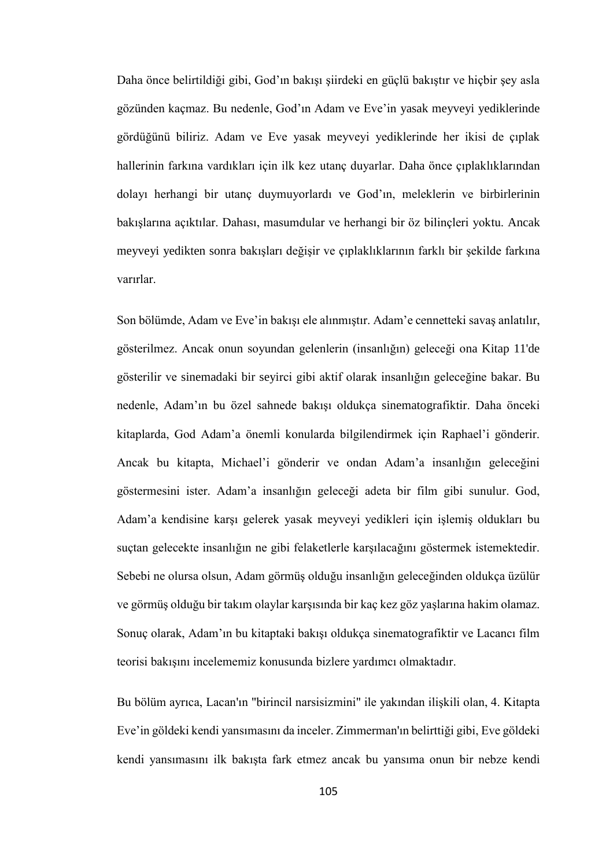Daha önce belirtildiği gibi, God'ın bakışı şiirdeki en güçlü bakıştır ve hiçbir şey asla gözünden kaçmaz. Bu nedenle, God'ın Adam ve Eve'in yasak meyveyi yediklerinde gördüğünü biliriz. Adam ve Eve yasak meyveyi yediklerinde her ikisi de çıplak hallerinin farkına vardıkları için ilk kez utanç duyarlar. Daha önce çıplaklıklarından dolayı herhangi bir utanç duymuyorlardı ve God'ın, meleklerin ve birbirlerinin bakışlarına açıktılar. Dahası, masumdular ve herhangi bir öz bilinçleri yoktu. Ancak meyveyi yedikten sonra bakışları değişir ve çıplaklıklarının farklı bir şekilde farkına varırlar.

Son bölümde, Adam ve Eve'in bakışı ele alınmıştır. Adam'e cennetteki savaş anlatılır, gösterilmez. Ancak onun soyundan gelenlerin (insanlığın) geleceği ona Kitap 11'de gösterilir ve sinemadaki bir seyirci gibi aktif olarak insanlığın geleceğine bakar. Bu nedenle, Adam'ın bu özel sahnede bakışı oldukça sinematografiktir. Daha önceki kitaplarda, God Adam'a önemli konularda bilgilendirmek için Raphael'i gönderir. Ancak bu kitapta, Michael'i gönderir ve ondan Adam'a insanlığın geleceğini göstermesini ister. Adam'a insanlığın geleceği adeta bir film gibi sunulur. God, Adam'a kendisine karşı gelerek yasak meyveyi yedikleri için işlemiş oldukları bu suçtan gelecekte insanlığın ne gibi felaketlerle karşılacağını göstermek istemektedir. Sebebi ne olursa olsun, Adam görmüş olduğu insanlığın geleceğinden oldukça üzülür ve görmüş olduğu bir takım olaylar karşısında bir kaç kez göz yaşlarına hakim olamaz. Sonuç olarak, Adam'ın bu kitaptaki bakışı oldukça sinematografiktir ve Lacancı film teorisi bakışını incelememiz konusunda bizlere yardımcı olmaktadır.

Bu bölüm ayrıca, Lacan'ın "birincil narsisizmini" ile yakından ilişkili olan, 4. Kitapta Eve'in göldeki kendi yansımasını da inceler. Zimmerman'ın belirttiği gibi, Eve göldeki kendi yansımasını ilk bakışta fark etmez ancak bu yansıma onun bir nebze kendi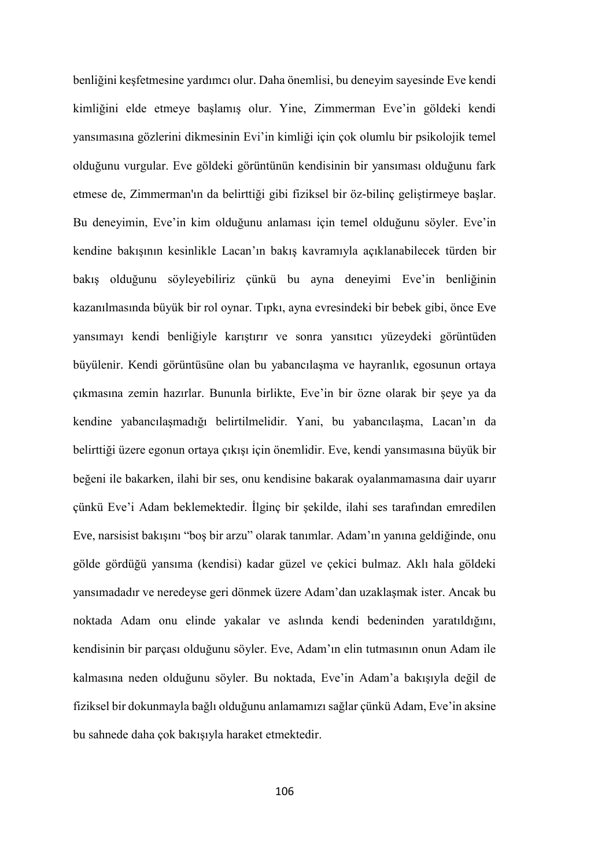benliğini keşfetmesine yardımcı olur. Daha önemlisi, bu deneyim sayesinde Eve kendi kimliğini elde etmeye başlamış olur. Yine, Zimmerman Eve'in göldeki kendi yansımasına gözlerini dikmesinin Evi'in kimliği için çok olumlu bir psikolojik temel olduğunu vurgular. Eve göldeki görüntünün kendisinin bir yansıması olduğunu fark etmese de, Zimmerman'ın da belirttiği gibi fiziksel bir öz-bilinç geliştirmeye başlar. Bu deneyimin, Eve'in kim olduğunu anlaması için temel olduğunu söyler. Eve'in kendine bakışının kesinlikle Lacan'ın bakış kavramıyla açıklanabilecek türden bir bakış olduğunu söyleyebiliriz çünkü bu ayna deneyimi Eve'in benliğinin kazanılmasında büyük bir rol oynar. Tıpkı, ayna evresindeki bir bebek gibi, önce Eve yansımayı kendi benliğiyle karıştırır ve sonra yansıtıcı yüzeydeki görüntüden büyülenir. Kendi görüntüsüne olan bu yabancılaşma ve hayranlık, egosunun ortaya çıkmasına zemin hazırlar. Bununla birlikte, Eve'in bir özne olarak bir şeye ya da kendine yabancılaşmadığı belirtilmelidir. Yani, bu yabancılaşma, Lacan'ın da belirttiği üzere egonun ortaya çıkışı için önemlidir. Eve, kendi yansımasına büyük bir beğeni ile bakarken, ilahi bir ses, onu kendisine bakarak oyalanmamasına dair uyarır çünkü Eve'i Adam beklemektedir. İlginç bir şekilde, ilahi ses tarafından emredilen Eve, narsisist bakışını "boş bir arzu" olarak tanımlar. Adam'ın yanına geldiğinde, onu gölde gördüğü yansıma (kendisi) kadar güzel ve çekici bulmaz. Aklı hala göldeki yansımadadır ve neredeyse geri dönmek üzere Adam'dan uzaklaşmak ister. Ancak bu noktada Adam onu elinde yakalar ve aslında kendi bedeninden yaratıldığını, kendisinin bir parçası olduğunu söyler. Eve, Adam'ın elin tutmasının onun Adam ile kalmasına neden olduğunu söyler. Bu noktada, Eve'in Adam'a bakışıyla değil de fiziksel bir dokunmayla bağlı olduğunu anlamamızı sağlar çünkü Adam, Eve'in aksine bu sahnede daha çok bakışıyla haraket etmektedir.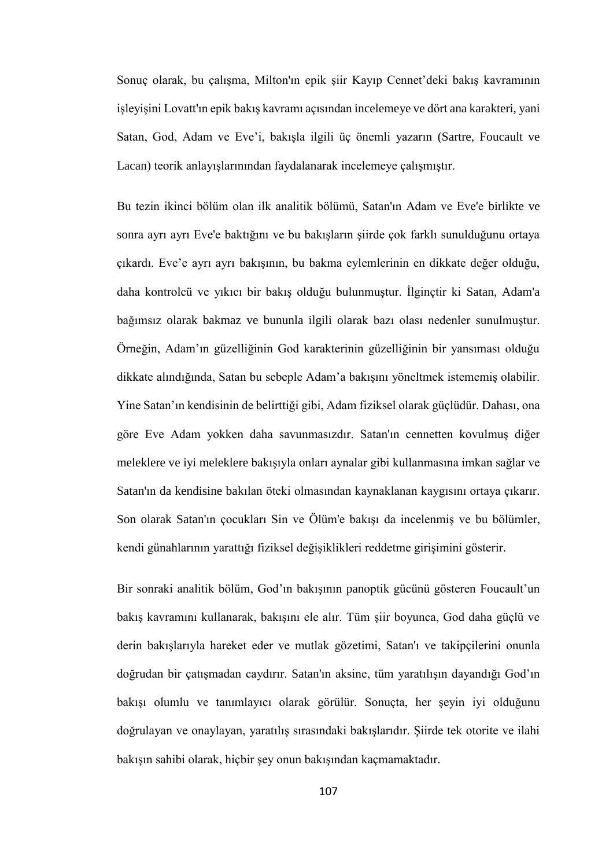Sonuç olarak, bu çalışma, Milton'ın epik şiir Kayıp Cennet'deki bakış kavramının işleyişini Lovatt'ın epik bakış kavramı açısından incelemeye ve dört ana karakteri, yani Satan, God, Adam ve Eve'i, bakışla ilgili üç önemli yazarın (Sartre, Foucault ve Lacan) teorik anlayışlarınından faydalanarak incelemeye çalışmıştır.

Bu tezin ikinci bölüm olan ilk analitik bölümü, Satan'ın Adam ve Eve'e birlikte ve sonra ayrı ayrı Eve'e baktığını ve bu bakışların şiirde çok farklı sunulduğunu ortaya çıkardı. Eve'e ayrı ayrı bakışının, bu bakma eylemlerinin en dikkate değer olduğu, daha kontrolcü ve yıkıcı bir bakış olduğu bulunmuştur. İlginçtir ki Satan, Adam'a bağımsız olarak bakmaz ve bununla ilgili olarak bazı olası nedenler sunulmuştur. Örneğin, Adam'ın güzelliğinin God karakterinin güzelliğinin bir yansıması olduğu dikkate alındığında, Satan bu sebeple Adam'a bakışını yöneltmek istememiş olabilir. Yine Satan'ın kendisinin de belirttiği gibi, Adam fiziksel olarak güçlüdür. Dahası, ona göre Eve Adam yokken daha savunmasızdır. Satan'ın cennetten kovulmuş diğer meleklere ve iyi meleklere bakışıyla onları aynalar gibi kullanmasına imkan sağlar ve Satan'ın da kendisine bakılan öteki olmasından kaynaklanan kaygısını ortaya çıkarır. Son olarak Satan'ın çocukları Sin ve Ölüm'e bakışı da incelenmiş ve bu bölümler, kendi günahlarının yarattığı fiziksel değişiklikleri reddetme girişimini gösterir.

Bir sonraki analitik bölüm, God'ın bakışının panoptik gücünü gösteren Foucault'un bakış kavramını kullanarak, bakışını ele alır. Tüm şiir boyunca, God daha güçlü ve derin bakışlarıyla hareket eder ve mutlak gözetimi, Satan'ı ve takipçilerini onunla doğrudan bir çatışmadan caydırır. Satan'ın aksine, tüm yaratılışın dayandığı God'ın bakışı olumlu ve tanımlayıcı olarak görülür. Sonuçta, her şeyin iyi olduğunu doğrulayan ve onaylayan, yaratılış sırasındaki bakışlarıdır. Şiirde tek otorite ve ilahi bakışın sahibi olarak, hiçbir şey onun bakışından kaçmamaktadır.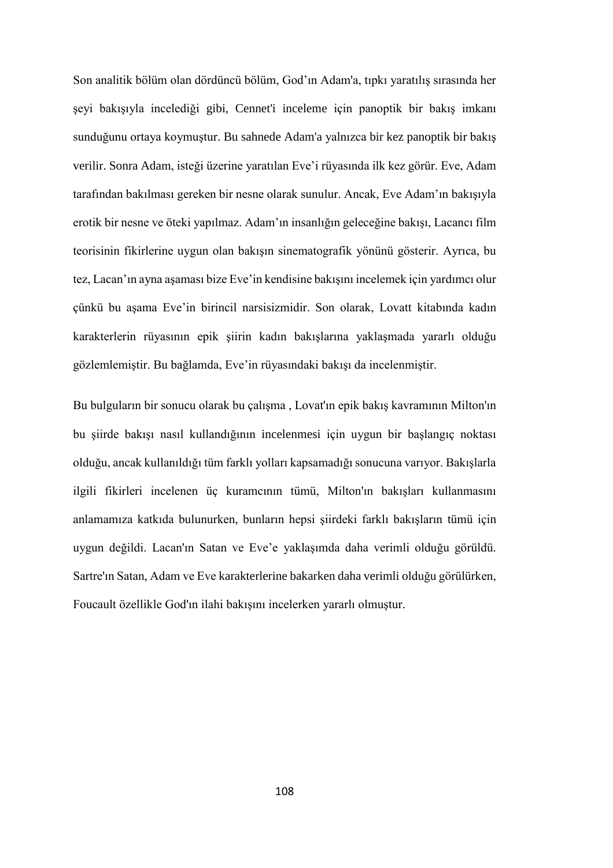Son analitik bölüm olan dördüncü bölüm, God'ın Adam'a, tıpkı yaratılış sırasında her şeyi bakışıyla incelediği gibi, Cennet'i inceleme için panoptik bir bakış imkanı sunduğunu ortaya koymuştur. Bu sahnede Adam'a yalnızca bir kez panoptik bir bakış verilir. Sonra Adam, isteği üzerine yaratılan Eve'i rüyasında ilk kez görür. Eve, Adam tarafından bakılması gereken bir nesne olarak sunulur. Ancak, Eve Adam'ın bakışıyla erotik bir nesne ve öteki yapılmaz. Adam'ın insanlığın geleceğine bakışı, Lacancı film teorisinin fikirlerine uygun olan bakışın sinematografik yönünü gösterir. Ayrıca, bu tez, Lacan'ın ayna aşaması bize Eve'in kendisine bakışını incelemek için yardımcı olur çünkü bu aşama Eve'in birincil narsisizmidir. Son olarak, Lovatt kitabında kadın karakterlerin rüyasının epik şiirin kadın bakışlarına yaklaşmada yararlı olduğu gözlemlemiştir. Bu bağlamda, Eve'in rüyasındaki bakışı da incelenmiştir.

Bu bulguların bir sonucu olarak bu çalışma , Lovat'ın epik bakış kavramının Milton'ın bu şiirde bakışı nasıl kullandığının incelenmesi için uygun bir başlangıç noktası olduğu, ancak kullanıldığı tüm farklı yolları kapsamadığı sonucuna varıyor. Bakışlarla ilgili fikirleri incelenen üç kuramcının tümü, Milton'ın bakışları kullanmasını anlamamıza katkıda bulunurken, bunların hepsi şiirdeki farklı bakışların tümü için uygun değildi. Lacan'ın Satan ve Eve'e yaklaşımda daha verimli olduğu görüldü. Sartre'ın Satan, Adam ve Eve karakterlerine bakarken daha verimli olduğu görülürken, Foucault özellikle God'ın ilahi bakışını incelerken yararlı olmuştur.